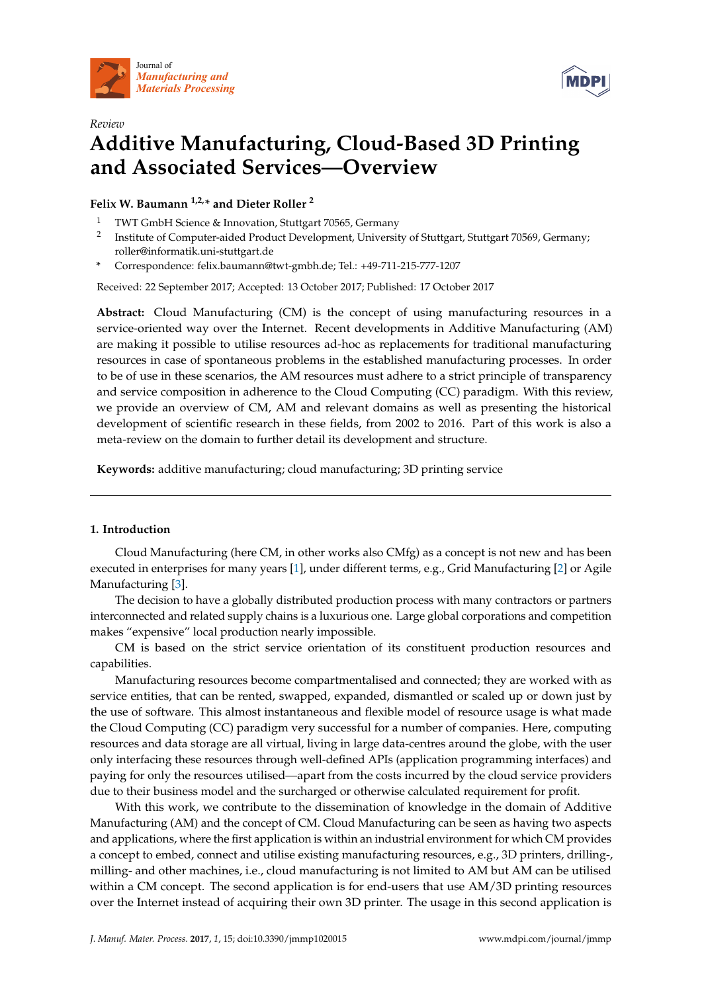



# *Review* **Additive Manufacturing, Cloud-Based 3D Printing and Associated Services—Overview**

**Felix W. Baumann 1,2,\* and Dieter Roller <sup>2</sup>**

- <sup>1</sup> TWT GmbH Science & Innovation, Stuttgart 70565, Germany
- 2 Institute of Computer-aided Product Development, University of Stuttgart, Stuttgart 70569, Germany; roller@informatik.uni-stuttgart.de
- **\*** Correspondence: felix.baumann@twt-gmbh.de; Tel.: +49-711-215-777-1207

Received: 22 September 2017; Accepted: 13 October 2017; Published: 17 October 2017

**Abstract:** Cloud Manufacturing (CM) is the concept of using manufacturing resources in a service-oriented way over the Internet. Recent developments in Additive Manufacturing (AM) are making it possible to utilise resources ad-hoc as replacements for traditional manufacturing resources in case of spontaneous problems in the established manufacturing processes. In order to be of use in these scenarios, the AM resources must adhere to a strict principle of transparency and service composition in adherence to the Cloud Computing (CC) paradigm. With this review, we provide an overview of CM, AM and relevant domains as well as presenting the historical development of scientific research in these fields, from 2002 to 2016. Part of this work is also a meta-review on the domain to further detail its development and structure.

**Keywords:** additive manufacturing; cloud manufacturing; 3D printing service

# **1. Introduction**

Cloud Manufacturing (here CM, in other works also CMfg) as a concept is not new and has been executed in enterprises for many years [\[1\]](#page-45-0), under different terms, e.g., Grid Manufacturing [\[2\]](#page-46-0) or Agile Manufacturing [\[3\]](#page-46-1).

The decision to have a globally distributed production process with many contractors or partners interconnected and related supply chains is a luxurious one. Large global corporations and competition makes "expensive" local production nearly impossible.

CM is based on the strict service orientation of its constituent production resources and capabilities.

Manufacturing resources become compartmentalised and connected; they are worked with as service entities, that can be rented, swapped, expanded, dismantled or scaled up or down just by the use of software. This almost instantaneous and flexible model of resource usage is what made the Cloud Computing (CC) paradigm very successful for a number of companies. Here, computing resources and data storage are all virtual, living in large data-centres around the globe, with the user only interfacing these resources through well-defined APIs (application programming interfaces) and paying for only the resources utilised—apart from the costs incurred by the cloud service providers due to their business model and the surcharged or otherwise calculated requirement for profit.

With this work, we contribute to the dissemination of knowledge in the domain of Additive Manufacturing (AM) and the concept of CM. Cloud Manufacturing can be seen as having two aspects and applications, where the first application is within an industrial environment for which CM provides a concept to embed, connect and utilise existing manufacturing resources, e.g., 3D printers, drilling-, milling- and other machines, i.e., cloud manufacturing is not limited to AM but AM can be utilised within a CM concept. The second application is for end-users that use AM/3D printing resources over the Internet instead of acquiring their own 3D printer. The usage in this second application is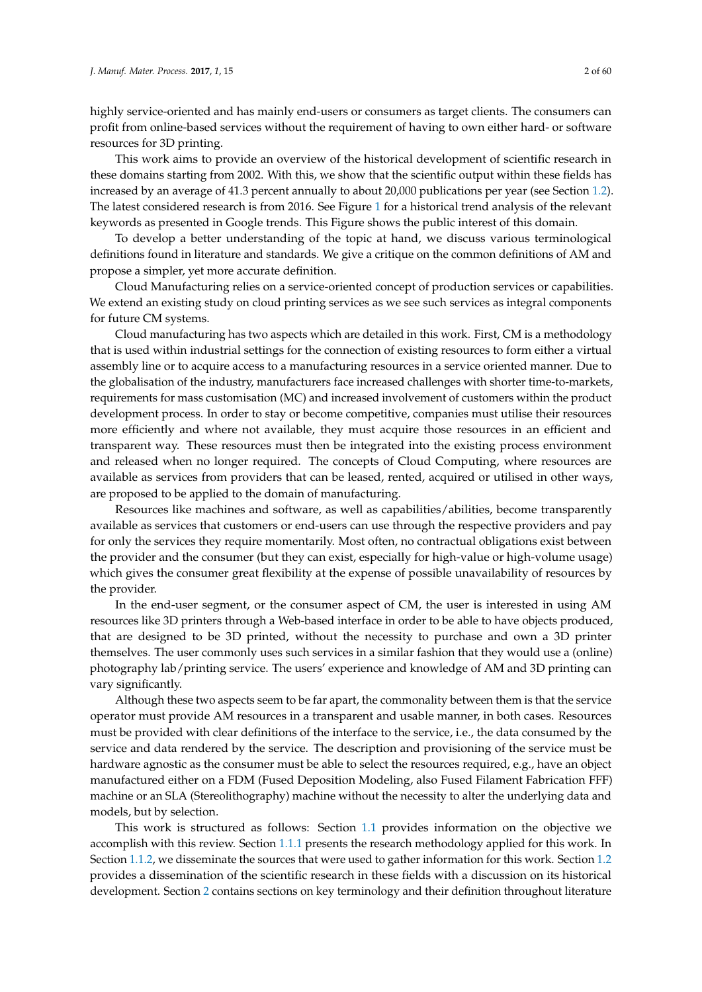highly service-oriented and has mainly end-users or consumers as target clients. The consumers can profit from online-based services without the requirement of having to own either hard- or software resources for 3D printing.

This work aims to provide an overview of the historical development of scientific research in these domains starting from 2002. With this, we show that the scientific output within these fields has increased by an average of 41.3 percent annually to about 20,000 publications per year (see Section [1.2\)](#page-4-0). The latest considered research is from 2016. See Figure [1](#page-2-0) for a historical trend analysis of the relevant keywords as presented in Google trends. This Figure shows the public interest of this domain.

To develop a better understanding of the topic at hand, we discuss various terminological definitions found in literature and standards. We give a critique on the common definitions of AM and propose a simpler, yet more accurate definition.

Cloud Manufacturing relies on a service-oriented concept of production services or capabilities. We extend an existing study on cloud printing services as we see such services as integral components for future CM systems.

Cloud manufacturing has two aspects which are detailed in this work. First, CM is a methodology that is used within industrial settings for the connection of existing resources to form either a virtual assembly line or to acquire access to a manufacturing resources in a service oriented manner. Due to the globalisation of the industry, manufacturers face increased challenges with shorter time-to-markets, requirements for mass customisation (MC) and increased involvement of customers within the product development process. In order to stay or become competitive, companies must utilise their resources more efficiently and where not available, they must acquire those resources in an efficient and transparent way. These resources must then be integrated into the existing process environment and released when no longer required. The concepts of Cloud Computing, where resources are available as services from providers that can be leased, rented, acquired or utilised in other ways, are proposed to be applied to the domain of manufacturing.

Resources like machines and software, as well as capabilities/abilities, become transparently available as services that customers or end-users can use through the respective providers and pay for only the services they require momentarily. Most often, no contractual obligations exist between the provider and the consumer (but they can exist, especially for high-value or high-volume usage) which gives the consumer great flexibility at the expense of possible unavailability of resources by the provider.

In the end-user segment, or the consumer aspect of CM, the user is interested in using AM resources like 3D printers through a Web-based interface in order to be able to have objects produced, that are designed to be 3D printed, without the necessity to purchase and own a 3D printer themselves. The user commonly uses such services in a similar fashion that they would use a (online) photography lab/printing service. The users' experience and knowledge of AM and 3D printing can vary significantly.

Although these two aspects seem to be far apart, the commonality between them is that the service operator must provide AM resources in a transparent and usable manner, in both cases. Resources must be provided with clear definitions of the interface to the service, i.e., the data consumed by the service and data rendered by the service. The description and provisioning of the service must be hardware agnostic as the consumer must be able to select the resources required, e.g., have an object manufactured either on a FDM (Fused Deposition Modeling, also Fused Filament Fabrication FFF) machine or an SLA (Stereolithography) machine without the necessity to alter the underlying data and models, but by selection.

This work is structured as follows: Section [1.1](#page-2-1) provides information on the objective we accomplish with this review. Section [1.1.1](#page-2-2) presents the research methodology applied for this work. In Section [1.1.2,](#page-3-0) we disseminate the sources that were used to gather information for this work. Section [1.2](#page-4-0) provides a dissemination of the scientific research in these fields with a discussion on its historical development. Section [2](#page-7-0) contains sections on key terminology and their definition throughout literature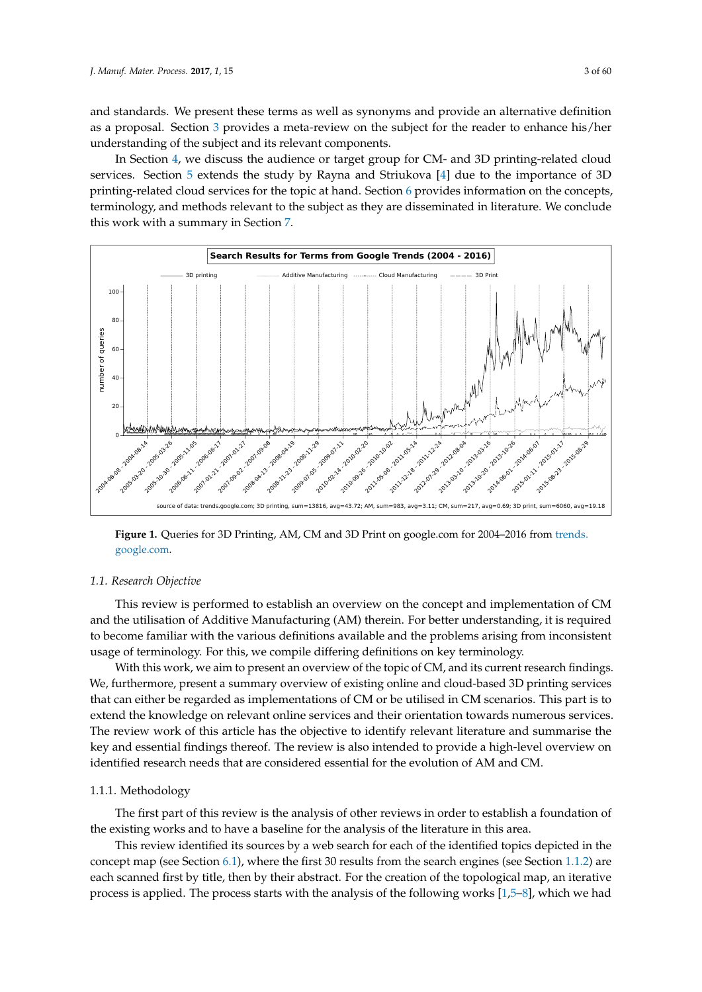and standards. We present these terms as well as synonyms and provide an alternative definition as a proposal. Section [3](#page-10-0) provides a meta-review on the subject for the reader to enhance his/her understanding of the subject and its relevant components.

In Section [4,](#page-13-0) we discuss the audience or target group for CM- and 3D printing-related cloud services. Section [5](#page-14-0) extends the study by Rayna and Striukova [\[4\]](#page-46-2) due to the importance of 3D printing-related cloud services for the topic at hand. Section [6](#page-19-0) provides information on the concepts, terminology, and methods relevant to the subject as they are disseminated in literature. We conclude this work with a summary in Section [7.](#page-45-1)

<span id="page-2-0"></span>

**Figure 1.** Queries for 3D Printing, AM, CM and 3D Print on google.com for 2004–2016 from [trends.](trends.google.com) [google.com.](trends.google.com)

# <span id="page-2-1"></span>*1.1. Research Objective*

This review is performed to establish an overview on the concept and implementation of CM and the utilisation of Additive Manufacturing (AM) therein. For better understanding, it is required to become familiar with the various definitions available and the problems arising from inconsistent usage of terminology. For this, we compile differing definitions on key terminology.

With this work, we aim to present an overview of the topic of CM, and its current research findings. We, furthermore, present a summary overview of existing online and cloud-based 3D printing services that can either be regarded as implementations of CM or be utilised in CM scenarios. This part is to extend the knowledge on relevant online services and their orientation towards numerous services. The review work of this article has the objective to identify relevant literature and summarise the key and essential findings thereof. The review is also intended to provide a high-level overview on identified research needs that are considered essential for the evolution of AM and CM.

# <span id="page-2-2"></span>1.1.1. Methodology

The first part of this review is the analysis of other reviews in order to establish a foundation of the existing works and to have a baseline for the analysis of the literature in this area.

This review identified its sources by a web search for each of the identified topics depicted in the concept map (see Section [6.1\)](#page-19-1), where the first 30 results from the search engines (see Section [1.1.2\)](#page-3-0) are each scanned first by title, then by their abstract. For the creation of the topological map, an iterative process is applied. The process starts with the analysis of the following works [\[1,](#page-45-0)[5](#page-46-3)[–8\]](#page-46-4), which we had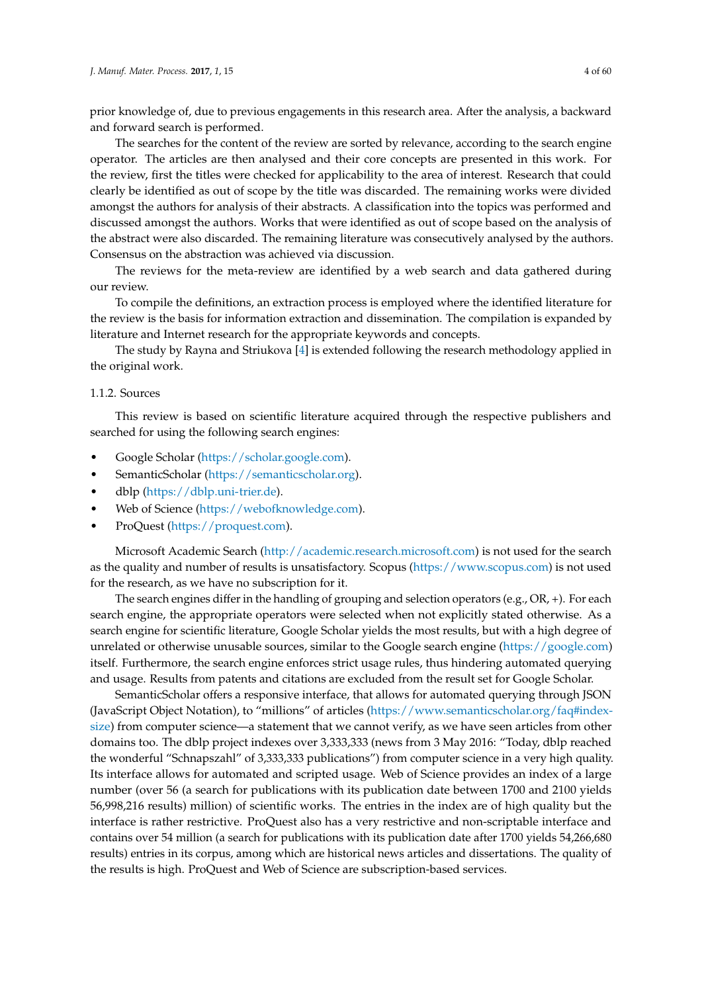prior knowledge of, due to previous engagements in this research area. After the analysis, a backward and forward search is performed.

The searches for the content of the review are sorted by relevance, according to the search engine operator. The articles are then analysed and their core concepts are presented in this work. For the review, first the titles were checked for applicability to the area of interest. Research that could clearly be identified as out of scope by the title was discarded. The remaining works were divided amongst the authors for analysis of their abstracts. A classification into the topics was performed and discussed amongst the authors. Works that were identified as out of scope based on the analysis of the abstract were also discarded. The remaining literature was consecutively analysed by the authors. Consensus on the abstraction was achieved via discussion.

The reviews for the meta-review are identified by a web search and data gathered during our review.

To compile the definitions, an extraction process is employed where the identified literature for the review is the basis for information extraction and dissemination. The compilation is expanded by literature and Internet research for the appropriate keywords and concepts.

The study by Rayna and Striukova [\[4\]](#page-46-2) is extended following the research methodology applied in the original work.

## <span id="page-3-0"></span>1.1.2. Sources

This review is based on scientific literature acquired through the respective publishers and searched for using the following search engines:

- Google Scholar [\(https://scholar.google.com\)](https://scholar.google.com).
- SemanticScholar [\(https://semanticscholar.org\)](https://semanticscholar.org).
- dblp [\(https://dblp.uni-trier.de\)](https://dblp.uni-trier.de).
- Web of Science [\(https://webofknowledge.com\)](https://webofknowledge.com).
- ProQuest [\(https://proquest.com\)](https://proquest.com).

Microsoft Academic Search [\(http://academic.research.microsoft.com\)](http://academic.research.microsoft.com) is not used for the search as the quality and number of results is unsatisfactory. Scopus [\(https://www.scopus.com\)](https://www.scopus.com) is not used for the research, as we have no subscription for it.

The search engines differ in the handling of grouping and selection operators (e.g., OR, +). For each search engine, the appropriate operators were selected when not explicitly stated otherwise. As a search engine for scientific literature, Google Scholar yields the most results, but with a high degree of unrelated or otherwise unusable sources, similar to the Google search engine [\(https://google.com\)](https://google.com) itself. Furthermore, the search engine enforces strict usage rules, thus hindering automated querying and usage. Results from patents and citations are excluded from the result set for Google Scholar.

SemanticScholar offers a responsive interface, that allows for automated querying through JSON (JavaScript Object Notation), to "millions" of articles [\(https://www.semanticscholar.org/faq#index](https://www.semanticscholar.org/faq#index-size)[size\)](https://www.semanticscholar.org/faq#index-size) from computer science—a statement that we cannot verify, as we have seen articles from other domains too. The dblp project indexes over 3,333,333 (news from 3 May 2016: "Today, dblp reached the wonderful "Schnapszahl" of 3,333,333 publications") from computer science in a very high quality. Its interface allows for automated and scripted usage. Web of Science provides an index of a large number (over 56 (a search for publications with its publication date between 1700 and 2100 yields 56,998,216 results) million) of scientific works. The entries in the index are of high quality but the interface is rather restrictive. ProQuest also has a very restrictive and non-scriptable interface and contains over 54 million (a search for publications with its publication date after 1700 yields 54,266,680 results) entries in its corpus, among which are historical news articles and dissertations. The quality of the results is high. ProQuest and Web of Science are subscription-based services.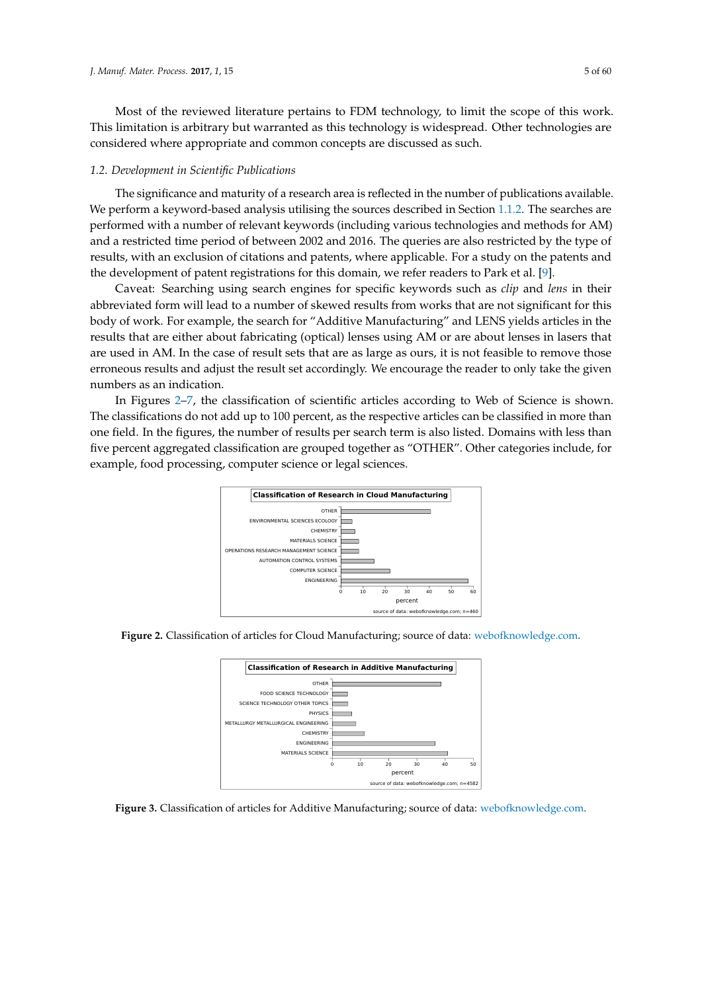Most of the reviewed literature pertains to FDM technology, to limit the scope of this work. This limitation is arbitrary but warranted as this technology is widespread. Other technologies are considered where appropriate and common concepts are discussed as such.

#### <span id="page-4-0"></span>*1.2. Development in Scientific Publications*

The significance and maturity of a research area is reflected in the number of publications available. We perform a keyword-based analysis utilising the sources described in Section [1.1.2.](#page-3-0) The searches are performed with a number of relevant keywords (including various technologies and methods for AM) and a restricted time period of between 2002 and 2016. The queries are also restricted by the type of results, with an exclusion of citations and patents, where applicable. For a study on the patents and the development of patent registrations for this domain, we refer readers to Park et al. [\[9\]](#page-46-5).

Caveat: Searching using search engines for specific keywords such as *clip* and *lens* in their abbreviated form will lead to a number of skewed results from works that are not significant for this body of work. For example, the search for "Additive Manufacturing" and LENS yields articles in the results that are either about fabricating (optical) lenses using AM or are about lenses in lasers that are used in AM. In the case of result sets that are as large as ours, it is not feasible to remove those erroneous results and adjust the result set accordingly. We encourage the reader to only take the given numbers as an indication.

<span id="page-4-1"></span>In Figures [2](#page-4-1)[–7,](#page-5-0) the classification of scientific articles according to Web of Science is shown. The classifications do not add up to 100 percent, as the respective articles can be classified in more than one field. In the figures, the number of results per search term is also listed. Domains with less than five percent aggregated classification are grouped together as "OTHER". Other categories include, for example, food processing, computer science or legal sciences.







**Figure 3.** Classification of articles for Additive Manufacturing; source of data: [webofknowledge.com.](webofknowledge.com)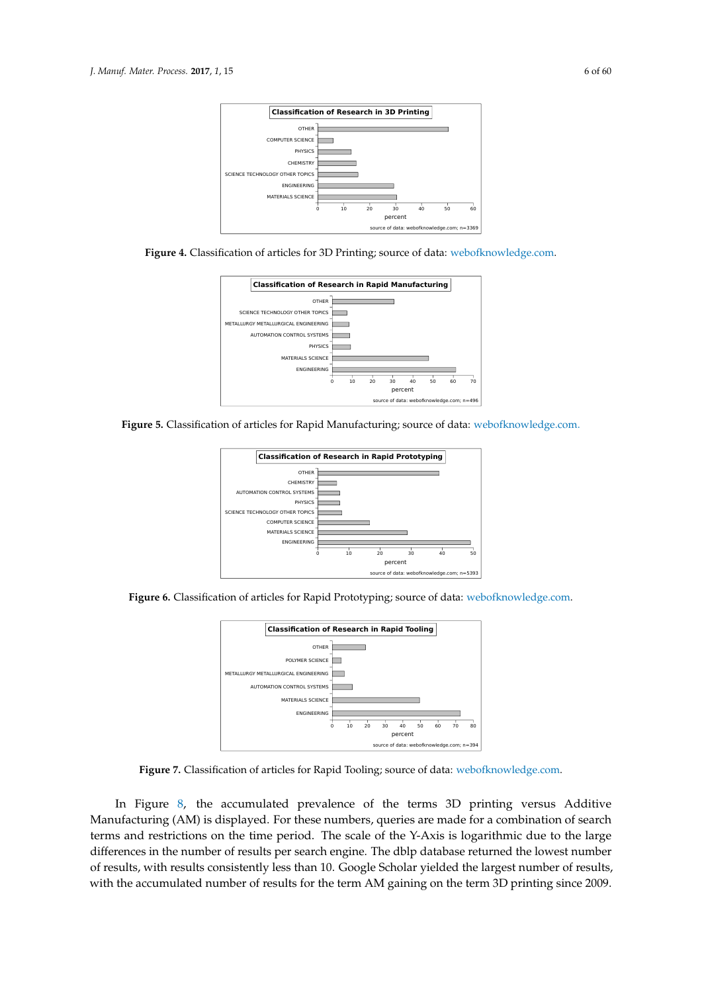





**Figure 5.** Classification of articles for Rapid Manufacturing; source of data: <webofknowledge.com.>



<span id="page-5-0"></span>**Figure 6.** Classification of articles for Rapid Prototyping; source of data: [webofknowledge.com.](webofknowledge.com)



**Figure 7.** Classification of articles for Rapid Tooling; source of data: [webofknowledge.com.](webofknowledge.com)

In Figure [8,](#page-6-0) the accumulated prevalence of the terms 3D printing versus Additive Manufacturing (AM) is displayed. For these numbers, queries are made for a combination of search terms and restrictions on the time period. The scale of the Y-Axis is logarithmic due to the large differences in the number of results per search engine. The dblp database returned the lowest number of results, with results consistently less than 10. Google Scholar yielded the largest number of results, with the accumulated number of results for the term AM gaining on the term 3D printing since 2009.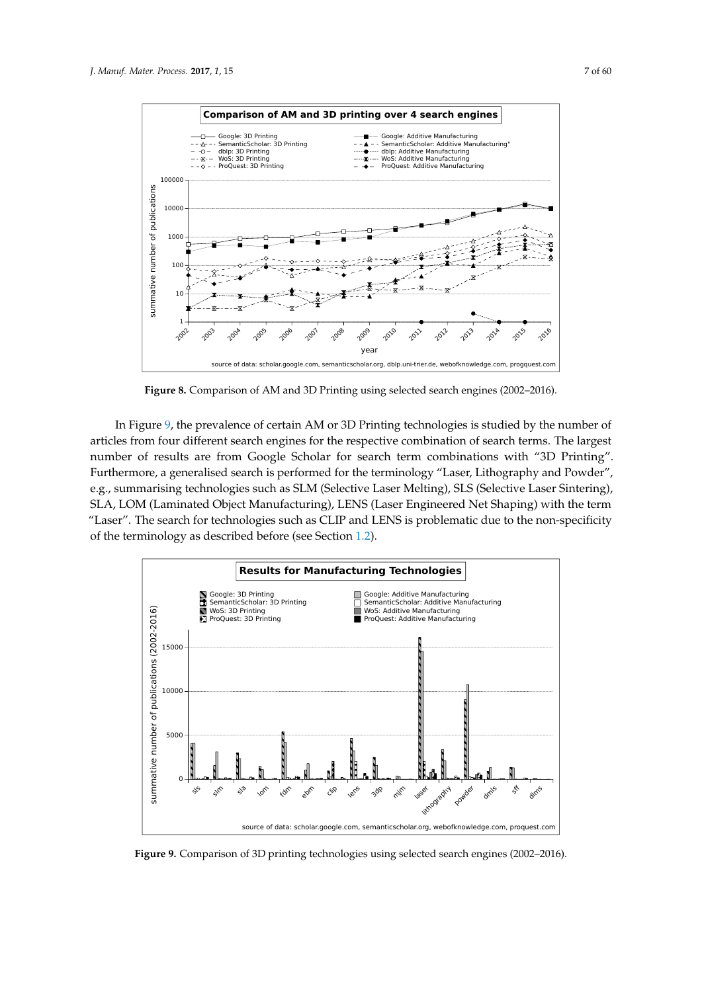

<span id="page-6-0"></span>

**Figure 8.** Comparison of AM and 3D Printing using selected search engines (2002–2016).

In Figure [9,](#page-6-1) the prevalence of certain AM or 3D Printing technologies is studied by the number of articles from four different search engines for the respective combination of search terms. The largest number of results are from Google Scholar for search term combinations with "3D Printing". Furthermore, a generalised search is performed for the terminology "Laser, Lithography and Powder", e.g., summarising technologies such as SLM (Selective Laser Melting), SLS (Selective Laser Sintering), SLA, LOM (Laminated Object Manufacturing), LENS (Laser Engineered Net Shaping) with the term "Laser". The search for technologies such as CLIP and LENS is problematic due to the non-specificity of the terminology as described before (see Section [1.2\)](#page-4-0).

<span id="page-6-1"></span>

**Figure 9.** Comparison of 3D printing technologies using selected search engines (2002–2016).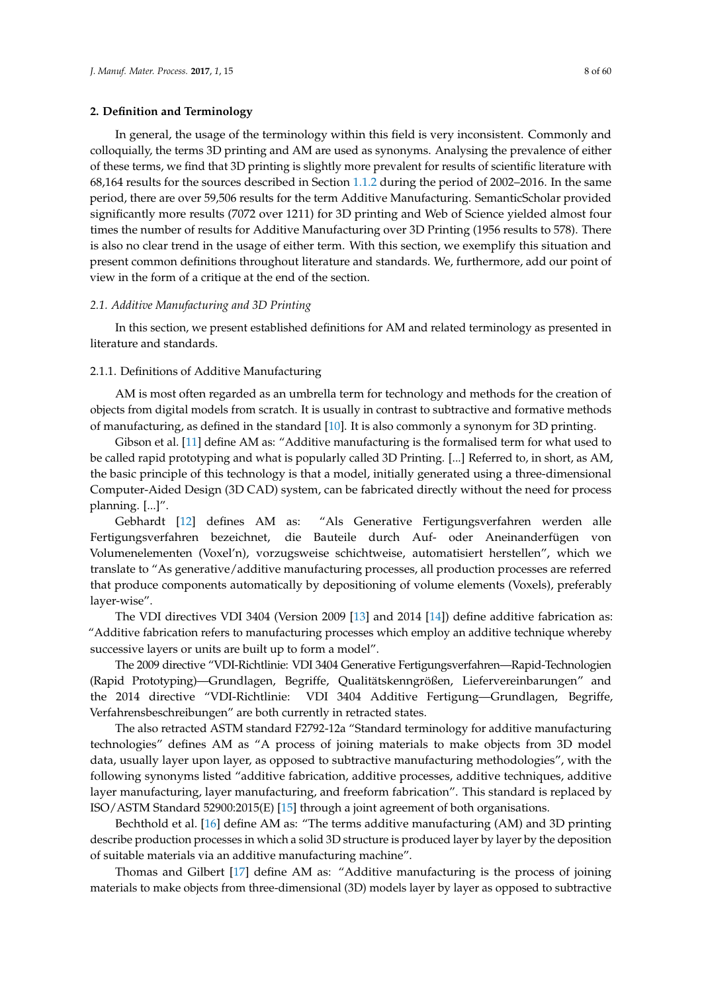## <span id="page-7-0"></span>**2. Definition and Terminology**

In general, the usage of the terminology within this field is very inconsistent. Commonly and colloquially, the terms 3D printing and AM are used as synonyms. Analysing the prevalence of either of these terms, we find that 3D printing is slightly more prevalent for results of scientific literature with 68,164 results for the sources described in Section [1.1.2](#page-3-0) during the period of 2002–2016. In the same period, there are over 59,506 results for the term Additive Manufacturing. SemanticScholar provided significantly more results (7072 over 1211) for 3D printing and Web of Science yielded almost four times the number of results for Additive Manufacturing over 3D Printing (1956 results to 578). There is also no clear trend in the usage of either term. With this section, we exemplify this situation and present common definitions throughout literature and standards. We, furthermore, add our point of view in the form of a critique at the end of the section.

## *2.1. Additive Manufacturing and 3D Printing*

In this section, we present established definitions for AM and related terminology as presented in literature and standards.

# 2.1.1. Definitions of Additive Manufacturing

AM is most often regarded as an umbrella term for technology and methods for the creation of objects from digital models from scratch. It is usually in contrast to subtractive and formative methods of manufacturing, as defined in the standard [\[10\]](#page-46-6). It is also commonly a synonym for 3D printing.

Gibson et al. [\[11\]](#page-46-7) define AM as: "Additive manufacturing is the formalised term for what used to be called rapid prototyping and what is popularly called 3D Printing. [...] Referred to, in short, as AM, the basic principle of this technology is that a model, initially generated using a three-dimensional Computer-Aided Design (3D CAD) system, can be fabricated directly without the need for process planning. [...]".

Gebhardt [\[12\]](#page-46-8) defines AM as: "Als Generative Fertigungsverfahren werden alle Fertigungsverfahren bezeichnet, die Bauteile durch Auf- oder Aneinanderfügen von Volumenelementen (Voxel'n), vorzugsweise schichtweise, automatisiert herstellen", which we translate to "As generative/additive manufacturing processes, all production processes are referred that produce components automatically by depositioning of volume elements (Voxels), preferably layer-wise".

The VDI directives VDI 3404 (Version 2009 [\[13\]](#page-46-9) and 2014 [\[14\]](#page-46-10)) define additive fabrication as: "Additive fabrication refers to manufacturing processes which employ an additive technique whereby successive layers or units are built up to form a model".

The 2009 directive "VDI-Richtlinie: VDI 3404 Generative Fertigungsverfahren—Rapid-Technologien (Rapid Prototyping)—Grundlagen, Begriffe, Qualitätskenngrößen, Liefervereinbarungen" and the 2014 directive "VDI-Richtlinie: VDI 3404 Additive Fertigung—Grundlagen, Begriffe, Verfahrensbeschreibungen" are both currently in retracted states.

The also retracted ASTM standard F2792-12a "Standard terminology for additive manufacturing technologies" defines AM as "A process of joining materials to make objects from 3D model data, usually layer upon layer, as opposed to subtractive manufacturing methodologies", with the following synonyms listed "additive fabrication, additive processes, additive techniques, additive layer manufacturing, layer manufacturing, and freeform fabrication". This standard is replaced by ISO/ASTM Standard 52900:2015(E) [\[15\]](#page-46-11) through a joint agreement of both organisations.

Bechthold et al. [\[16\]](#page-46-12) define AM as: "The terms additive manufacturing (AM) and 3D printing describe production processes in which a solid 3D structure is produced layer by layer by the deposition of suitable materials via an additive manufacturing machine".

Thomas and Gilbert [\[17\]](#page-46-13) define AM as: "Additive manufacturing is the process of joining materials to make objects from three-dimensional (3D) models layer by layer as opposed to subtractive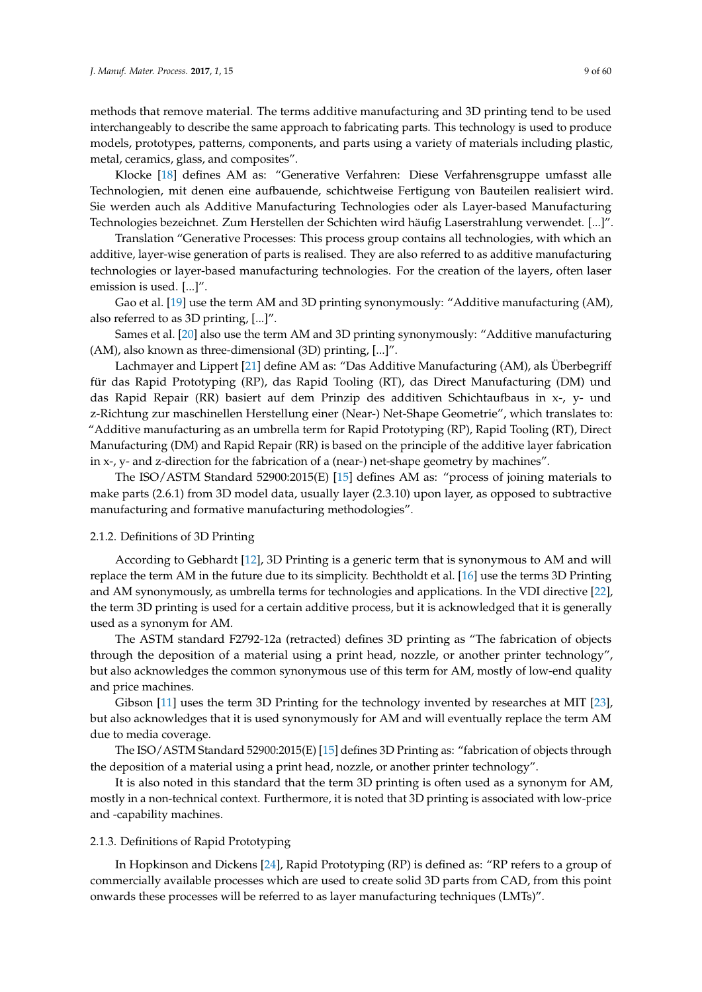methods that remove material. The terms additive manufacturing and 3D printing tend to be used interchangeably to describe the same approach to fabricating parts. This technology is used to produce models, prototypes, patterns, components, and parts using a variety of materials including plastic, metal, ceramics, glass, and composites".

Klocke [\[18\]](#page-46-14) defines AM as: "Generative Verfahren: Diese Verfahrensgruppe umfasst alle Technologien, mit denen eine aufbauende, schichtweise Fertigung von Bauteilen realisiert wird. Sie werden auch als Additive Manufacturing Technologies oder als Layer-based Manufacturing Technologies bezeichnet. Zum Herstellen der Schichten wird häufig Laserstrahlung verwendet. [...]".

Translation "Generative Processes: This process group contains all technologies, with which an additive, layer-wise generation of parts is realised. They are also referred to as additive manufacturing technologies or layer-based manufacturing technologies. For the creation of the layers, often laser emission is used. [...]".

Gao et al. [\[19\]](#page-46-15) use the term AM and 3D printing synonymously: "Additive manufacturing (AM), also referred to as 3D printing, [...]".

Sames et al. [\[20\]](#page-46-16) also use the term AM and 3D printing synonymously: "Additive manufacturing (AM), also known as three-dimensional (3D) printing, [...]".

Lachmayer and Lippert [\[21\]](#page-46-17) define AM as: "Das Additive Manufacturing (AM), als Überbegriff für das Rapid Prototyping (RP), das Rapid Tooling (RT), das Direct Manufacturing (DM) und das Rapid Repair (RR) basiert auf dem Prinzip des additiven Schichtaufbaus in x-, y- und z-Richtung zur maschinellen Herstellung einer (Near-) Net-Shape Geometrie", which translates to: "Additive manufacturing as an umbrella term for Rapid Prototyping (RP), Rapid Tooling (RT), Direct Manufacturing (DM) and Rapid Repair (RR) is based on the principle of the additive layer fabrication in x-, y- and z-direction for the fabrication of a (near-) net-shape geometry by machines".

The ISO/ASTM Standard 52900:2015(E) [\[15\]](#page-46-11) defines AM as: "process of joining materials to make parts (2.6.1) from 3D model data, usually layer (2.3.10) upon layer, as opposed to subtractive manufacturing and formative manufacturing methodologies".

# <span id="page-8-0"></span>2.1.2. Definitions of 3D Printing

According to Gebhardt [\[12\]](#page-46-8), 3D Printing is a generic term that is synonymous to AM and will replace the term AM in the future due to its simplicity. Bechtholdt et al. [\[16\]](#page-46-12) use the terms 3D Printing and AM synonymously, as umbrella terms for technologies and applications. In the VDI directive [\[22\]](#page-46-18), the term 3D printing is used for a certain additive process, but it is acknowledged that it is generally used as a synonym for AM.

The ASTM standard F2792-12a (retracted) defines 3D printing as "The fabrication of objects through the deposition of a material using a print head, nozzle, or another printer technology", but also acknowledges the common synonymous use of this term for AM, mostly of low-end quality and price machines.

Gibson [\[11\]](#page-46-7) uses the term 3D Printing for the technology invented by researches at MIT [\[23\]](#page-46-19), but also acknowledges that it is used synonymously for AM and will eventually replace the term AM due to media coverage.

The ISO/ASTM Standard 52900:2015(E) [\[15\]](#page-46-11) defines 3D Printing as: "fabrication of objects through the deposition of a material using a print head, nozzle, or another printer technology".

It is also noted in this standard that the term 3D printing is often used as a synonym for AM, mostly in a non-technical context. Furthermore, it is noted that 3D printing is associated with low-price and -capability machines.

# <span id="page-8-1"></span>2.1.3. Definitions of Rapid Prototyping

In Hopkinson and Dickens [\[24\]](#page-46-20), Rapid Prototyping (RP) is defined as: "RP refers to a group of commercially available processes which are used to create solid 3D parts from CAD, from this point onwards these processes will be referred to as layer manufacturing techniques (LMTs)".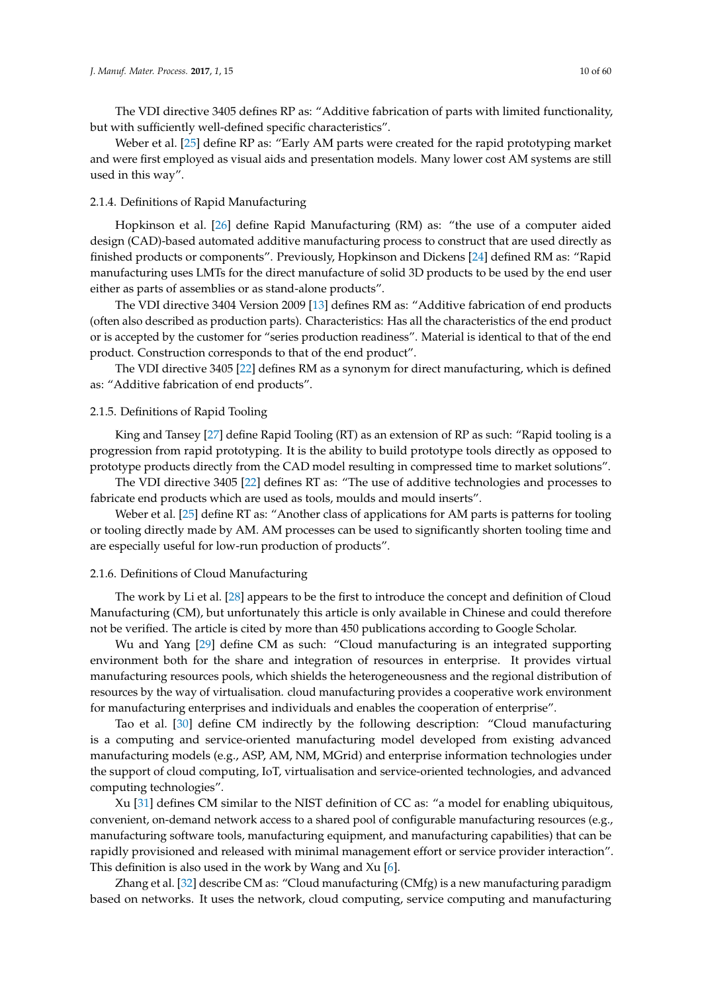The VDI directive 3405 defines RP as: "Additive fabrication of parts with limited functionality, but with sufficiently well-defined specific characteristics".

Weber et al. [\[25\]](#page-47-0) define RP as: "Early AM parts were created for the rapid prototyping market and were first employed as visual aids and presentation models. Many lower cost AM systems are still used in this way".

# <span id="page-9-1"></span>2.1.4. Definitions of Rapid Manufacturing

Hopkinson et al. [\[26\]](#page-47-1) define Rapid Manufacturing (RM) as: "the use of a computer aided design (CAD)-based automated additive manufacturing process to construct that are used directly as finished products or components". Previously, Hopkinson and Dickens [\[24\]](#page-46-20) defined RM as: "Rapid manufacturing uses LMTs for the direct manufacture of solid 3D products to be used by the end user either as parts of assemblies or as stand-alone products".

The VDI directive 3404 Version 2009 [\[13\]](#page-46-9) defines RM as: "Additive fabrication of end products (often also described as production parts). Characteristics: Has all the characteristics of the end product or is accepted by the customer for "series production readiness". Material is identical to that of the end product. Construction corresponds to that of the end product".

The VDI directive 3405 [\[22\]](#page-46-18) defines RM as a synonym for direct manufacturing, which is defined as: "Additive fabrication of end products".

## <span id="page-9-0"></span>2.1.5. Definitions of Rapid Tooling

King and Tansey [\[27\]](#page-47-2) define Rapid Tooling (RT) as an extension of RP as such: "Rapid tooling is a progression from rapid prototyping. It is the ability to build prototype tools directly as opposed to prototype products directly from the CAD model resulting in compressed time to market solutions".

The VDI directive 3405 [\[22\]](#page-46-18) defines RT as: "The use of additive technologies and processes to fabricate end products which are used as tools, moulds and mould inserts".

Weber et al. [\[25\]](#page-47-0) define RT as: "Another class of applications for AM parts is patterns for tooling or tooling directly made by AM. AM processes can be used to significantly shorten tooling time and are especially useful for low-run production of products".

#### 2.1.6. Definitions of Cloud Manufacturing

The work by Li et al. [\[28\]](#page-47-3) appears to be the first to introduce the concept and definition of Cloud Manufacturing (CM), but unfortunately this article is only available in Chinese and could therefore not be verified. The article is cited by more than 450 publications according to Google Scholar.

Wu and Yang [\[29\]](#page-47-4) define CM as such: "Cloud manufacturing is an integrated supporting environment both for the share and integration of resources in enterprise. It provides virtual manufacturing resources pools, which shields the heterogeneousness and the regional distribution of resources by the way of virtualisation. cloud manufacturing provides a cooperative work environment for manufacturing enterprises and individuals and enables the cooperation of enterprise".

Tao et al. [\[30\]](#page-47-5) define CM indirectly by the following description: "Cloud manufacturing is a computing and service-oriented manufacturing model developed from existing advanced manufacturing models (e.g., ASP, AM, NM, MGrid) and enterprise information technologies under the support of cloud computing, IoT, virtualisation and service-oriented technologies, and advanced computing technologies".

Xu [\[31\]](#page-47-6) defines CM similar to the NIST definition of CC as: "a model for enabling ubiquitous, convenient, on-demand network access to a shared pool of configurable manufacturing resources (e.g., manufacturing software tools, manufacturing equipment, and manufacturing capabilities) that can be rapidly provisioned and released with minimal management effort or service provider interaction". This definition is also used in the work by Wang and Xu [\[6\]](#page-46-21).

Zhang et al. [\[32\]](#page-47-7) describe CM as: "Cloud manufacturing (CMfg) is a new manufacturing paradigm based on networks. It uses the network, cloud computing, service computing and manufacturing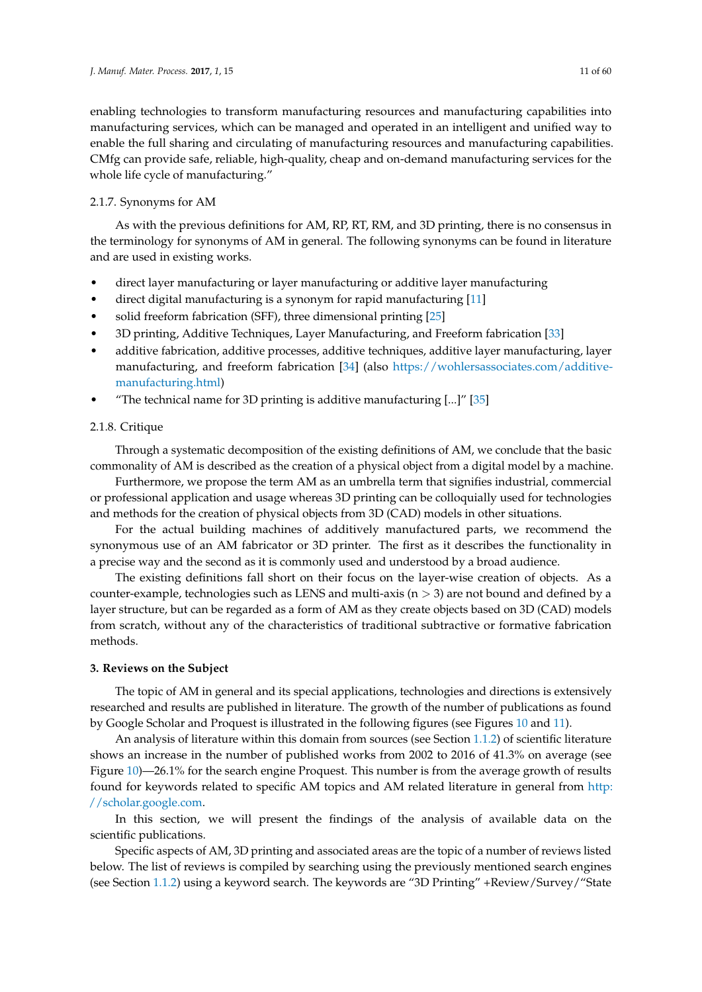enabling technologies to transform manufacturing resources and manufacturing capabilities into manufacturing services, which can be managed and operated in an intelligent and unified way to enable the full sharing and circulating of manufacturing resources and manufacturing capabilities. CMfg can provide safe, reliable, high-quality, cheap and on-demand manufacturing services for the whole life cycle of manufacturing."

# 2.1.7. Synonyms for AM

As with the previous definitions for AM, RP, RT, RM, and 3D printing, there is no consensus in the terminology for synonyms of AM in general. The following synonyms can be found in literature and are used in existing works.

- direct layer manufacturing or layer manufacturing or additive layer manufacturing
- direct digital manufacturing is a synonym for rapid manufacturing [\[11\]](#page-46-7)
- solid freeform fabrication (SFF), three dimensional printing [\[25\]](#page-47-0)
- 3D printing, Additive Techniques, Layer Manufacturing, and Freeform fabrication [\[33\]](#page-47-8)
- additive fabrication, additive processes, additive techniques, additive layer manufacturing, layer manufacturing, and freeform fabrication [\[34\]](#page-47-9) (also [https://wohlersassociates.com/additive](https://wohlersassociates.com/additive-manufacturing.html)[manufacturing.html\)](https://wohlersassociates.com/additive-manufacturing.html)
- "The technical name for 3D printing is additive manufacturing  $\left[ \ldots \right]$ "  $\left[ 35\right]$

# 2.1.8. Critique

Through a systematic decomposition of the existing definitions of AM, we conclude that the basic commonality of AM is described as the creation of a physical object from a digital model by a machine.

Furthermore, we propose the term AM as an umbrella term that signifies industrial, commercial or professional application and usage whereas 3D printing can be colloquially used for technologies and methods for the creation of physical objects from 3D (CAD) models in other situations.

For the actual building machines of additively manufactured parts, we recommend the synonymous use of an AM fabricator or 3D printer. The first as it describes the functionality in a precise way and the second as it is commonly used and understood by a broad audience.

The existing definitions fall short on their focus on the layer-wise creation of objects. As a counter-example, technologies such as LENS and multi-axis ( $n > 3$ ) are not bound and defined by a layer structure, but can be regarded as a form of AM as they create objects based on 3D (CAD) models from scratch, without any of the characteristics of traditional subtractive or formative fabrication methods.

# <span id="page-10-0"></span>**3. Reviews on the Subject**

The topic of AM in general and its special applications, technologies and directions is extensively researched and results are published in literature. The growth of the number of publications as found by Google Scholar and Proquest is illustrated in the following figures (see Figures [10](#page-11-0) and [11\)](#page-11-1).

An analysis of literature within this domain from sources (see Section [1.1.2\)](#page-3-0) of scientific literature shows an increase in the number of published works from 2002 to 2016 of 41.3% on average (see Figure [10\)](#page-11-0)—26.1% for the search engine Proquest. This number is from the average growth of results found for keywords related to specific AM topics and AM related literature in general from [http:](http://scholar.google.com) [//scholar.google.com.](http://scholar.google.com)

In this section, we will present the findings of the analysis of available data on the scientific publications.

Specific aspects of AM, 3D printing and associated areas are the topic of a number of reviews listed below. The list of reviews is compiled by searching using the previously mentioned search engines (see Section [1.1.2\)](#page-3-0) using a keyword search. The keywords are "3D Printing" +Review/Survey/"State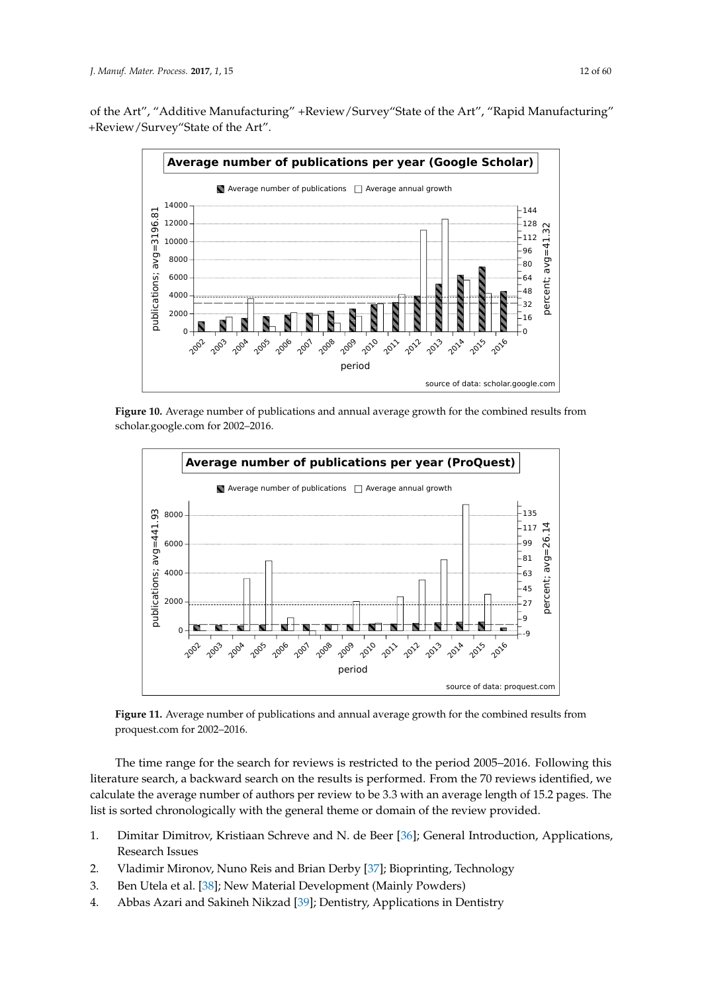<span id="page-11-0"></span>of the Art", "Additive Manufacturing" +Review/Survey"State of the Art", "Rapid Manufacturing" +Review/Survey"State of the Art".



**Figure 10.** Average number of publications and annual average growth for the combined results from scholar.google.com for 2002–2016.

<span id="page-11-1"></span>

**Figure 11.** Average number of publications and annual average growth for the combined results from proquest.com for 2002–2016.

The time range for the search for reviews is restricted to the period 2005–2016. Following this literature search, a backward search on the results is performed. From the 70 reviews identified, we calculate the average number of authors per review to be 3.3 with an average length of 15.2 pages. The list is sorted chronologically with the general theme or domain of the review provided.

- 1. Dimitar Dimitrov, Kristiaan Schreve and N. de Beer [\[36\]](#page-47-11); General Introduction, Applications, Research Issues
- 2. Vladimir Mironov, Nuno Reis and Brian Derby [\[37\]](#page-47-12); Bioprinting, Technology
- 3. Ben Utela et al. [\[38\]](#page-47-13); New Material Development (Mainly Powders)
- 4. Abbas Azari and Sakineh Nikzad [\[39\]](#page-47-14); Dentistry, Applications in Dentistry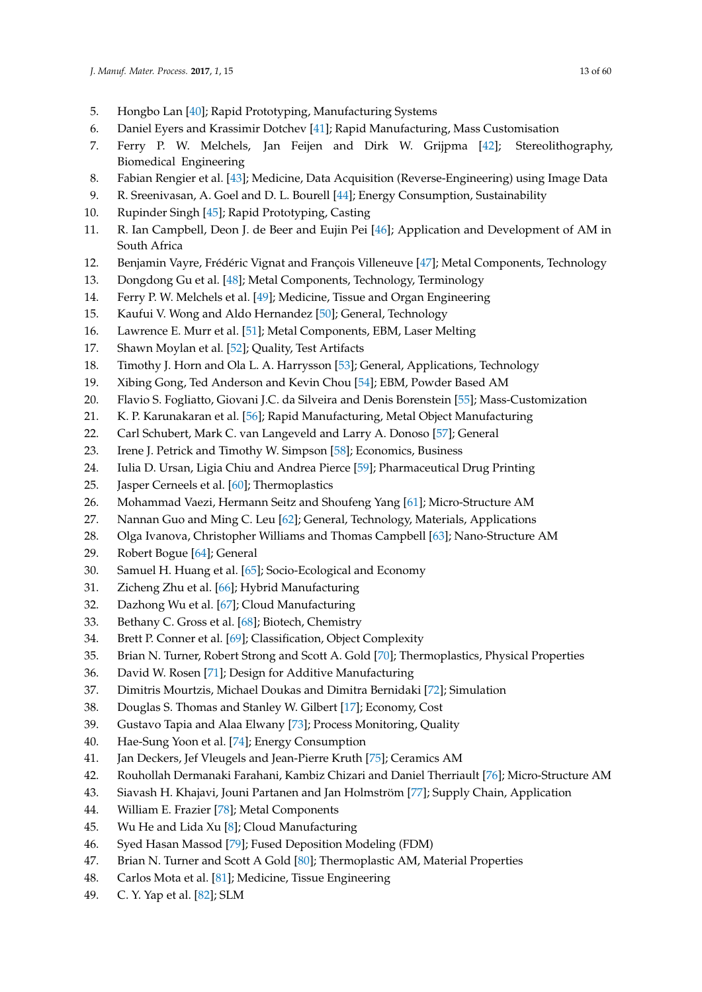- 5. Hongbo Lan [\[40\]](#page-47-15); Rapid Prototyping, Manufacturing Systems
- 6. Daniel Eyers and Krassimir Dotchev [\[41\]](#page-47-16); Rapid Manufacturing, Mass Customisation
- 7. Ferry P. W. Melchels, Jan Feijen and Dirk W. Grijpma [\[42\]](#page-47-17); Stereolithography, Biomedical Engineering
- 8. Fabian Rengier et al. [\[43\]](#page-47-18); Medicine, Data Acquisition (Reverse-Engineering) using Image Data
- 9. R. Sreenivasan, A. Goel and D. L. Bourell [\[44\]](#page-47-19); Energy Consumption, Sustainability
- 10. Rupinder Singh [\[45\]](#page-47-20); Rapid Prototyping, Casting
- 11. R. Ian Campbell, Deon J. de Beer and Eujin Pei [\[46\]](#page-47-21); Application and Development of AM in South Africa
- 12. Benjamin Vayre, Frédéric Vignat and François Villeneuve [\[47\]](#page-47-22); Metal Components, Technology
- 13. Dongdong Gu et al. [\[48\]](#page-47-23); Metal Components, Technology, Terminology
- 14. Ferry P. W. Melchels et al. [\[49\]](#page-47-24); Medicine, Tissue and Organ Engineering
- 15. Kaufui V. Wong and Aldo Hernandez [\[50\]](#page-47-25); General, Technology
- 16. Lawrence E. Murr et al. [\[51\]](#page-48-0); Metal Components, EBM, Laser Melting
- 17. Shawn Moylan et al. [\[52\]](#page-48-1); Quality, Test Artifacts
- 18. Timothy J. Horn and Ola L. A. Harrysson [\[53\]](#page-48-2); General, Applications, Technology
- 19. Xibing Gong, Ted Anderson and Kevin Chou [\[54\]](#page-48-3); EBM, Powder Based AM
- 20. Flavio S. Fogliatto, Giovani J.C. da Silveira and Denis Borenstein [\[55\]](#page-48-4); Mass-Customization
- 21. K. P. Karunakaran et al. [\[56\]](#page-48-5); Rapid Manufacturing, Metal Object Manufacturing
- 22. Carl Schubert, Mark C. van Langeveld and Larry A. Donoso [\[57\]](#page-48-6); General
- 23. Irene J. Petrick and Timothy W. Simpson [\[58\]](#page-48-7); Economics, Business
- 24. Iulia D. Ursan, Ligia Chiu and Andrea Pierce [\[59\]](#page-48-8); Pharmaceutical Drug Printing
- 25. Jasper Cerneels et al. [\[60\]](#page-48-9); Thermoplastics
- 26. Mohammad Vaezi, Hermann Seitz and Shoufeng Yang [\[61\]](#page-48-10); Micro-Structure AM
- 27. Nannan Guo and Ming C. Leu [\[62\]](#page-48-11); General, Technology, Materials, Applications
- 28. Olga Ivanova, Christopher Williams and Thomas Campbell [\[63\]](#page-48-12); Nano-Structure AM
- 29. Robert Bogue [\[64\]](#page-48-13); General
- 30. Samuel H. Huang et al. [\[65\]](#page-48-14); Socio-Ecological and Economy
- 31. Zicheng Zhu et al. [\[66\]](#page-48-15); Hybrid Manufacturing
- 32. Dazhong Wu et al. [\[67\]](#page-48-16); Cloud Manufacturing
- 33. Bethany C. Gross et al. [\[68\]](#page-48-17); Biotech, Chemistry
- 34. Brett P. Conner et al. [\[69\]](#page-48-18); Classification, Object Complexity
- 35. Brian N. Turner, Robert Strong and Scott A. Gold [\[70\]](#page-48-19); Thermoplastics, Physical Properties
- 36. David W. Rosen [\[71\]](#page-48-20); Design for Additive Manufacturing
- 37. Dimitris Mourtzis, Michael Doukas and Dimitra Bernidaki [\[72\]](#page-48-21); Simulation
- 38. Douglas S. Thomas and Stanley W. Gilbert [\[17\]](#page-46-13); Economy, Cost
- 39. Gustavo Tapia and Alaa Elwany [\[73\]](#page-48-22); Process Monitoring, Quality
- 40. Hae-Sung Yoon et al. [\[74\]](#page-48-23); Energy Consumption
- 41. Jan Deckers, Jef Vleugels and Jean-Pierre Kruth [\[75\]](#page-49-0); Ceramics AM
- 42. Rouhollah Dermanaki Farahani, Kambiz Chizari and Daniel Therriault [\[76\]](#page-49-1); Micro-Structure AM
- 43. Siavash H. Khajavi, Jouni Partanen and Jan Holmström [\[77\]](#page-49-2); Supply Chain, Application
- 44. William E. Frazier [\[78\]](#page-49-3); Metal Components
- 45. Wu He and Lida Xu [\[8\]](#page-46-4); Cloud Manufacturing
- 46. Syed Hasan Massod [\[79\]](#page-49-4); Fused Deposition Modeling (FDM)
- 47. Brian N. Turner and Scott A Gold [\[80\]](#page-49-5); Thermoplastic AM, Material Properties
- 48. Carlos Mota et al. [\[81\]](#page-49-6); Medicine, Tissue Engineering
- 49. C. Y. Yap et al. [\[82\]](#page-49-7); SLM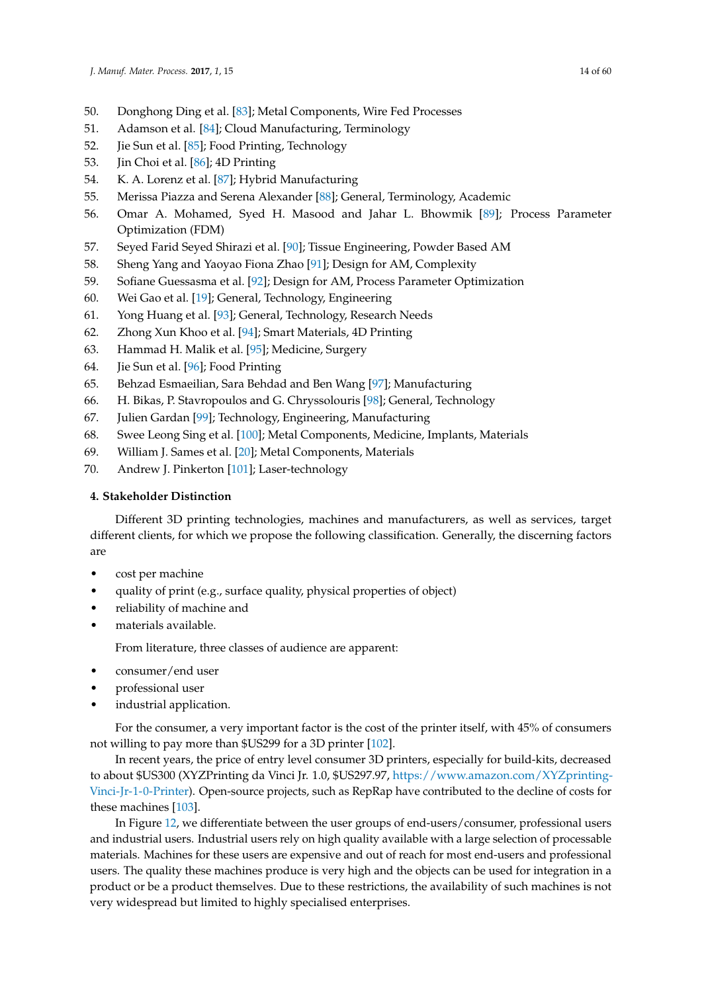- 50. Donghong Ding et al. [\[83\]](#page-49-8); Metal Components, Wire Fed Processes
- 51. Adamson et al. [\[84\]](#page-49-9); Cloud Manufacturing, Terminology
- 52. Jie Sun et al. [\[85\]](#page-49-10); Food Printing, Technology
- 53. Jin Choi et al. [\[86\]](#page-49-11); 4D Printing
- 54. K. A. Lorenz et al. [\[87\]](#page-49-12); Hybrid Manufacturing
- 55. Merissa Piazza and Serena Alexander [\[88\]](#page-49-13); General, Terminology, Academic
- 56. Omar A. Mohamed, Syed H. Masood and Jahar L. Bhowmik [\[89\]](#page-49-14); Process Parameter Optimization (FDM)
- 57. Seyed Farid Seyed Shirazi et al. [\[90\]](#page-49-15); Tissue Engineering, Powder Based AM
- 58. Sheng Yang and Yaoyao Fiona Zhao [\[91\]](#page-49-16); Design for AM, Complexity
- 59. Sofiane Guessasma et al. [\[92\]](#page-49-17); Design for AM, Process Parameter Optimization
- 60. Wei Gao et al. [\[19\]](#page-46-15); General, Technology, Engineering
- 61. Yong Huang et al. [\[93\]](#page-49-18); General, Technology, Research Needs
- 62. Zhong Xun Khoo et al. [\[94\]](#page-49-19); Smart Materials, 4D Printing
- 63. Hammad H. Malik et al. [\[95\]](#page-49-20); Medicine, Surgery
- 64. Jie Sun et al. [\[96\]](#page-49-21); Food Printing
- 65. Behzad Esmaeilian, Sara Behdad and Ben Wang [\[97\]](#page-49-22); Manufacturing
- 66. H. Bikas, P. Stavropoulos and G. Chryssolouris [\[98\]](#page-49-23); General, Technology
- 67. Julien Gardan [\[99\]](#page-49-24); Technology, Engineering, Manufacturing
- 68. Swee Leong Sing et al. [\[100\]](#page-49-25); Metal Components, Medicine, Implants, Materials
- 69. William J. Sames et al. [\[20\]](#page-46-16); Metal Components, Materials
- 70. Andrew J. Pinkerton [\[101\]](#page-50-0); Laser-technology

# <span id="page-13-0"></span>**4. Stakeholder Distinction**

Different 3D printing technologies, machines and manufacturers, as well as services, target different clients, for which we propose the following classification. Generally, the discerning factors are

- cost per machine
- quality of print (e.g., surface quality, physical properties of object)
- reliability of machine and
- materials available.

From literature, three classes of audience are apparent:

- consumer/end user
- professional user
- industrial application.

For the consumer, a very important factor is the cost of the printer itself, with 45% of consumers not willing to pay more than \$US299 for a 3D printer [\[102\]](#page-50-1).

In recent years, the price of entry level consumer 3D printers, especially for build-kits, decreased to about \$US300 (XYZPrinting da Vinci Jr. 1.0, \$US297.97, [https://www.amazon.com/XYZprinting-](https://www.amazon.com/XYZprinting-Vinci-Jr-1-0-Printer)[Vinci-Jr-1-0-Printer\)](https://www.amazon.com/XYZprinting-Vinci-Jr-1-0-Printer). Open-source projects, such as RepRap have contributed to the decline of costs for these machines [\[103\]](#page-50-2).

In Figure [12,](#page-14-1) we differentiate between the user groups of end-users/consumer, professional users and industrial users. Industrial users rely on high quality available with a large selection of processable materials. Machines for these users are expensive and out of reach for most end-users and professional users. The quality these machines produce is very high and the objects can be used for integration in a product or be a product themselves. Due to these restrictions, the availability of such machines is not very widespread but limited to highly specialised enterprises.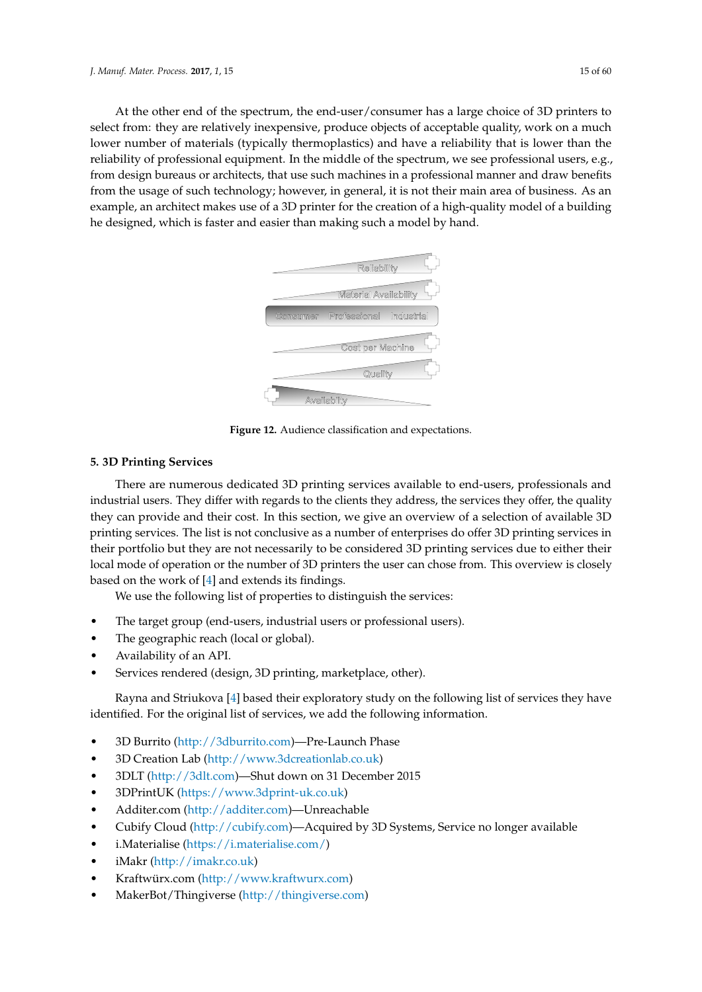<span id="page-14-1"></span>At the other end of the spectrum, the end-user/consumer has a large choice of 3D printers to select from: they are relatively inexpensive, produce objects of acceptable quality, work on a much lower number of materials (typically thermoplastics) and have a reliability that is lower than the reliability of professional equipment. In the middle of the spectrum, we see professional users, e.g., from design bureaus or architects, that use such machines in a professional manner and draw benefits from the usage of such technology; however, in general, it is not their main area of business. As an example, an architect makes use of a 3D printer for the creation of a high-quality model of a building he designed, which is faster and easier than making such a model by hand.



**Figure 12.** Audience classification and expectations.

# <span id="page-14-0"></span>**5. 3D Printing Services**

There are numerous dedicated 3D printing services available to end-users, professionals and industrial users. They differ with regards to the clients they address, the services they offer, the quality they can provide and their cost. In this section, we give an overview of a selection of available 3D printing services. The list is not conclusive as a number of enterprises do offer 3D printing services in their portfolio but they are not necessarily to be considered 3D printing services due to either their local mode of operation or the number of 3D printers the user can chose from. This overview is closely based on the work of [\[4\]](#page-46-2) and extends its findings.

We use the following list of properties to distinguish the services:

- The target group (end-users, industrial users or professional users).
- The geographic reach (local or global).
- Availability of an API.
- Services rendered (design, 3D printing, marketplace, other).

Rayna and Striukova [\[4\]](#page-46-2) based their exploratory study on the following list of services they have identified. For the original list of services, we add the following information.

- 3D Burrito [\(http://3dburrito.com\)](http://3dburrito.com)—Pre-Launch Phase
- 3D Creation Lab [\(http://www.3dcreationlab.co.uk\)](http://www.3dcreationlab.co.uk)
- 3DLT [\(http://3dlt.com\)](http://3dlt.com)—Shut down on 31 December 2015
- 3DPrintUK [\(https://www.3dprint-uk.co.uk\)](https://www.3dprint-uk.co.uk)
- Additer.com [\(http://additer.com\)](http://additer.com)—Unreachable
- Cubify Cloud [\(http://cubify.com\)](http://cubify.com)—Acquired by 3D Systems, Service no longer available
- i.Materialise [\(https://i.materialise.com/\)](https://i.materialise.com/)
- iMakr [\(http://imakr.co.uk\)](http://imakr.co.uk)
- Kraftwürx.com [\(http://www.kraftwurx.com\)](http://www.kraftwurx.com)
- MakerBot/Thingiverse [\(http://thingiverse.com\)](http://thingiverse.com)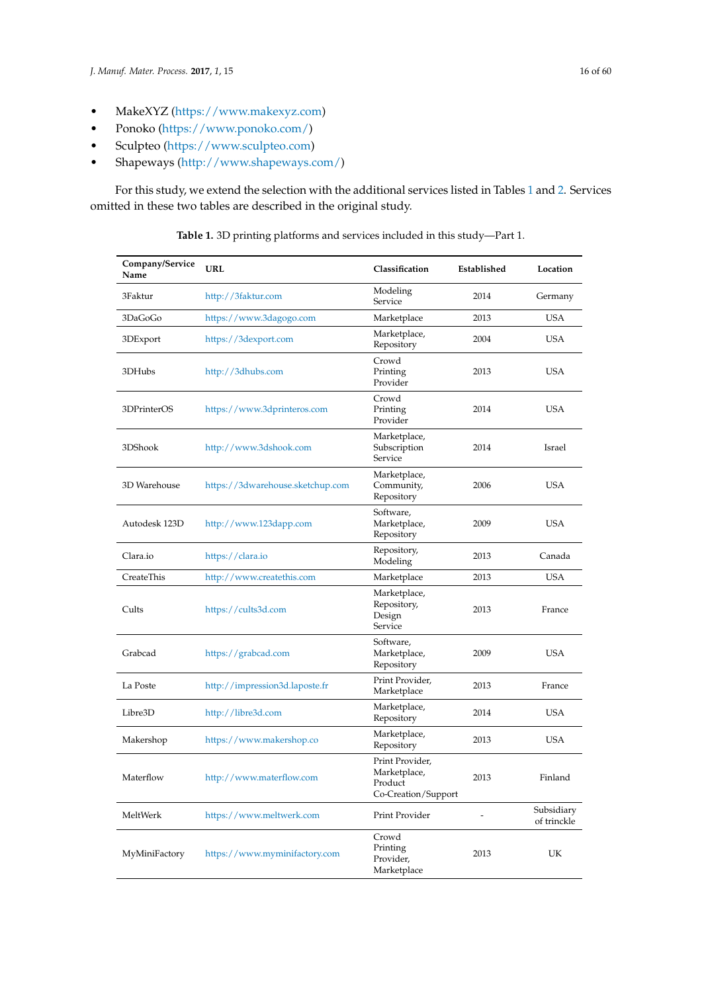- Ponoko [\(https://www.ponoko.com/\)](https://www.ponoko.com/)
- Sculpteo [\(https://www.sculpteo.com\)](https://www.sculpteo.com)
- Shapeways [\(http://www.shapeways.com/\)](http://www.shapeways.com/)

<span id="page-15-0"></span>For this study, we extend the selection with the additional services listed in Tables [1](#page-15-0) and [2.](#page-16-0) Services omitted in these two tables are described in the original study.

| Company/Service<br>Name | URL                              | Classification                                                    | Established | Location                  |  |
|-------------------------|----------------------------------|-------------------------------------------------------------------|-------------|---------------------------|--|
| 3Faktur                 | http://3faktur.com               | Modeling<br>Service                                               | 2014        | Germany                   |  |
| 3DaGoGo                 | https://www.3dagogo.com          | Marketplace                                                       | 2013        | <b>USA</b>                |  |
| 3DExport                | https://3dexport.com             | Marketplace,<br>Repository                                        | 2004        | <b>USA</b>                |  |
| 3DHubs                  | http://3dhubs.com                | Crowd<br>Printing<br>Provider                                     | 2013        | <b>USA</b>                |  |
| 3DPrinterOS             | https://www.3dprinteros.com      | Crowd<br>Printing<br>Provider                                     | 2014        | <b>USA</b>                |  |
| 3DShook                 | http://www.3dshook.com           | Marketplace,<br>Subscription<br>Service                           | 2014        | Israel                    |  |
| 3D Warehouse            | https://3dwarehouse.sketchup.com | Marketplace,<br>Community,<br>Repository                          | 2006        | <b>USA</b>                |  |
| Autodesk 123D           | http://www.123dapp.com           | Software,<br>Marketplace,<br>Repository                           | 2009        | <b>USA</b>                |  |
| Clara.io                | https://clara.io                 | Repository,<br>Modeling                                           | 2013        | Canada                    |  |
| CreateThis              | http://www.createthis.com        | Marketplace                                                       | 2013        | <b>USA</b>                |  |
| Cults                   | https://cults3d.com              | Marketplace,<br>Repository,<br>Design<br>Service                  | 2013        | France                    |  |
| Grabcad                 | https://grabcad.com              | Software,<br>Marketplace,<br>Repository                           | 2009        | <b>USA</b>                |  |
| La Poste                | http://impression3d.laposte.fr   | Print Provider,<br>Marketplace                                    | 2013        | France                    |  |
| Libre3D                 | http://libre3d.com               | Marketplace,<br>Repository                                        | 2014        | <b>USA</b>                |  |
| Makershop               | https://www.makershop.co         | Marketplace,<br>Repository                                        | 2013        | <b>USA</b>                |  |
| Materflow               | http://www.materflow.com         | Print Provider,<br>Marketplace,<br>Product<br>Co-Creation/Support | 2013        | Finland                   |  |
| MeltWerk                | https://www.meltwerk.com         | Print Provider                                                    |             | Subsidiary<br>of trinckle |  |
| MyMiniFactory           | https://www.myminifactory.com    | Crowd<br>Printing<br>Provider,<br>Marketplace                     | 2013        | UK                        |  |

**Table 1.** 3D printing platforms and services included in this study—Part 1.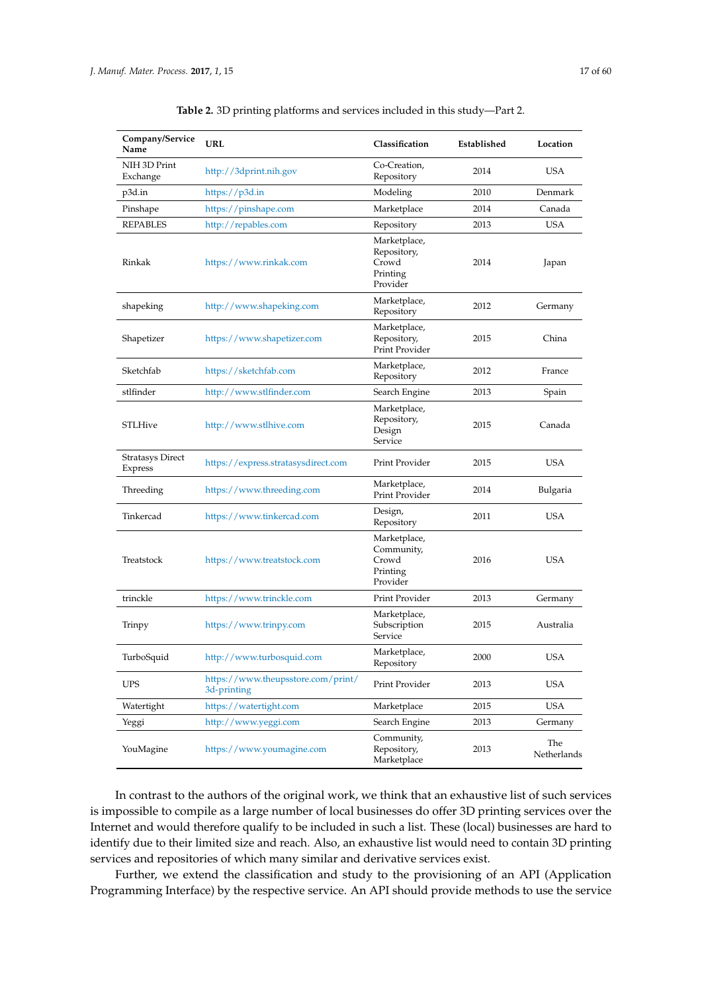<span id="page-16-0"></span>

| Company/Service<br>Name     | URL                                               | Classification                                               | Established | Location           |  |
|-----------------------------|---------------------------------------------------|--------------------------------------------------------------|-------------|--------------------|--|
| NIH 3D Print<br>Exchange    | http://3dprint.nih.gov                            | Co-Creation,<br>Repository                                   | 2014        | <b>USA</b>         |  |
| p3d.in                      | https://p $3d.in$                                 | Modeling                                                     | 2010        | Denmark            |  |
| Pinshape                    | https://pinshape.com                              | Marketplace                                                  | 2014        | Canada             |  |
| REPABLES                    | http://repables.com                               | Repository                                                   | 2013        | <b>USA</b>         |  |
| Rinkak                      | https://www.rinkak.com                            | Marketplace,<br>Repository,<br>Crowd<br>Printing<br>Provider | 2014        | Japan              |  |
| shapeking                   | http://www.shapeking.com                          | Marketplace,<br>Repository                                   | 2012        | Germany            |  |
| Shapetizer                  | https://www.shapetizer.com                        | Marketplace,<br>Repository,<br>Print Provider                | 2015        | China              |  |
| Sketchfab                   | https://sketchfab.com                             | Marketplace,<br>Repository                                   | 2012        | France             |  |
| stlfinder                   | http://www.stlfinder.com                          | Search Engine                                                | 2013        | Spain              |  |
| <b>STLHive</b>              | http://www.stlhive.com                            | Marketplace,<br>Repository,<br>Design<br>Service             | 2015        | Canada             |  |
| Stratasys Direct<br>Express | https://express.stratasysdirect.com               | Print Provider                                               | 2015        | <b>USA</b>         |  |
| Threeding                   | https://www.threeding.com                         | Marketplace,<br>Print Provider                               | 2014        | Bulgaria           |  |
| Tinkercad                   | https://www.tinkercad.com                         | Design,<br>Repository                                        | 2011        | <b>USA</b>         |  |
| Treatstock                  | https://www.treatstock.com                        | Marketplace,<br>Community,<br>Crowd<br>Printing<br>Provider  | 2016        | <b>USA</b>         |  |
| trinckle                    | https://www.trinckle.com                          | Print Provider                                               | 2013        | Germany            |  |
| Trinpy                      | https://www.trinpy.com                            | Marketplace,<br>Subscription<br>Service                      | 2015        | Australia          |  |
| TurboSquid                  | http://www.turbosquid.com                         | Marketplace,<br>Repository                                   | 2000        | <b>USA</b>         |  |
| <b>UPS</b>                  | https://www.theupsstore.com/print/<br>3d-printing | Print Provider                                               | 2013        | <b>USA</b>         |  |
| Watertight                  | https://watertight.com                            | Marketplace                                                  | 2015        | <b>USA</b>         |  |
| Yeggi                       | http://www.yeggi.com                              | Search Engine                                                | 2013        | Germany            |  |
| YouMagine                   | https://www.youmagine.com                         | Community,<br>Repository,<br>Marketplace                     | 2013        | The<br>Netherlands |  |

**Table 2.** 3D printing platforms and services included in this study—Part 2.

In contrast to the authors of the original work, we think that an exhaustive list of such services is impossible to compile as a large number of local businesses do offer 3D printing services over the Internet and would therefore qualify to be included in such a list. These (local) businesses are hard to identify due to their limited size and reach. Also, an exhaustive list would need to contain 3D printing services and repositories of which many similar and derivative services exist.

Further, we extend the classification and study to the provisioning of an API (Application Programming Interface) by the respective service. An API should provide methods to use the service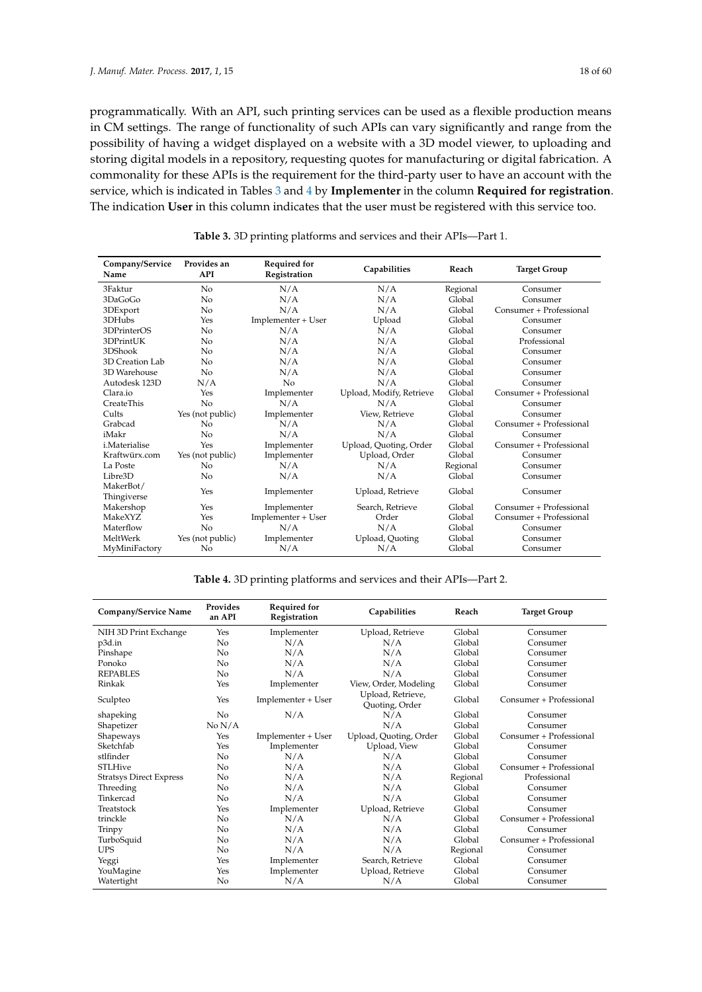programmatically. With an API, such printing services can be used as a flexible production means in CM settings. The range of functionality of such APIs can vary significantly and range from the possibility of having a widget displayed on a website with a 3D model viewer, to uploading and storing digital models in a repository, requesting quotes for manufacturing or digital fabrication. A commonality for these APIs is the requirement for the third-party user to have an account with the service, which is indicated in Tables [3](#page-17-0) and [4](#page-17-1) by **Implementer** in the column **Required for registration**. The indication **User** in this column indicates that the user must be registered with this service too.

<span id="page-17-0"></span>

| Company/Service<br>Name  | Provides an<br><b>API</b> | <b>Required for</b><br>Registration | Capabilities             | Reach    | <b>Target Group</b>     |  |
|--------------------------|---------------------------|-------------------------------------|--------------------------|----------|-------------------------|--|
| 3Faktur                  | No                        | N/A                                 | N/A                      | Regional | Consumer                |  |
| 3DaGoGo                  | No                        | N/A                                 | N/A                      | Global   | Consumer                |  |
| 3DExport                 | No                        | N/A                                 | N/A                      | Global   | Consumer + Professional |  |
| 3DHubs                   | Yes                       | Implementer + User                  | Upload                   | Global   | Consumer                |  |
| 3DPrinterOS              | No                        | N/A                                 | N/A                      | Global   | Consumer                |  |
| 3DPrintUK                | No                        | N/A                                 | N/A                      | Global   | Professional            |  |
| 3DShook                  | No                        | N/A                                 | N/A                      | Global   | Consumer                |  |
| 3D Creation Lab          | No                        | N/A                                 | N/A                      | Global   | Consumer                |  |
| 3D Warehouse             | N <sub>o</sub>            | N/A                                 | N/A                      | Global   | Consumer                |  |
| Autodesk 123D            | N/A                       | No                                  | N/A                      | Global   | Consumer                |  |
| Clara.io                 | Yes                       | Implementer                         | Upload, Modify, Retrieve | Global   | Consumer + Professional |  |
| <b>CreateThis</b>        | N <sub>o</sub>            | N/A                                 | N/A                      | Global   | Consumer                |  |
| Cults                    | Yes (not public)          | Implementer                         | View, Retrieve           | Global   | Consumer                |  |
| Grabcad                  | No                        | N/A                                 | N/A                      | Global   | Consumer + Professional |  |
| iMakr                    | No                        | N/A                                 | N/A                      | Global   | Consumer                |  |
| i Materialise            | Yes                       | Implementer                         | Upload, Quoting, Order   | Global   | Consumer + Professional |  |
| Kraftwürx.com            | Yes (not public)          | Implementer                         | Upload, Order            | Global   | Consumer                |  |
| La Poste                 | No                        | N/A                                 | N/A                      | Regional | Consumer                |  |
| Libre3D                  | No                        | N/A                                 | N/A                      | Global   | Consumer                |  |
| MakerBot/<br>Thingiverse | Yes                       | Implementer                         | Upload, Retrieve         | Global   | Consumer                |  |
| Makershop                | Yes                       | Implementer                         | Search, Retrieve         | Global   | Consumer + Professional |  |
| MakeXYZ                  | Yes                       | Implementer + User                  | Order                    | Global   | Consumer + Professional |  |
| Materflow                | N <sub>o</sub>            | N/A                                 | N/A                      | Global   | Consumer                |  |
| MeltWerk                 | Yes (not public)          | Implementer                         | Upload, Quoting          | Global   | Consumer                |  |
| MyMiniFactory            | No                        | N/A                                 | N/A                      | Global   | Consumer                |  |

| Table 3. 3D printing platforms and services and their APIs-Part 1. |  |  |  |  |  |  |  |  |
|--------------------------------------------------------------------|--|--|--|--|--|--|--|--|
|--------------------------------------------------------------------|--|--|--|--|--|--|--|--|

**Table 4.** 3D printing platforms and services and their APIs—Part 2.

<span id="page-17-1"></span>

| Company/Service Name           | Provides<br>an API | Required for<br>Registration | Capabilities                        |          | <b>Target Group</b>     |  |
|--------------------------------|--------------------|------------------------------|-------------------------------------|----------|-------------------------|--|
| NIH 3D Print Exchange          | Yes                | Implementer                  | Upload, Retrieve                    | Global   | Consumer                |  |
| p3d.in                         | No                 | N/A                          | N/A                                 | Global   | Consumer                |  |
| Pinshape                       | No                 | N/A                          | N/A                                 | Global   | Consumer                |  |
| Ponoko                         | No                 | N/A                          | N/A                                 | Global   | Consumer                |  |
| <b>REPABLES</b>                | No                 | N/A                          | N/A                                 | Global   | Consumer                |  |
| Rinkak                         | Yes                | Implementer                  | View, Order, Modeling               | Global   | Consumer                |  |
| Sculpteo                       | Yes                | Implementer + User           | Upload, Retrieve,<br>Quoting, Order | Global   | Consumer + Professional |  |
| shapeking                      | No                 | N/A                          | N/A                                 | Global   | Consumer                |  |
| Shapetizer                     | No N/A             |                              | N/A                                 | Global   | Consumer                |  |
| Shapeways                      | Yes                | Implementer + User           | Upload, Quoting, Order              | Global   | Consumer + Professional |  |
| Sketchfab                      | Yes                | Implementer                  | Upload, View                        | Global   | Consumer                |  |
| stlfinder                      | No                 | N/A                          | N/A                                 | Global   | Consumer                |  |
| <b>STLHive</b>                 | No                 | N/A                          | N/A                                 | Global   | Consumer + Professional |  |
| <b>Stratsys Direct Express</b> | No                 | N/A                          | N/A                                 | Regional | Professional            |  |
| Threeding                      | No                 | N/A                          | N/A                                 | Global   | Consumer                |  |
| Tinkercad                      | No                 | N/A                          | N/A                                 | Global   | Consumer                |  |
| Treatstock                     | Yes                | Implementer                  | Upload, Retrieve                    | Global   | Consumer                |  |
| trinckle                       | No                 | N/A                          | N/A                                 | Global   | Consumer + Professional |  |
| Trinpy                         | No                 | N/A                          | N/A                                 | Global   | Consumer                |  |
| TurboSquid                     | No                 | N/A                          | N/A                                 | Global   | Consumer + Professional |  |
| <b>UPS</b>                     | No                 | N/A                          | N/A                                 | Regional | Consumer                |  |
| Yeggi                          | Yes                | Implementer                  | Search, Retrieve                    | Global   | Consumer                |  |
| YouMagine                      | Yes                | Implementer                  | Upload, Retrieve                    | Global   | Consumer                |  |
| Watertight                     | No                 | N/A                          | N/A                                 | Global   | Consumer                |  |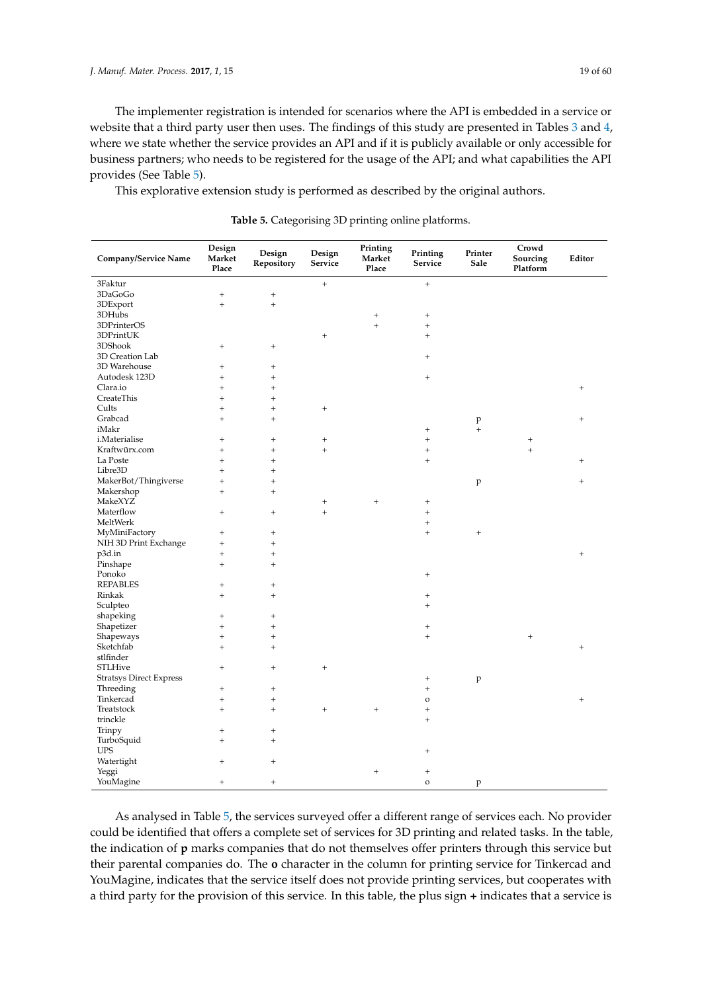The implementer registration is intended for scenarios where the API is embedded in a service or website that a third party user then uses. The findings of this study are presented in Tables [3](#page-17-0) and [4,](#page-17-1) where we state whether the service provides an API and if it is publicly available or only accessible for business partners; who needs to be registered for the usage of the API; and what capabilities the API provides (See Table [5\)](#page-18-0).

<span id="page-18-0"></span>This explorative extension study is performed as described by the original authors.

| Company/Service Name           | Design<br>Market<br>Place | Design<br>Repository | Design<br>Service                | Printing<br>Market<br>Place      | Printing<br>Service              | Printer<br>Sale   | Crowd<br>Sourcing<br>Platform | Editor                           |
|--------------------------------|---------------------------|----------------------|----------------------------------|----------------------------------|----------------------------------|-------------------|-------------------------------|----------------------------------|
| 3Faktur                        |                           |                      | $^{+}$                           |                                  | $\qquad \qquad +$                |                   |                               |                                  |
| 3DaGoGo                        | $^{+}$                    | $^{+}$               |                                  |                                  |                                  |                   |                               |                                  |
| 3DExport                       | $^{+}$                    | $^{+}$               |                                  |                                  |                                  |                   |                               |                                  |
| 3DHubs                         |                           |                      |                                  | $^{+}$                           | $^{+}$                           |                   |                               |                                  |
| 3DPrinterOS                    |                           |                      |                                  | $+$                              | $\begin{array}{c} + \end{array}$ |                   |                               |                                  |
| 3DPrintUK                      |                           |                      | $^{+}$                           |                                  | $\qquad \qquad +$                |                   |                               |                                  |
| 3DShook                        | $^{+}$                    | $\qquad \qquad +$    |                                  |                                  |                                  |                   |                               |                                  |
| 3D Creation Lab                |                           |                      |                                  |                                  | $^{+}$                           |                   |                               |                                  |
| 3D Warehouse                   | $^{+}$                    | $\, +$               |                                  |                                  |                                  |                   |                               |                                  |
| Autodesk 123D                  | $^{+}$                    | $\qquad \qquad +$    |                                  |                                  | $^{+}$                           |                   |                               |                                  |
| Clara.io                       | $^{+}$                    | $^{+}$               |                                  |                                  |                                  |                   |                               | $+$                              |
| CreateThis                     | $^{+}$                    | $\qquad \qquad +$    |                                  |                                  |                                  |                   |                               |                                  |
| Cults                          | $^{+}$                    | $\qquad \qquad +$    | $\begin{array}{c} + \end{array}$ |                                  |                                  |                   |                               |                                  |
| Grabcad                        | $^{+}$                    | $\qquad \qquad +$    |                                  |                                  |                                  | p                 |                               | $\,{}^+$                         |
| iMakr                          |                           |                      |                                  |                                  | $\begin{array}{c} + \end{array}$ | $\ddot{}$         |                               |                                  |
| i.Materialise                  | $^{+}$                    | $\, +$               | $^{+}$                           |                                  | $^{+}$                           |                   | $\qquad \qquad +$             |                                  |
| Kraftwürx.com                  | $^{+}$                    | $^{+}$               | $^{+}$                           |                                  | $\qquad \qquad +$                |                   | $^{+}$                        |                                  |
| La Poste                       | $^{+}$                    | $\qquad \qquad +$    |                                  |                                  | $\qquad \qquad +$                |                   |                               | $\ddot{}$                        |
| Libre3D                        | $^{+}$                    | $\qquad \qquad +$    |                                  |                                  |                                  |                   |                               |                                  |
| MakerBot/Thingiverse           | $^{+}$                    | $^{+}$               |                                  |                                  |                                  | p                 |                               | $^{+}$                           |
| Makershop                      | $^{+}$                    | $^{+}$               |                                  |                                  |                                  |                   |                               |                                  |
| MakeXYZ                        |                           |                      | $^{+}$                           | $^{+}$                           | $^+$                             |                   |                               |                                  |
| Materflow                      | $^{+}$                    | $^{+}$               | $\ddot{}$                        |                                  | $\qquad \qquad +$                |                   |                               |                                  |
| MeltWerk                       |                           |                      |                                  |                                  | $\qquad \qquad +$                |                   |                               |                                  |
| MyMiniFactory                  | $^{+}$                    | $\qquad \qquad +$    |                                  |                                  | $\qquad \qquad +$                | $\qquad \qquad +$ |                               |                                  |
| NIH 3D Print Exchange          | $^{+}$                    | $\qquad \qquad +$    |                                  |                                  |                                  |                   |                               |                                  |
| p3d.in                         | $^{+}$                    | $^{+}$               |                                  |                                  |                                  |                   |                               | $^{+}$                           |
| Pinshape                       | $^{+}$                    | $\qquad \qquad +$    |                                  |                                  |                                  |                   |                               |                                  |
| Ponoko                         |                           |                      |                                  |                                  | $+$                              |                   |                               |                                  |
| <b>REPABLES</b>                | $^{+}$                    | $\, +$               |                                  |                                  |                                  |                   |                               |                                  |
| Rinkak                         | $^{+}$                    | $^{+}$               |                                  |                                  | $\begin{array}{c} + \end{array}$ |                   |                               |                                  |
| Sculpteo                       |                           |                      |                                  |                                  | $^{+}$                           |                   |                               |                                  |
| shapeking                      | $^{+}$                    | $\, +$               |                                  |                                  |                                  |                   |                               |                                  |
| Shapetizer                     | $^{+}$                    | $\qquad \qquad +$    |                                  |                                  | $\begin{array}{c} + \end{array}$ |                   |                               |                                  |
| Shapeways                      | $^{+}$                    | $^{+}$               |                                  |                                  | $+$                              |                   | $+$                           |                                  |
| Sketchfab                      | $^{+}$                    | $\qquad \qquad +$    |                                  |                                  |                                  |                   |                               | $\begin{array}{c} + \end{array}$ |
| stlfinder                      |                           |                      |                                  |                                  |                                  |                   |                               |                                  |
| STLHive                        | $^{+}$                    | $\qquad \qquad +$    | $^{+}$                           |                                  |                                  |                   |                               |                                  |
| <b>Stratsys Direct Express</b> |                           |                      |                                  |                                  | $\begin{array}{c} + \end{array}$ | p                 |                               |                                  |
| Threeding                      | $^{+}$                    | $\, +$               |                                  |                                  | $^{+}$                           |                   |                               |                                  |
| Tinkercad                      | $^{+}$                    | $^{+}$               |                                  |                                  | $\circ$                          |                   |                               | $+$                              |
| Treatstock                     | $^{+}$                    | $\qquad \qquad +$    | $^{+}$                           | $\qquad \qquad +$                | $^{+}$                           |                   |                               |                                  |
| trinckle                       |                           |                      |                                  |                                  | $^{+}$                           |                   |                               |                                  |
| Trinpy                         | $^{+}$                    | $^{+}$               |                                  |                                  |                                  |                   |                               |                                  |
| TurboSquid                     | $^{+}$                    | $\qquad \qquad +$    |                                  |                                  |                                  |                   |                               |                                  |
| <b>UPS</b>                     |                           |                      |                                  |                                  | $^{+}$                           |                   |                               |                                  |
| Watertight                     | $^{+}$                    | $^{+}$               |                                  |                                  |                                  |                   |                               |                                  |
| Yeggi                          |                           |                      |                                  | $\begin{array}{c} + \end{array}$ | $\begin{array}{c} + \end{array}$ |                   |                               |                                  |
| YouMagine                      | $^{+}$                    | $\qquad \qquad +$    |                                  |                                  | $\mathbf{o}$                     | p                 |                               |                                  |

**Table 5.** Categorising 3D printing online platforms.

As analysed in Table [5,](#page-18-0) the services surveyed offer a different range of services each. No provider could be identified that offers a complete set of services for 3D printing and related tasks. In the table, the indication of **p** marks companies that do not themselves offer printers through this service but their parental companies do. The **o** character in the column for printing service for Tinkercad and YouMagine, indicates that the service itself does not provide printing services, but cooperates with a third party for the provision of this service. In this table, the plus sign **+** indicates that a service is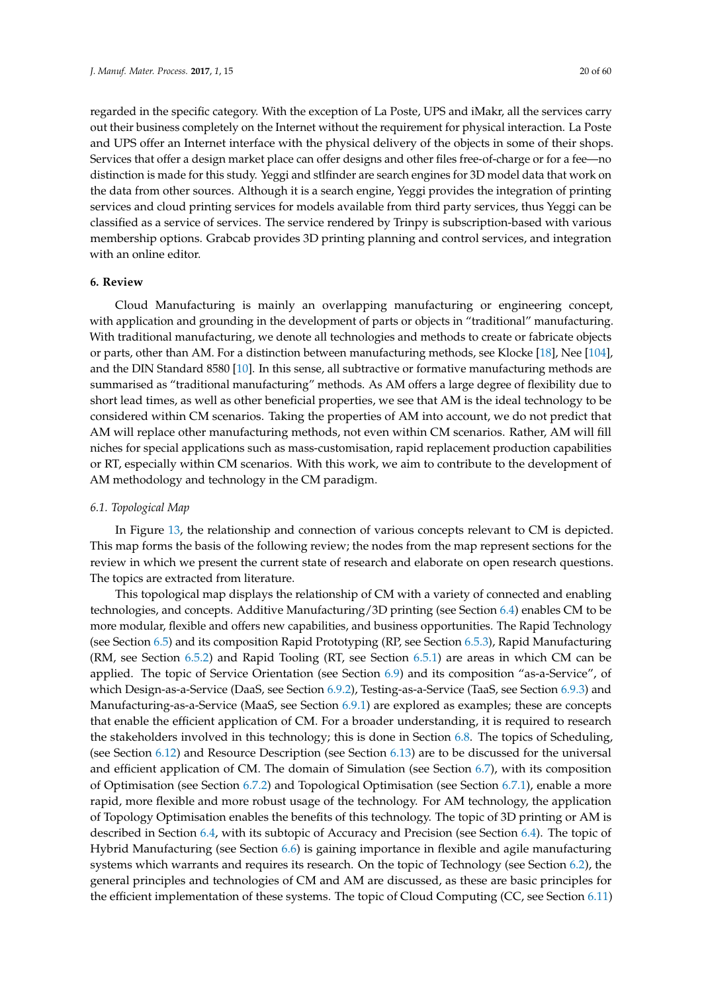regarded in the specific category. With the exception of La Poste, UPS and iMakr, all the services carry out their business completely on the Internet without the requirement for physical interaction. La Poste and UPS offer an Internet interface with the physical delivery of the objects in some of their shops. Services that offer a design market place can offer designs and other files free-of-charge or for a fee—no distinction is made for this study. Yeggi and stlfinder are search engines for 3D model data that work on the data from other sources. Although it is a search engine, Yeggi provides the integration of printing services and cloud printing services for models available from third party services, thus Yeggi can be classified as a service of services. The service rendered by Trinpy is subscription-based with various membership options. Grabcab provides 3D printing planning and control services, and integration with an online editor.

# <span id="page-19-0"></span>**6. Review**

Cloud Manufacturing is mainly an overlapping manufacturing or engineering concept, with application and grounding in the development of parts or objects in "traditional" manufacturing. With traditional manufacturing, we denote all technologies and methods to create or fabricate objects or parts, other than AM. For a distinction between manufacturing methods, see Klocke [\[18\]](#page-46-14), Nee [\[104\]](#page-50-3), and the DIN Standard 8580 [\[10\]](#page-46-6). In this sense, all subtractive or formative manufacturing methods are summarised as "traditional manufacturing" methods. As AM offers a large degree of flexibility due to short lead times, as well as other beneficial properties, we see that AM is the ideal technology to be considered within CM scenarios. Taking the properties of AM into account, we do not predict that AM will replace other manufacturing methods, not even within CM scenarios. Rather, AM will fill niches for special applications such as mass-customisation, rapid replacement production capabilities or RT, especially within CM scenarios. With this work, we aim to contribute to the development of AM methodology and technology in the CM paradigm.

## <span id="page-19-1"></span>*6.1. Topological Map*

In Figure [13,](#page-20-0) the relationship and connection of various concepts relevant to CM is depicted. This map forms the basis of the following review; the nodes from the map represent sections for the review in which we present the current state of research and elaborate on open research questions. The topics are extracted from literature.

This topological map displays the relationship of CM with a variety of connected and enabling technologies, and concepts. Additive Manufacturing/3D printing (see Section [6.4\)](#page-22-0) enables CM to be more modular, flexible and offers new capabilities, and business opportunities. The Rapid Technology (see Section [6.5\)](#page-25-0) and its composition Rapid Prototyping (RP, see Section [6.5.3\)](#page-29-0), Rapid Manufacturing (RM, see Section [6.5.2\)](#page-27-0) and Rapid Tooling (RT, see Section [6.5.1\)](#page-26-0) are areas in which CM can be applied. The topic of Service Orientation (see Section [6.9\)](#page-34-0) and its composition "as-a-Service", of which Design-as-a-Service (DaaS, see Section [6.9.2\)](#page-36-0), Testing-as-a-Service (TaaS, see Section [6.9.3\)](#page-37-0) and Manufacturing-as-a-Service (MaaS, see Section [6.9.1\)](#page-35-0) are explored as examples; these are concepts that enable the efficient application of CM. For a broader understanding, it is required to research the stakeholders involved in this technology; this is done in Section [6.8.](#page-33-0) The topics of Scheduling, (see Section [6.12\)](#page-41-0) and Resource Description (see Section [6.13\)](#page-42-0) are to be discussed for the universal and efficient application of CM. The domain of Simulation (see Section [6.7\)](#page-30-0), with its composition of Optimisation (see Section [6.7.2\)](#page-32-0) and Topological Optimisation (see Section [6.7.1\)](#page-31-0), enable a more rapid, more flexible and more robust usage of the technology. For AM technology, the application of Topology Optimisation enables the benefits of this technology. The topic of 3D printing or AM is described in Section [6.4,](#page-22-0) with its subtopic of Accuracy and Precision (see Section [6.4\)](#page-22-0). The topic of Hybrid Manufacturing (see Section [6.6\)](#page-29-1) is gaining importance in flexible and agile manufacturing systems which warrants and requires its research. On the topic of Technology (see Section [6.2\)](#page-20-1), the general principles and technologies of CM and AM are discussed, as these are basic principles for the efficient implementation of these systems. The topic of Cloud Computing (CC, see Section [6.11\)](#page-39-0)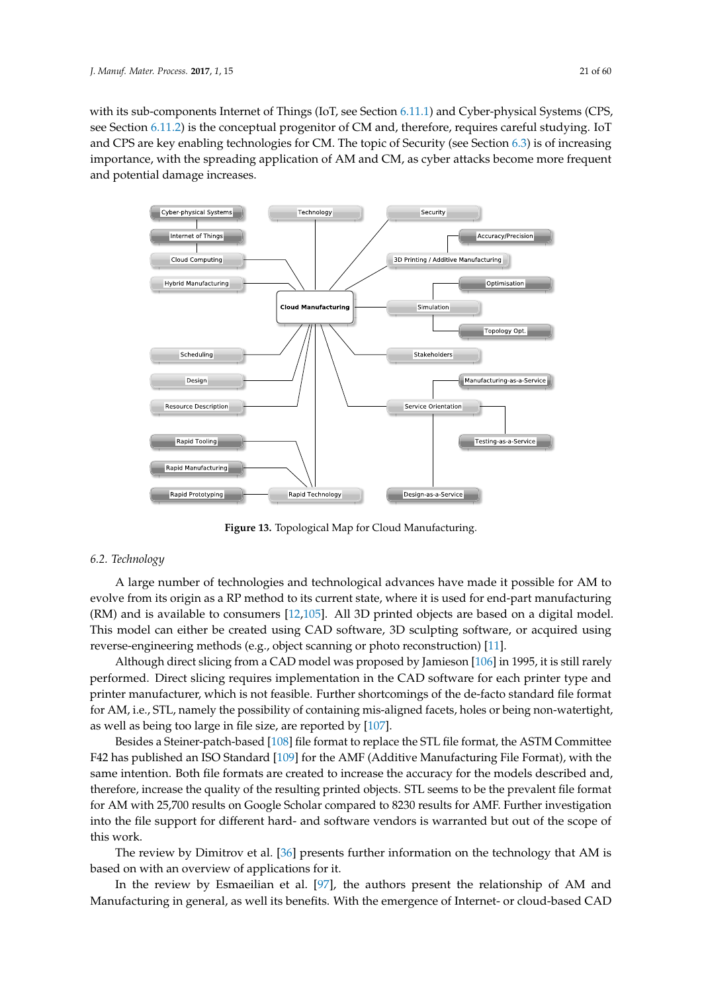with its sub-components Internet of Things (IoT, see Section [6.11.1\)](#page-40-0) and Cyber-physical Systems (CPS, see Section [6.11.2\)](#page-40-1) is the conceptual progenitor of CM and, therefore, requires careful studying. IoT and CPS are key enabling technologies for CM. The topic of Security (see Section [6.3\)](#page-21-0) is of increasing importance, with the spreading application of AM and CM, as cyber attacks become more frequent and potential damage increases.

<span id="page-20-0"></span>

**Figure 13.** Topological Map for Cloud Manufacturing.

# <span id="page-20-1"></span>*6.2. Technology*

A large number of technologies and technological advances have made it possible for AM to evolve from its origin as a RP method to its current state, where it is used for end-part manufacturing (RM) and is available to consumers [\[12,](#page-46-8)[105\]](#page-50-4). All 3D printed objects are based on a digital model. This model can either be created using CAD software, 3D sculpting software, or acquired using reverse-engineering methods (e.g., object scanning or photo reconstruction) [\[11\]](#page-46-7).

Although direct slicing from a CAD model was proposed by Jamieson [\[106\]](#page-50-5) in 1995, it is still rarely performed. Direct slicing requires implementation in the CAD software for each printer type and printer manufacturer, which is not feasible. Further shortcomings of the de-facto standard file format for AM, i.e., STL, namely the possibility of containing mis-aligned facets, holes or being non-watertight, as well as being too large in file size, are reported by [\[107\]](#page-50-6).

Besides a Steiner-patch-based [\[108\]](#page-50-7) file format to replace the STL file format, the ASTM Committee F42 has published an ISO Standard [\[109\]](#page-50-8) for the AMF (Additive Manufacturing File Format), with the same intention. Both file formats are created to increase the accuracy for the models described and, therefore, increase the quality of the resulting printed objects. STL seems to be the prevalent file format for AM with 25,700 results on Google Scholar compared to 8230 results for AMF. Further investigation into the file support for different hard- and software vendors is warranted but out of the scope of this work.

The review by Dimitrov et al. [\[36\]](#page-47-11) presents further information on the technology that AM is based on with an overview of applications for it.

In the review by Esmaeilian et al. [\[97\]](#page-49-22), the authors present the relationship of AM and Manufacturing in general, as well its benefits. With the emergence of Internet- or cloud-based CAD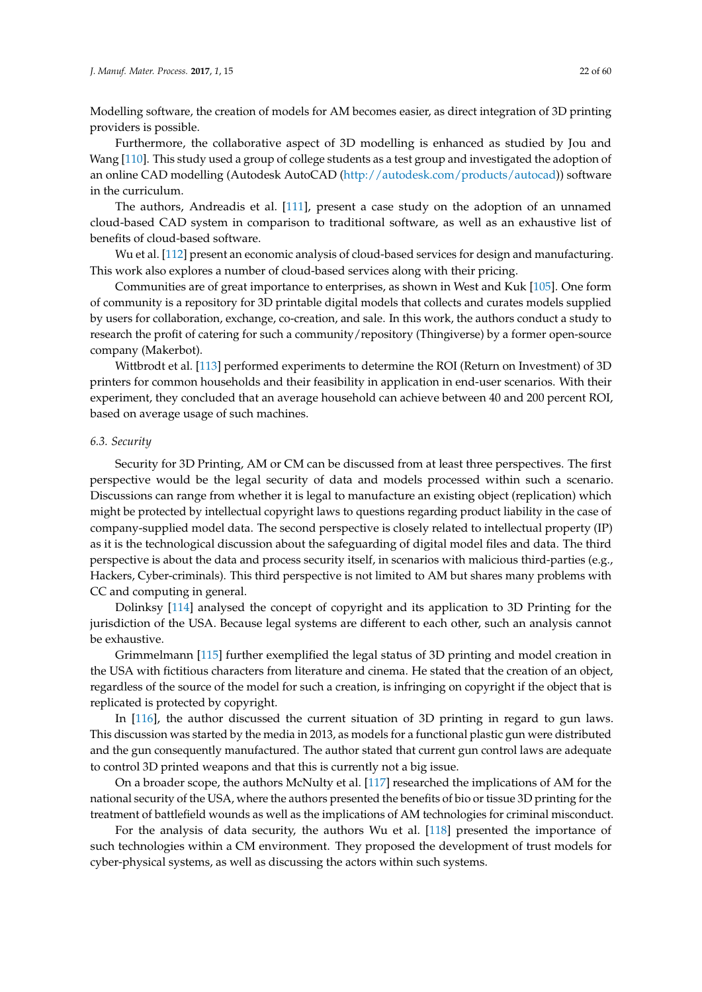Modelling software, the creation of models for AM becomes easier, as direct integration of 3D printing providers is possible.

Furthermore, the collaborative aspect of 3D modelling is enhanced as studied by Jou and Wang [\[110\]](#page-50-9). This study used a group of college students as a test group and investigated the adoption of an online CAD modelling (Autodesk AutoCAD [\(http://autodesk.com/products/autocad\)](http://autodesk.com/products/autocad)) software in the curriculum.

The authors, Andreadis et al. [\[111\]](#page-50-10), present a case study on the adoption of an unnamed cloud-based CAD system in comparison to traditional software, as well as an exhaustive list of benefits of cloud-based software.

Wu et al. [\[112\]](#page-50-11) present an economic analysis of cloud-based services for design and manufacturing. This work also explores a number of cloud-based services along with their pricing.

Communities are of great importance to enterprises, as shown in West and Kuk [\[105\]](#page-50-4). One form of community is a repository for 3D printable digital models that collects and curates models supplied by users for collaboration, exchange, co-creation, and sale. In this work, the authors conduct a study to research the profit of catering for such a community/repository (Thingiverse) by a former open-source company (Makerbot).

Wittbrodt et al. [\[113\]](#page-50-12) performed experiments to determine the ROI (Return on Investment) of 3D printers for common households and their feasibility in application in end-user scenarios. With their experiment, they concluded that an average household can achieve between 40 and 200 percent ROI, based on average usage of such machines.

#### <span id="page-21-0"></span>*6.3. Security*

Security for 3D Printing, AM or CM can be discussed from at least three perspectives. The first perspective would be the legal security of data and models processed within such a scenario. Discussions can range from whether it is legal to manufacture an existing object (replication) which might be protected by intellectual copyright laws to questions regarding product liability in the case of company-supplied model data. The second perspective is closely related to intellectual property (IP) as it is the technological discussion about the safeguarding of digital model files and data. The third perspective is about the data and process security itself, in scenarios with malicious third-parties (e.g., Hackers, Cyber-criminals). This third perspective is not limited to AM but shares many problems with CC and computing in general.

Dolinksy [\[114\]](#page-50-13) analysed the concept of copyright and its application to 3D Printing for the jurisdiction of the USA. Because legal systems are different to each other, such an analysis cannot be exhaustive.

Grimmelmann [\[115\]](#page-50-14) further exemplified the legal status of 3D printing and model creation in the USA with fictitious characters from literature and cinema. He stated that the creation of an object, regardless of the source of the model for such a creation, is infringing on copyright if the object that is replicated is protected by copyright.

In [\[116\]](#page-50-15), the author discussed the current situation of 3D printing in regard to gun laws. This discussion was started by the media in 2013, as models for a functional plastic gun were distributed and the gun consequently manufactured. The author stated that current gun control laws are adequate to control 3D printed weapons and that this is currently not a big issue.

On a broader scope, the authors McNulty et al. [\[117\]](#page-50-16) researched the implications of AM for the national security of the USA, where the authors presented the benefits of bio or tissue 3D printing for the treatment of battlefield wounds as well as the implications of AM technologies for criminal misconduct.

For the analysis of data security, the authors Wu et al. [\[118\]](#page-50-17) presented the importance of such technologies within a CM environment. They proposed the development of trust models for cyber-physical systems, as well as discussing the actors within such systems.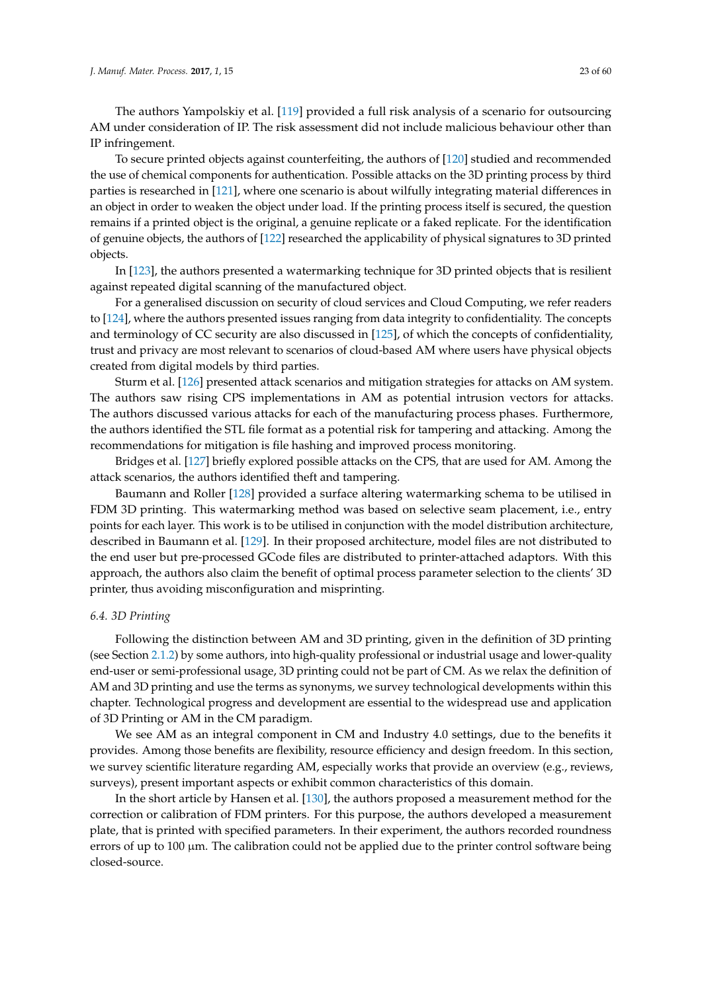The authors Yampolskiy et al. [\[119\]](#page-50-18) provided a full risk analysis of a scenario for outsourcing AM under consideration of IP. The risk assessment did not include malicious behaviour other than IP infringement.

To secure printed objects against counterfeiting, the authors of [\[120\]](#page-50-19) studied and recommended the use of chemical components for authentication. Possible attacks on the 3D printing process by third parties is researched in [\[121\]](#page-50-20), where one scenario is about wilfully integrating material differences in an object in order to weaken the object under load. If the printing process itself is secured, the question remains if a printed object is the original, a genuine replicate or a faked replicate. For the identification of genuine objects, the authors of [\[122\]](#page-50-21) researched the applicability of physical signatures to 3D printed objects.

In [\[123\]](#page-50-22), the authors presented a watermarking technique for 3D printed objects that is resilient against repeated digital scanning of the manufactured object.

For a generalised discussion on security of cloud services and Cloud Computing, we refer readers to [\[124\]](#page-50-23), where the authors presented issues ranging from data integrity to confidentiality. The concepts and terminology of CC security are also discussed in [\[125\]](#page-50-24), of which the concepts of confidentiality, trust and privacy are most relevant to scenarios of cloud-based AM where users have physical objects created from digital models by third parties.

Sturm et al. [\[126\]](#page-51-0) presented attack scenarios and mitigation strategies for attacks on AM system. The authors saw rising CPS implementations in AM as potential intrusion vectors for attacks. The authors discussed various attacks for each of the manufacturing process phases. Furthermore, the authors identified the STL file format as a potential risk for tampering and attacking. Among the recommendations for mitigation is file hashing and improved process monitoring.

Bridges et al. [\[127\]](#page-51-1) briefly explored possible attacks on the CPS, that are used for AM. Among the attack scenarios, the authors identified theft and tampering.

Baumann and Roller [\[128\]](#page-51-2) provided a surface altering watermarking schema to be utilised in FDM 3D printing. This watermarking method was based on selective seam placement, i.e., entry points for each layer. This work is to be utilised in conjunction with the model distribution architecture, described in Baumann et al. [\[129\]](#page-51-3). In their proposed architecture, model files are not distributed to the end user but pre-processed GCode files are distributed to printer-attached adaptors. With this approach, the authors also claim the benefit of optimal process parameter selection to the clients' 3D printer, thus avoiding misconfiguration and misprinting.

# <span id="page-22-0"></span>*6.4. 3D Printing*

Following the distinction between AM and 3D printing, given in the definition of 3D printing (see Section [2.1.2\)](#page-8-0) by some authors, into high-quality professional or industrial usage and lower-quality end-user or semi-professional usage, 3D printing could not be part of CM. As we relax the definition of AM and 3D printing and use the terms as synonyms, we survey technological developments within this chapter. Technological progress and development are essential to the widespread use and application of 3D Printing or AM in the CM paradigm.

We see AM as an integral component in CM and Industry 4.0 settings, due to the benefits it provides. Among those benefits are flexibility, resource efficiency and design freedom. In this section, we survey scientific literature regarding AM, especially works that provide an overview (e.g., reviews, surveys), present important aspects or exhibit common characteristics of this domain.

In the short article by Hansen et al. [\[130\]](#page-51-4), the authors proposed a measurement method for the correction or calibration of FDM printers. For this purpose, the authors developed a measurement plate, that is printed with specified parameters. In their experiment, the authors recorded roundness errors of up to  $100 \mu m$ . The calibration could not be applied due to the printer control software being closed-source.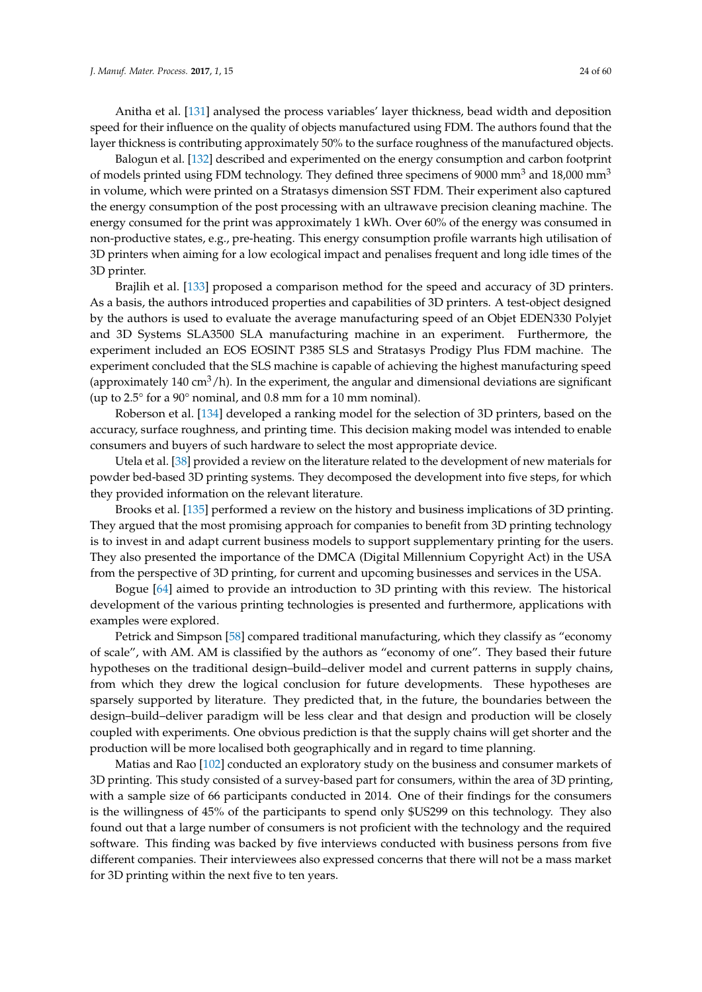Anitha et al. [\[131\]](#page-51-5) analysed the process variables' layer thickness, bead width and deposition speed for their influence on the quality of objects manufactured using FDM. The authors found that the layer thickness is contributing approximately 50% to the surface roughness of the manufactured objects.

Balogun et al. [\[132\]](#page-51-6) described and experimented on the energy consumption and carbon footprint of models printed using FDM technology. They defined three specimens of 9000 mm<sup>3</sup> and 18,000 mm<sup>3</sup> in volume, which were printed on a Stratasys dimension SST FDM. Their experiment also captured the energy consumption of the post processing with an ultrawave precision cleaning machine. The energy consumed for the print was approximately 1 kWh. Over 60% of the energy was consumed in non-productive states, e.g., pre-heating. This energy consumption profile warrants high utilisation of 3D printers when aiming for a low ecological impact and penalises frequent and long idle times of the 3D printer.

Brajlih et al. [\[133\]](#page-51-7) proposed a comparison method for the speed and accuracy of 3D printers. As a basis, the authors introduced properties and capabilities of 3D printers. A test-object designed by the authors is used to evaluate the average manufacturing speed of an Objet EDEN330 Polyjet and 3D Systems SLA3500 SLA manufacturing machine in an experiment. Furthermore, the experiment included an EOS EOSINT P385 SLS and Stratasys Prodigy Plus FDM machine. The experiment concluded that the SLS machine is capable of achieving the highest manufacturing speed (approximately 140 cm<sup>3</sup>/h). In the experiment, the angular and dimensional deviations are significant (up to 2.5° for a 90° nominal, and 0.8 mm for a 10 mm nominal).

Roberson et al. [\[134\]](#page-51-8) developed a ranking model for the selection of 3D printers, based on the accuracy, surface roughness, and printing time. This decision making model was intended to enable consumers and buyers of such hardware to select the most appropriate device.

Utela et al. [\[38\]](#page-47-13) provided a review on the literature related to the development of new materials for powder bed-based 3D printing systems. They decomposed the development into five steps, for which they provided information on the relevant literature.

Brooks et al. [\[135\]](#page-51-9) performed a review on the history and business implications of 3D printing. They argued that the most promising approach for companies to benefit from 3D printing technology is to invest in and adapt current business models to support supplementary printing for the users. They also presented the importance of the DMCA (Digital Millennium Copyright Act) in the USA from the perspective of 3D printing, for current and upcoming businesses and services in the USA.

Bogue [\[64\]](#page-48-13) aimed to provide an introduction to 3D printing with this review. The historical development of the various printing technologies is presented and furthermore, applications with examples were explored.

Petrick and Simpson [\[58\]](#page-48-7) compared traditional manufacturing, which they classify as "economy of scale", with AM. AM is classified by the authors as "economy of one". They based their future hypotheses on the traditional design–build–deliver model and current patterns in supply chains, from which they drew the logical conclusion for future developments. These hypotheses are sparsely supported by literature. They predicted that, in the future, the boundaries between the design–build–deliver paradigm will be less clear and that design and production will be closely coupled with experiments. One obvious prediction is that the supply chains will get shorter and the production will be more localised both geographically and in regard to time planning.

Matias and Rao [\[102\]](#page-50-1) conducted an exploratory study on the business and consumer markets of 3D printing. This study consisted of a survey-based part for consumers, within the area of 3D printing, with a sample size of 66 participants conducted in 2014. One of their findings for the consumers is the willingness of 45% of the participants to spend only \$US299 on this technology. They also found out that a large number of consumers is not proficient with the technology and the required software. This finding was backed by five interviews conducted with business persons from five different companies. Their interviewees also expressed concerns that there will not be a mass market for 3D printing within the next five to ten years.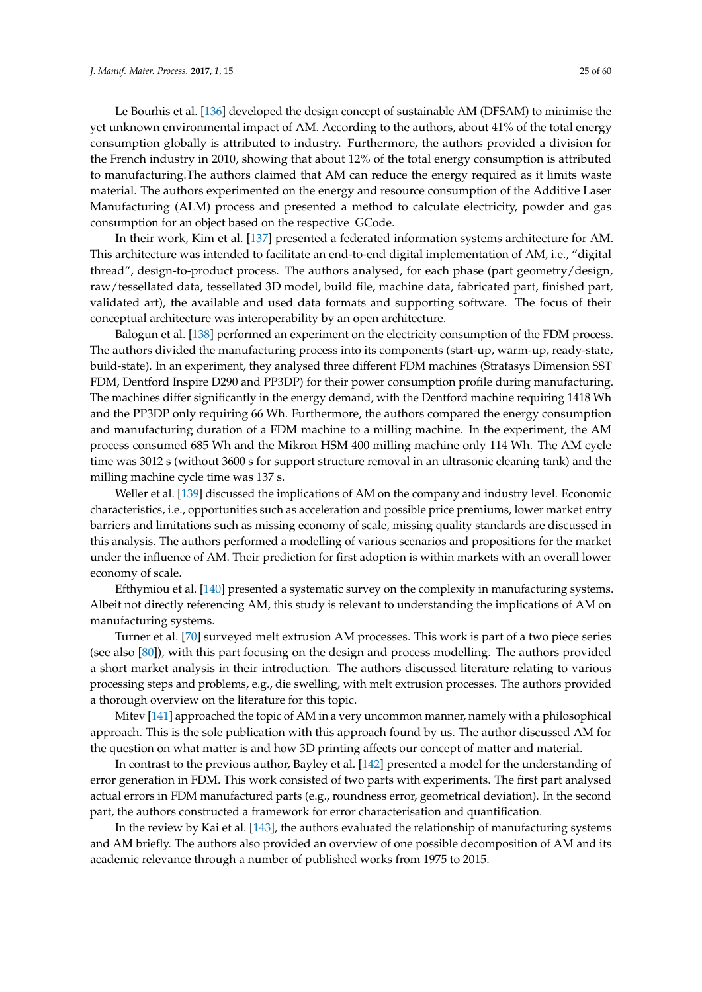Le Bourhis et al. [\[136\]](#page-51-10) developed the design concept of sustainable AM (DFSAM) to minimise the yet unknown environmental impact of AM. According to the authors, about 41% of the total energy consumption globally is attributed to industry. Furthermore, the authors provided a division for the French industry in 2010, showing that about 12% of the total energy consumption is attributed to manufacturing.The authors claimed that AM can reduce the energy required as it limits waste material. The authors experimented on the energy and resource consumption of the Additive Laser Manufacturing (ALM) process and presented a method to calculate electricity, powder and gas consumption for an object based on the respective GCode.

In their work, Kim et al. [\[137\]](#page-51-11) presented a federated information systems architecture for AM. This architecture was intended to facilitate an end-to-end digital implementation of AM, i.e., "digital thread", design-to-product process. The authors analysed, for each phase (part geometry/design, raw/tessellated data, tessellated 3D model, build file, machine data, fabricated part, finished part, validated art), the available and used data formats and supporting software. The focus of their conceptual architecture was interoperability by an open architecture.

Balogun et al. [\[138\]](#page-51-12) performed an experiment on the electricity consumption of the FDM process. The authors divided the manufacturing process into its components (start-up, warm-up, ready-state, build-state). In an experiment, they analysed three different FDM machines (Stratasys Dimension SST FDM, Dentford Inspire D290 and PP3DP) for their power consumption profile during manufacturing. The machines differ significantly in the energy demand, with the Dentford machine requiring 1418 Wh and the PP3DP only requiring 66 Wh. Furthermore, the authors compared the energy consumption and manufacturing duration of a FDM machine to a milling machine. In the experiment, the AM process consumed 685 Wh and the Mikron HSM 400 milling machine only 114 Wh. The AM cycle time was 3012 s (without 3600 s for support structure removal in an ultrasonic cleaning tank) and the milling machine cycle time was 137 s.

Weller et al. [\[139\]](#page-51-13) discussed the implications of AM on the company and industry level. Economic characteristics, i.e., opportunities such as acceleration and possible price premiums, lower market entry barriers and limitations such as missing economy of scale, missing quality standards are discussed in this analysis. The authors performed a modelling of various scenarios and propositions for the market under the influence of AM. Their prediction for first adoption is within markets with an overall lower economy of scale.

Efthymiou et al. [\[140\]](#page-51-14) presented a systematic survey on the complexity in manufacturing systems. Albeit not directly referencing AM, this study is relevant to understanding the implications of AM on manufacturing systems.

Turner et al. [\[70\]](#page-48-19) surveyed melt extrusion AM processes. This work is part of a two piece series (see also [\[80\]](#page-49-5)), with this part focusing on the design and process modelling. The authors provided a short market analysis in their introduction. The authors discussed literature relating to various processing steps and problems, e.g., die swelling, with melt extrusion processes. The authors provided a thorough overview on the literature for this topic.

Mitev [\[141\]](#page-51-15) approached the topic of AM in a very uncommon manner, namely with a philosophical approach. This is the sole publication with this approach found by us. The author discussed AM for the question on what matter is and how 3D printing affects our concept of matter and material.

In contrast to the previous author, Bayley et al. [\[142\]](#page-51-16) presented a model for the understanding of error generation in FDM. This work consisted of two parts with experiments. The first part analysed actual errors in FDM manufactured parts (e.g., roundness error, geometrical deviation). In the second part, the authors constructed a framework for error characterisation and quantification.

In the review by Kai et al. [\[143\]](#page-51-17), the authors evaluated the relationship of manufacturing systems and AM briefly. The authors also provided an overview of one possible decomposition of AM and its academic relevance through a number of published works from 1975 to 2015.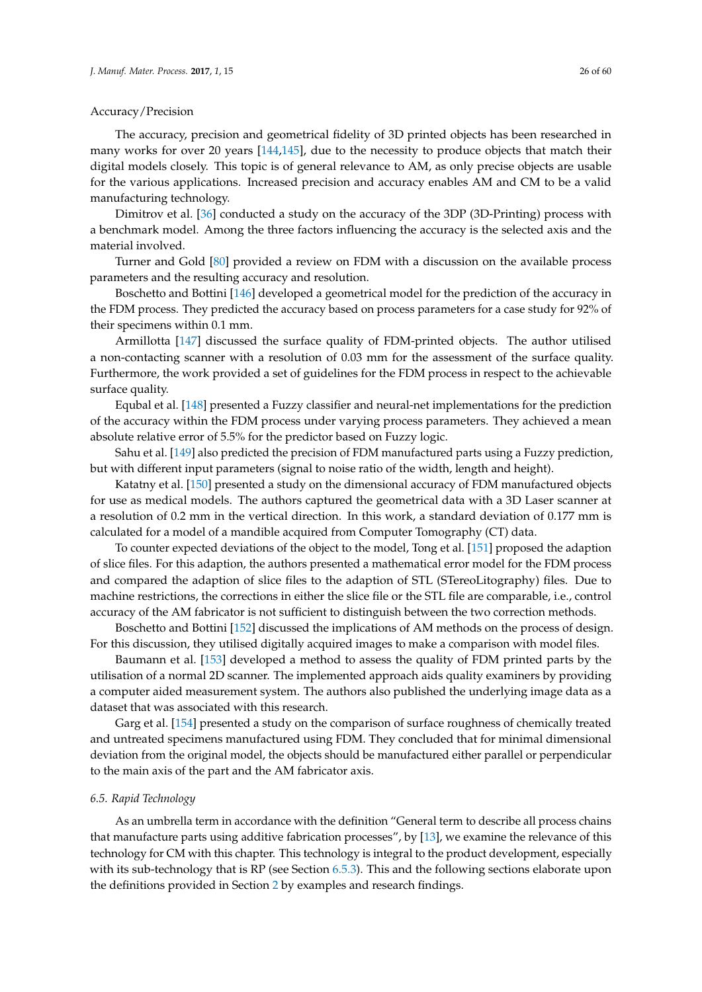## Accuracy/Precision

The accuracy, precision and geometrical fidelity of 3D printed objects has been researched in many works for over 20 years [\[144,](#page-51-18)[145\]](#page-51-19), due to the necessity to produce objects that match their digital models closely. This topic is of general relevance to AM, as only precise objects are usable for the various applications. Increased precision and accuracy enables AM and CM to be a valid manufacturing technology.

Dimitrov et al. [\[36\]](#page-47-11) conducted a study on the accuracy of the 3DP (3D-Printing) process with a benchmark model. Among the three factors influencing the accuracy is the selected axis and the material involved.

Turner and Gold [\[80\]](#page-49-5) provided a review on FDM with a discussion on the available process parameters and the resulting accuracy and resolution.

Boschetto and Bottini [\[146\]](#page-51-20) developed a geometrical model for the prediction of the accuracy in the FDM process. They predicted the accuracy based on process parameters for a case study for 92% of their specimens within 0.1 mm.

Armillotta [\[147\]](#page-51-21) discussed the surface quality of FDM-printed objects. The author utilised a non-contacting scanner with a resolution of 0.03 mm for the assessment of the surface quality. Furthermore, the work provided a set of guidelines for the FDM process in respect to the achievable surface quality.

Equbal et al. [\[148\]](#page-51-22) presented a Fuzzy classifier and neural-net implementations for the prediction of the accuracy within the FDM process under varying process parameters. They achieved a mean absolute relative error of 5.5% for the predictor based on Fuzzy logic.

Sahu et al. [\[149\]](#page-52-0) also predicted the precision of FDM manufactured parts using a Fuzzy prediction, but with different input parameters (signal to noise ratio of the width, length and height).

Katatny et al. [\[150\]](#page-52-1) presented a study on the dimensional accuracy of FDM manufactured objects for use as medical models. The authors captured the geometrical data with a 3D Laser scanner at a resolution of 0.2 mm in the vertical direction. In this work, a standard deviation of 0.177 mm is calculated for a model of a mandible acquired from Computer Tomography (CT) data.

To counter expected deviations of the object to the model, Tong et al. [\[151\]](#page-52-2) proposed the adaption of slice files. For this adaption, the authors presented a mathematical error model for the FDM process and compared the adaption of slice files to the adaption of STL (STereoLitography) files. Due to machine restrictions, the corrections in either the slice file or the STL file are comparable, i.e., control accuracy of the AM fabricator is not sufficient to distinguish between the two correction methods.

Boschetto and Bottini [\[152\]](#page-52-3) discussed the implications of AM methods on the process of design. For this discussion, they utilised digitally acquired images to make a comparison with model files.

Baumann et al. [\[153\]](#page-52-4) developed a method to assess the quality of FDM printed parts by the utilisation of a normal 2D scanner. The implemented approach aids quality examiners by providing a computer aided measurement system. The authors also published the underlying image data as a dataset that was associated with this research.

Garg et al. [\[154\]](#page-52-5) presented a study on the comparison of surface roughness of chemically treated and untreated specimens manufactured using FDM. They concluded that for minimal dimensional deviation from the original model, the objects should be manufactured either parallel or perpendicular to the main axis of the part and the AM fabricator axis.

#### <span id="page-25-0"></span>*6.5. Rapid Technology*

As an umbrella term in accordance with the definition "General term to describe all process chains that manufacture parts using additive fabrication processes", by [\[13\]](#page-46-9), we examine the relevance of this technology for CM with this chapter. This technology is integral to the product development, especially with its sub-technology that is RP (see Section [6.5.3\)](#page-29-0). This and the following sections elaborate upon the definitions provided in Section [2](#page-7-0) by examples and research findings.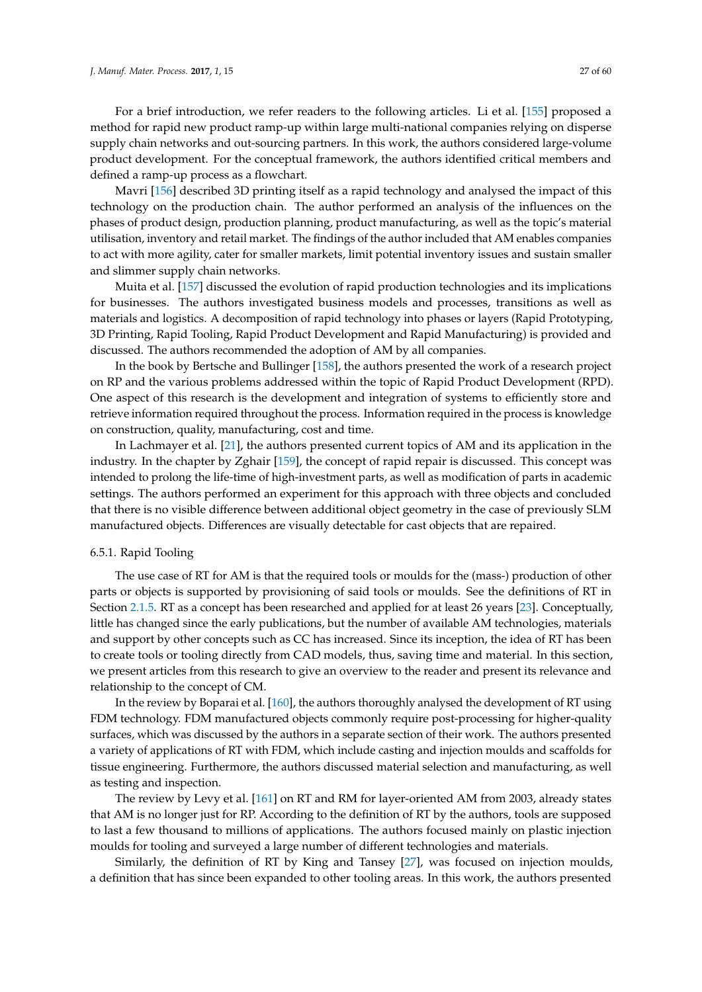defined a ramp-up process as a flowchart. Mavri [\[156\]](#page-52-7) described 3D printing itself as a rapid technology and analysed the impact of this technology on the production chain. The author performed an analysis of the influences on the phases of product design, production planning, product manufacturing, as well as the topic's material utilisation, inventory and retail market. The findings of the author included that AM enables companies to act with more agility, cater for smaller markets, limit potential inventory issues and sustain smaller and slimmer supply chain networks.

product development. For the conceptual framework, the authors identified critical members and

Muita et al. [\[157\]](#page-52-8) discussed the evolution of rapid production technologies and its implications for businesses. The authors investigated business models and processes, transitions as well as materials and logistics. A decomposition of rapid technology into phases or layers (Rapid Prototyping, 3D Printing, Rapid Tooling, Rapid Product Development and Rapid Manufacturing) is provided and discussed. The authors recommended the adoption of AM by all companies.

In the book by Bertsche and Bullinger [\[158\]](#page-52-9), the authors presented the work of a research project on RP and the various problems addressed within the topic of Rapid Product Development (RPD). One aspect of this research is the development and integration of systems to efficiently store and retrieve information required throughout the process. Information required in the process is knowledge on construction, quality, manufacturing, cost and time.

In Lachmayer et al. [\[21\]](#page-46-17), the authors presented current topics of AM and its application in the industry. In the chapter by Zghair [\[159\]](#page-52-10), the concept of rapid repair is discussed. This concept was intended to prolong the life-time of high-investment parts, as well as modification of parts in academic settings. The authors performed an experiment for this approach with three objects and concluded that there is no visible difference between additional object geometry in the case of previously SLM manufactured objects. Differences are visually detectable for cast objects that are repaired.

#### <span id="page-26-0"></span>6.5.1. Rapid Tooling

The use case of RT for AM is that the required tools or moulds for the (mass-) production of other parts or objects is supported by provisioning of said tools or moulds. See the definitions of RT in Section [2.1.5.](#page-9-0) RT as a concept has been researched and applied for at least 26 years [\[23\]](#page-46-19). Conceptually, little has changed since the early publications, but the number of available AM technologies, materials and support by other concepts such as CC has increased. Since its inception, the idea of RT has been to create tools or tooling directly from CAD models, thus, saving time and material. In this section, we present articles from this research to give an overview to the reader and present its relevance and relationship to the concept of CM.

In the review by Boparai et al. [\[160\]](#page-52-11), the authors thoroughly analysed the development of RT using FDM technology. FDM manufactured objects commonly require post-processing for higher-quality surfaces, which was discussed by the authors in a separate section of their work. The authors presented a variety of applications of RT with FDM, which include casting and injection moulds and scaffolds for tissue engineering. Furthermore, the authors discussed material selection and manufacturing, as well as testing and inspection.

The review by Levy et al. [\[161\]](#page-52-12) on RT and RM for layer-oriented AM from 2003, already states that AM is no longer just for RP. According to the definition of RT by the authors, tools are supposed to last a few thousand to millions of applications. The authors focused mainly on plastic injection moulds for tooling and surveyed a large number of different technologies and materials.

Similarly, the definition of RT by King and Tansey [\[27\]](#page-47-2), was focused on injection moulds, a definition that has since been expanded to other tooling areas. In this work, the authors presented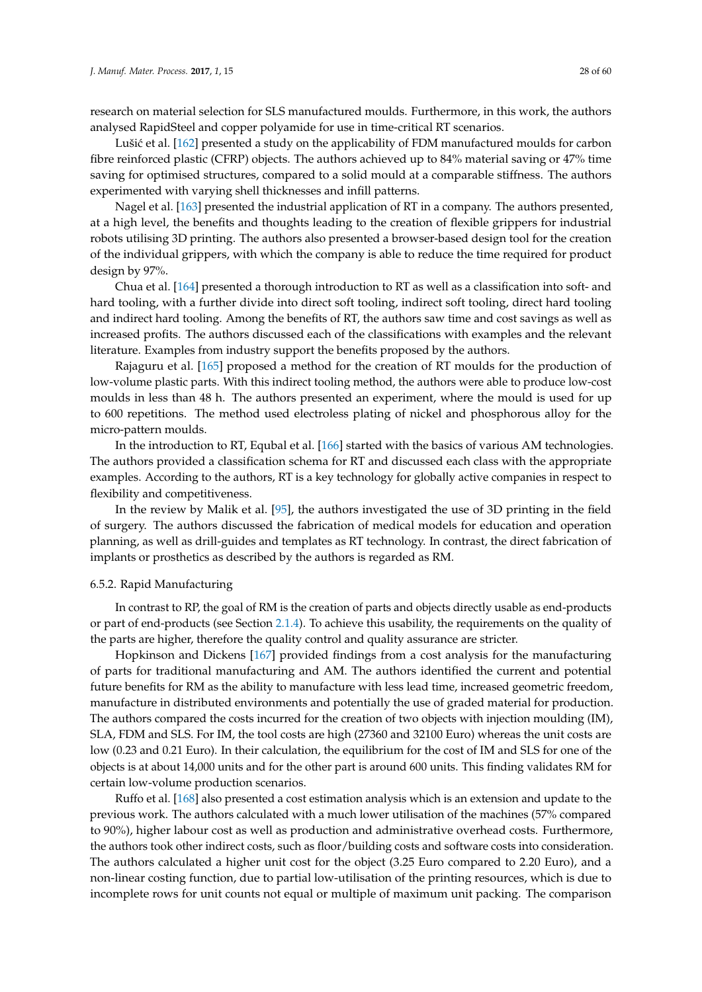Lušić et al. [\[162\]](#page-52-13) presented a study on the applicability of FDM manufactured moulds for carbon fibre reinforced plastic (CFRP) objects. The authors achieved up to 84% material saving or 47% time saving for optimised structures, compared to a solid mould at a comparable stiffness. The authors experimented with varying shell thicknesses and infill patterns.

Nagel et al. [\[163\]](#page-52-14) presented the industrial application of RT in a company. The authors presented, at a high level, the benefits and thoughts leading to the creation of flexible grippers for industrial robots utilising 3D printing. The authors also presented a browser-based design tool for the creation of the individual grippers, with which the company is able to reduce the time required for product design by 97%.

Chua et al. [\[164\]](#page-52-15) presented a thorough introduction to RT as well as a classification into soft- and hard tooling, with a further divide into direct soft tooling, indirect soft tooling, direct hard tooling and indirect hard tooling. Among the benefits of RT, the authors saw time and cost savings as well as increased profits. The authors discussed each of the classifications with examples and the relevant literature. Examples from industry support the benefits proposed by the authors.

Rajaguru et al. [\[165\]](#page-52-16) proposed a method for the creation of RT moulds for the production of low-volume plastic parts. With this indirect tooling method, the authors were able to produce low-cost moulds in less than 48 h. The authors presented an experiment, where the mould is used for up to 600 repetitions. The method used electroless plating of nickel and phosphorous alloy for the micro-pattern moulds.

In the introduction to RT, Equbal et al. [\[166\]](#page-52-17) started with the basics of various AM technologies. The authors provided a classification schema for RT and discussed each class with the appropriate examples. According to the authors, RT is a key technology for globally active companies in respect to flexibility and competitiveness.

In the review by Malik et al. [\[95\]](#page-49-20), the authors investigated the use of 3D printing in the field of surgery. The authors discussed the fabrication of medical models for education and operation planning, as well as drill-guides and templates as RT technology. In contrast, the direct fabrication of implants or prosthetics as described by the authors is regarded as RM.

## <span id="page-27-0"></span>6.5.2. Rapid Manufacturing

In contrast to RP, the goal of RM is the creation of parts and objects directly usable as end-products or part of end-products (see Section [2.1.4\)](#page-9-1). To achieve this usability, the requirements on the quality of the parts are higher, therefore the quality control and quality assurance are stricter.

Hopkinson and Dickens [\[167\]](#page-52-18) provided findings from a cost analysis for the manufacturing of parts for traditional manufacturing and AM. The authors identified the current and potential future benefits for RM as the ability to manufacture with less lead time, increased geometric freedom, manufacture in distributed environments and potentially the use of graded material for production. The authors compared the costs incurred for the creation of two objects with injection moulding (IM), SLA, FDM and SLS. For IM, the tool costs are high (27360 and 32100 Euro) whereas the unit costs are low (0.23 and 0.21 Euro). In their calculation, the equilibrium for the cost of IM and SLS for one of the objects is at about 14,000 units and for the other part is around 600 units. This finding validates RM for certain low-volume production scenarios.

Ruffo et al. [\[168\]](#page-52-19) also presented a cost estimation analysis which is an extension and update to the previous work. The authors calculated with a much lower utilisation of the machines (57% compared to 90%), higher labour cost as well as production and administrative overhead costs. Furthermore, the authors took other indirect costs, such as floor/building costs and software costs into consideration. The authors calculated a higher unit cost for the object (3.25 Euro compared to 2.20 Euro), and a non-linear costing function, due to partial low-utilisation of the printing resources, which is due to incomplete rows for unit counts not equal or multiple of maximum unit packing. The comparison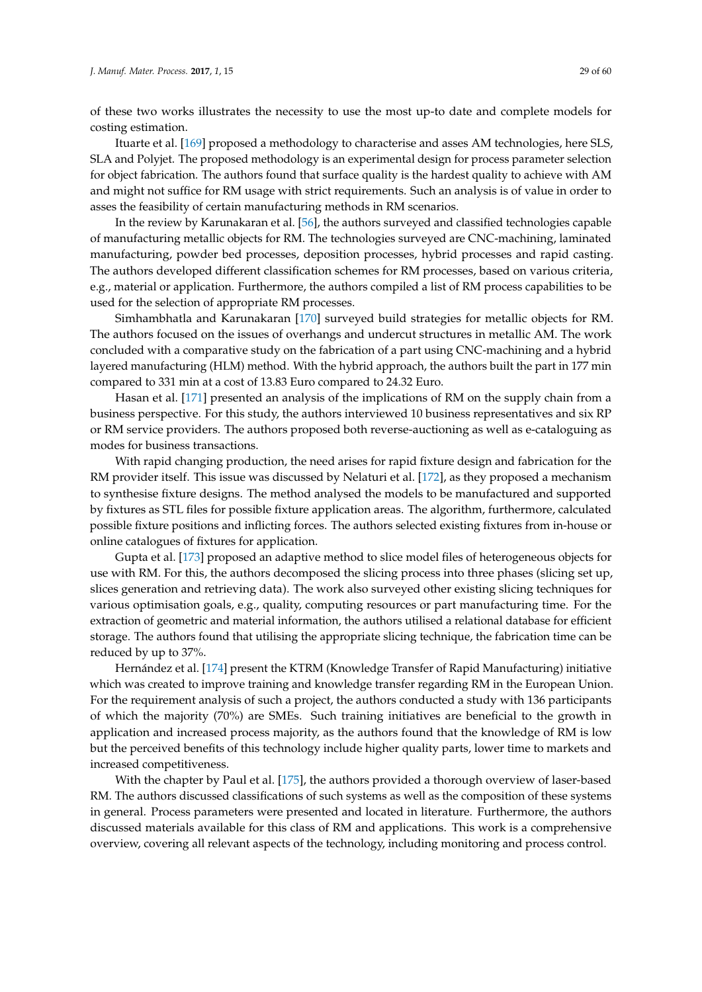of these two works illustrates the necessity to use the most up-to date and complete models for costing estimation.

Ituarte et al. [\[169\]](#page-52-20) proposed a methodology to characterise and asses AM technologies, here SLS, SLA and Polyjet. The proposed methodology is an experimental design for process parameter selection for object fabrication. The authors found that surface quality is the hardest quality to achieve with AM and might not suffice for RM usage with strict requirements. Such an analysis is of value in order to asses the feasibility of certain manufacturing methods in RM scenarios.

In the review by Karunakaran et al. [\[56\]](#page-48-5), the authors surveyed and classified technologies capable of manufacturing metallic objects for RM. The technologies surveyed are CNC-machining, laminated manufacturing, powder bed processes, deposition processes, hybrid processes and rapid casting. The authors developed different classification schemes for RM processes, based on various criteria, e.g., material or application. Furthermore, the authors compiled a list of RM process capabilities to be used for the selection of appropriate RM processes.

Simhambhatla and Karunakaran [\[170\]](#page-52-21) surveyed build strategies for metallic objects for RM. The authors focused on the issues of overhangs and undercut structures in metallic AM. The work concluded with a comparative study on the fabrication of a part using CNC-machining and a hybrid layered manufacturing (HLM) method. With the hybrid approach, the authors built the part in 177 min compared to 331 min at a cost of 13.83 Euro compared to 24.32 Euro.

Hasan et al. [\[171\]](#page-52-22) presented an analysis of the implications of RM on the supply chain from a business perspective. For this study, the authors interviewed 10 business representatives and six RP or RM service providers. The authors proposed both reverse-auctioning as well as e-cataloguing as modes for business transactions.

With rapid changing production, the need arises for rapid fixture design and fabrication for the RM provider itself. This issue was discussed by Nelaturi et al. [\[172\]](#page-52-23), as they proposed a mechanism to synthesise fixture designs. The method analysed the models to be manufactured and supported by fixtures as STL files for possible fixture application areas. The algorithm, furthermore, calculated possible fixture positions and inflicting forces. The authors selected existing fixtures from in-house or online catalogues of fixtures for application.

Gupta et al. [\[173\]](#page-52-24) proposed an adaptive method to slice model files of heterogeneous objects for use with RM. For this, the authors decomposed the slicing process into three phases (slicing set up, slices generation and retrieving data). The work also surveyed other existing slicing techniques for various optimisation goals, e.g., quality, computing resources or part manufacturing time. For the extraction of geometric and material information, the authors utilised a relational database for efficient storage. The authors found that utilising the appropriate slicing technique, the fabrication time can be reduced by up to 37%.

Hernández et al. [\[174\]](#page-53-0) present the KTRM (Knowledge Transfer of Rapid Manufacturing) initiative which was created to improve training and knowledge transfer regarding RM in the European Union. For the requirement analysis of such a project, the authors conducted a study with 136 participants of which the majority (70%) are SMEs. Such training initiatives are beneficial to the growth in application and increased process majority, as the authors found that the knowledge of RM is low but the perceived benefits of this technology include higher quality parts, lower time to markets and increased competitiveness.

With the chapter by Paul et al. [\[175\]](#page-53-1), the authors provided a thorough overview of laser-based RM. The authors discussed classifications of such systems as well as the composition of these systems in general. Process parameters were presented and located in literature. Furthermore, the authors discussed materials available for this class of RM and applications. This work is a comprehensive overview, covering all relevant aspects of the technology, including monitoring and process control.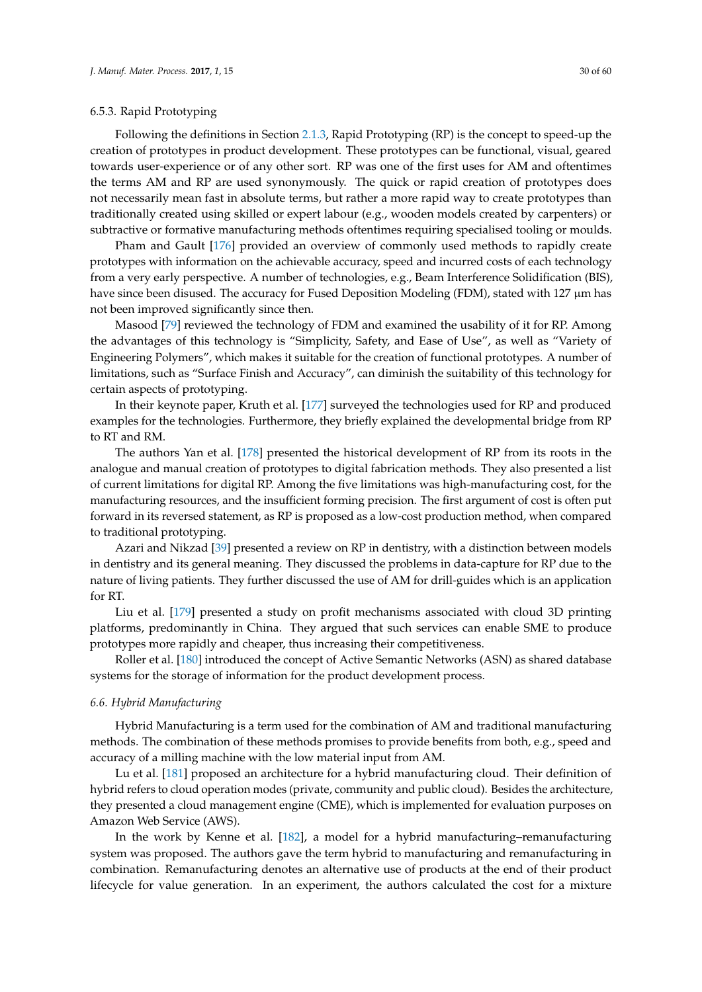# <span id="page-29-0"></span>6.5.3. Rapid Prototyping

Following the definitions in Section [2.1.3,](#page-8-1) Rapid Prototyping (RP) is the concept to speed-up the creation of prototypes in product development. These prototypes can be functional, visual, geared towards user-experience or of any other sort. RP was one of the first uses for AM and oftentimes the terms AM and RP are used synonymously. The quick or rapid creation of prototypes does not necessarily mean fast in absolute terms, but rather a more rapid way to create prototypes than traditionally created using skilled or expert labour (e.g., wooden models created by carpenters) or subtractive or formative manufacturing methods oftentimes requiring specialised tooling or moulds.

Pham and Gault [\[176\]](#page-53-2) provided an overview of commonly used methods to rapidly create prototypes with information on the achievable accuracy, speed and incurred costs of each technology from a very early perspective. A number of technologies, e.g., Beam Interference Solidification (BIS), have since been disused. The accuracy for Fused Deposition Modeling (FDM), stated with 127  $\mu$ m has not been improved significantly since then.

Masood [\[79\]](#page-49-4) reviewed the technology of FDM and examined the usability of it for RP. Among the advantages of this technology is "Simplicity, Safety, and Ease of Use", as well as "Variety of Engineering Polymers", which makes it suitable for the creation of functional prototypes. A number of limitations, such as "Surface Finish and Accuracy", can diminish the suitability of this technology for certain aspects of prototyping.

In their keynote paper, Kruth et al. [\[177\]](#page-53-3) surveyed the technologies used for RP and produced examples for the technologies. Furthermore, they briefly explained the developmental bridge from RP to RT and RM.

The authors Yan et al. [\[178\]](#page-53-4) presented the historical development of RP from its roots in the analogue and manual creation of prototypes to digital fabrication methods. They also presented a list of current limitations for digital RP. Among the five limitations was high-manufacturing cost, for the manufacturing resources, and the insufficient forming precision. The first argument of cost is often put forward in its reversed statement, as RP is proposed as a low-cost production method, when compared to traditional prototyping.

Azari and Nikzad [\[39\]](#page-47-14) presented a review on RP in dentistry, with a distinction between models in dentistry and its general meaning. They discussed the problems in data-capture for RP due to the nature of living patients. They further discussed the use of AM for drill-guides which is an application for RT.

Liu et al. [\[179\]](#page-53-5) presented a study on profit mechanisms associated with cloud 3D printing platforms, predominantly in China. They argued that such services can enable SME to produce prototypes more rapidly and cheaper, thus increasing their competitiveness.

Roller et al. [\[180\]](#page-53-6) introduced the concept of Active Semantic Networks (ASN) as shared database systems for the storage of information for the product development process.

## <span id="page-29-1"></span>*6.6. Hybrid Manufacturing*

Hybrid Manufacturing is a term used for the combination of AM and traditional manufacturing methods. The combination of these methods promises to provide benefits from both, e.g., speed and accuracy of a milling machine with the low material input from AM.

Lu et al. [\[181\]](#page-53-7) proposed an architecture for a hybrid manufacturing cloud. Their definition of hybrid refers to cloud operation modes (private, community and public cloud). Besides the architecture, they presented a cloud management engine (CME), which is implemented for evaluation purposes on Amazon Web Service (AWS).

In the work by Kenne et al. [\[182\]](#page-53-8), a model for a hybrid manufacturing–remanufacturing system was proposed. The authors gave the term hybrid to manufacturing and remanufacturing in combination. Remanufacturing denotes an alternative use of products at the end of their product lifecycle for value generation. In an experiment, the authors calculated the cost for a mixture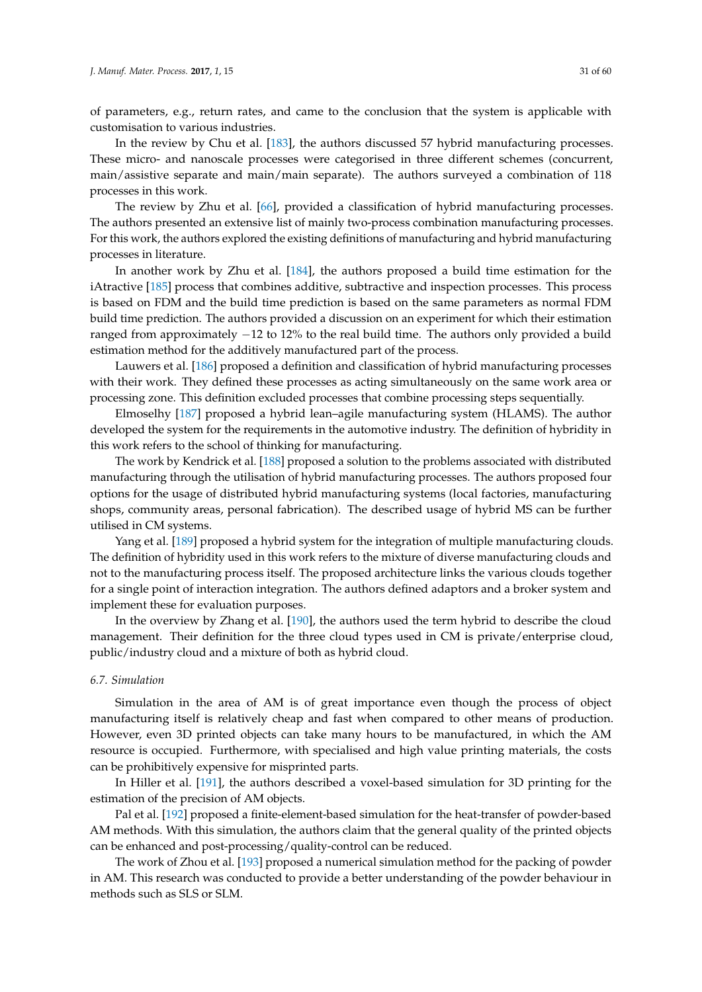of parameters, e.g., return rates, and came to the conclusion that the system is applicable with customisation to various industries.

In the review by Chu et al. [\[183\]](#page-53-9), the authors discussed 57 hybrid manufacturing processes. These micro- and nanoscale processes were categorised in three different schemes (concurrent, main/assistive separate and main/main separate). The authors surveyed a combination of 118 processes in this work.

The review by Zhu et al. [\[66\]](#page-48-15), provided a classification of hybrid manufacturing processes. The authors presented an extensive list of mainly two-process combination manufacturing processes. For this work, the authors explored the existing definitions of manufacturing and hybrid manufacturing processes in literature.

In another work by Zhu et al. [\[184\]](#page-53-10), the authors proposed a build time estimation for the iAtractive [\[185\]](#page-53-11) process that combines additive, subtractive and inspection processes. This process is based on FDM and the build time prediction is based on the same parameters as normal FDM build time prediction. The authors provided a discussion on an experiment for which their estimation ranged from approximately −12 to 12% to the real build time. The authors only provided a build estimation method for the additively manufactured part of the process.

Lauwers et al. [\[186\]](#page-53-12) proposed a definition and classification of hybrid manufacturing processes with their work. They defined these processes as acting simultaneously on the same work area or processing zone. This definition excluded processes that combine processing steps sequentially.

Elmoselhy [\[187\]](#page-53-13) proposed a hybrid lean–agile manufacturing system (HLAMS). The author developed the system for the requirements in the automotive industry. The definition of hybridity in this work refers to the school of thinking for manufacturing.

The work by Kendrick et al. [\[188\]](#page-53-14) proposed a solution to the problems associated with distributed manufacturing through the utilisation of hybrid manufacturing processes. The authors proposed four options for the usage of distributed hybrid manufacturing systems (local factories, manufacturing shops, community areas, personal fabrication). The described usage of hybrid MS can be further utilised in CM systems.

Yang et al. [\[189\]](#page-53-15) proposed a hybrid system for the integration of multiple manufacturing clouds. The definition of hybridity used in this work refers to the mixture of diverse manufacturing clouds and not to the manufacturing process itself. The proposed architecture links the various clouds together for a single point of interaction integration. The authors defined adaptors and a broker system and implement these for evaluation purposes.

In the overview by Zhang et al. [\[190\]](#page-53-16), the authors used the term hybrid to describe the cloud management. Their definition for the three cloud types used in CM is private/enterprise cloud, public/industry cloud and a mixture of both as hybrid cloud.

# <span id="page-30-0"></span>*6.7. Simulation*

Simulation in the area of AM is of great importance even though the process of object manufacturing itself is relatively cheap and fast when compared to other means of production. However, even 3D printed objects can take many hours to be manufactured, in which the AM resource is occupied. Furthermore, with specialised and high value printing materials, the costs can be prohibitively expensive for misprinted parts.

In Hiller et al. [\[191\]](#page-53-17), the authors described a voxel-based simulation for 3D printing for the estimation of the precision of AM objects.

Pal et al. [\[192\]](#page-53-18) proposed a finite-element-based simulation for the heat-transfer of powder-based AM methods. With this simulation, the authors claim that the general quality of the printed objects can be enhanced and post-processing/quality-control can be reduced.

The work of Zhou et al. [\[193\]](#page-53-19) proposed a numerical simulation method for the packing of powder in AM. This research was conducted to provide a better understanding of the powder behaviour in methods such as SLS or SLM.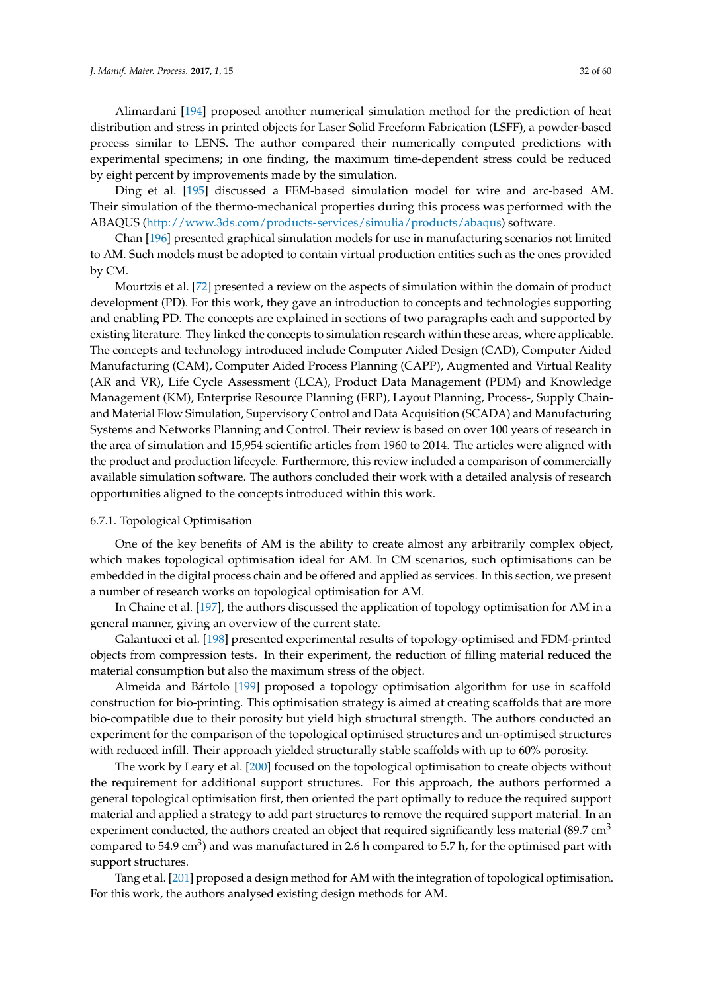Alimardani [\[194\]](#page-54-0) proposed another numerical simulation method for the prediction of heat distribution and stress in printed objects for Laser Solid Freeform Fabrication (LSFF), a powder-based process similar to LENS. The author compared their numerically computed predictions with experimental specimens; in one finding, the maximum time-dependent stress could be reduced by eight percent by improvements made by the simulation.

Ding et al. [\[195\]](#page-54-1) discussed a FEM-based simulation model for wire and arc-based AM. Their simulation of the thermo-mechanical properties during this process was performed with the ABAQUS [\(http://www.3ds.com/products-services/simulia/products/abaqus\)](http://www.3ds.com/products-services/simulia/products/abaqus) software.

Chan [\[196\]](#page-54-2) presented graphical simulation models for use in manufacturing scenarios not limited to AM. Such models must be adopted to contain virtual production entities such as the ones provided by CM.

Mourtzis et al. [\[72\]](#page-48-21) presented a review on the aspects of simulation within the domain of product development (PD). For this work, they gave an introduction to concepts and technologies supporting and enabling PD. The concepts are explained in sections of two paragraphs each and supported by existing literature. They linked the concepts to simulation research within these areas, where applicable. The concepts and technology introduced include Computer Aided Design (CAD), Computer Aided Manufacturing (CAM), Computer Aided Process Planning (CAPP), Augmented and Virtual Reality (AR and VR), Life Cycle Assessment (LCA), Product Data Management (PDM) and Knowledge Management (KM), Enterprise Resource Planning (ERP), Layout Planning, Process-, Supply Chainand Material Flow Simulation, Supervisory Control and Data Acquisition (SCADA) and Manufacturing Systems and Networks Planning and Control. Their review is based on over 100 years of research in the area of simulation and 15,954 scientific articles from 1960 to 2014. The articles were aligned with the product and production lifecycle. Furthermore, this review included a comparison of commercially available simulation software. The authors concluded their work with a detailed analysis of research opportunities aligned to the concepts introduced within this work.

# <span id="page-31-0"></span>6.7.1. Topological Optimisation

One of the key benefits of AM is the ability to create almost any arbitrarily complex object, which makes topological optimisation ideal for AM. In CM scenarios, such optimisations can be embedded in the digital process chain and be offered and applied as services. In this section, we present a number of research works on topological optimisation for AM.

In Chaine et al. [\[197\]](#page-54-3), the authors discussed the application of topology optimisation for AM in a general manner, giving an overview of the current state.

Galantucci et al. [\[198\]](#page-54-4) presented experimental results of topology-optimised and FDM-printed objects from compression tests. In their experiment, the reduction of filling material reduced the material consumption but also the maximum stress of the object.

Almeida and Bártolo [\[199\]](#page-54-5) proposed a topology optimisation algorithm for use in scaffold construction for bio-printing. This optimisation strategy is aimed at creating scaffolds that are more bio-compatible due to their porosity but yield high structural strength. The authors conducted an experiment for the comparison of the topological optimised structures and un-optimised structures with reduced infill. Their approach yielded structurally stable scaffolds with up to 60% porosity.

The work by Leary et al. [\[200\]](#page-54-6) focused on the topological optimisation to create objects without the requirement for additional support structures. For this approach, the authors performed a general topological optimisation first, then oriented the part optimally to reduce the required support material and applied a strategy to add part structures to remove the required support material. In an experiment conducted, the authors created an object that required significantly less material (89.7 cm<sup>3</sup>) compared to 54.9 cm<sup>3</sup>) and was manufactured in 2.6 h compared to 5.7 h, for the optimised part with support structures.

Tang et al. [\[201\]](#page-54-7) proposed a design method for AM with the integration of topological optimisation. For this work, the authors analysed existing design methods for AM.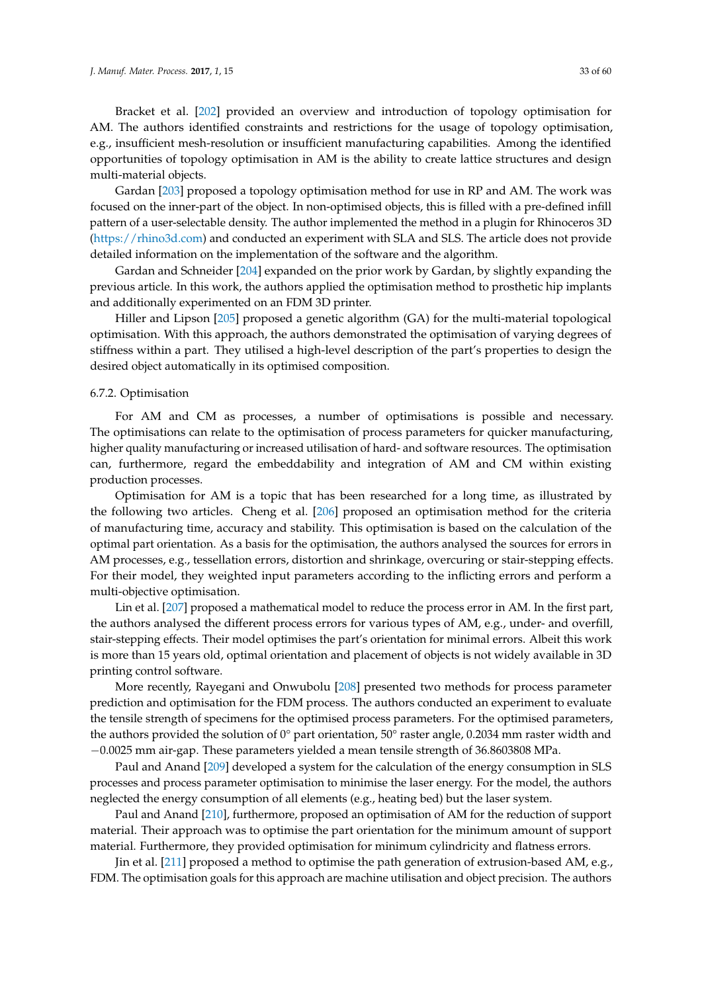Bracket et al. [\[202\]](#page-54-8) provided an overview and introduction of topology optimisation for AM. The authors identified constraints and restrictions for the usage of topology optimisation, e.g., insufficient mesh-resolution or insufficient manufacturing capabilities. Among the identified opportunities of topology optimisation in AM is the ability to create lattice structures and design multi-material objects.

Gardan [\[203\]](#page-54-9) proposed a topology optimisation method for use in RP and AM. The work was focused on the inner-part of the object. In non-optimised objects, this is filled with a pre-defined infill pattern of a user-selectable density. The author implemented the method in a plugin for Rhinoceros 3D [\(https://rhino3d.com\)](https://rhino3d.com) and conducted an experiment with SLA and SLS. The article does not provide detailed information on the implementation of the software and the algorithm.

Gardan and Schneider [\[204\]](#page-54-10) expanded on the prior work by Gardan, by slightly expanding the previous article. In this work, the authors applied the optimisation method to prosthetic hip implants and additionally experimented on an FDM 3D printer.

Hiller and Lipson [\[205\]](#page-54-11) proposed a genetic algorithm (GA) for the multi-material topological optimisation. With this approach, the authors demonstrated the optimisation of varying degrees of stiffness within a part. They utilised a high-level description of the part's properties to design the desired object automatically in its optimised composition.

# <span id="page-32-0"></span>6.7.2. Optimisation

For AM and CM as processes, a number of optimisations is possible and necessary. The optimisations can relate to the optimisation of process parameters for quicker manufacturing, higher quality manufacturing or increased utilisation of hard- and software resources. The optimisation can, furthermore, regard the embeddability and integration of AM and CM within existing production processes.

Optimisation for AM is a topic that has been researched for a long time, as illustrated by the following two articles. Cheng et al. [\[206\]](#page-54-12) proposed an optimisation method for the criteria of manufacturing time, accuracy and stability. This optimisation is based on the calculation of the optimal part orientation. As a basis for the optimisation, the authors analysed the sources for errors in AM processes, e.g., tessellation errors, distortion and shrinkage, overcuring or stair-stepping effects. For their model, they weighted input parameters according to the inflicting errors and perform a multi-objective optimisation.

Lin et al. [\[207\]](#page-54-13) proposed a mathematical model to reduce the process error in AM. In the first part, the authors analysed the different process errors for various types of AM, e.g., under- and overfill, stair-stepping effects. Their model optimises the part's orientation for minimal errors. Albeit this work is more than 15 years old, optimal orientation and placement of objects is not widely available in 3D printing control software.

More recently, Rayegani and Onwubolu [\[208\]](#page-54-14) presented two methods for process parameter prediction and optimisation for the FDM process. The authors conducted an experiment to evaluate the tensile strength of specimens for the optimised process parameters. For the optimised parameters, the authors provided the solution of 0° part orientation, 50° raster angle, 0.2034 mm raster width and −0.0025 mm air-gap. These parameters yielded a mean tensile strength of 36.8603808 MPa.

Paul and Anand [\[209\]](#page-54-15) developed a system for the calculation of the energy consumption in SLS processes and process parameter optimisation to minimise the laser energy. For the model, the authors neglected the energy consumption of all elements (e.g., heating bed) but the laser system.

Paul and Anand [\[210\]](#page-54-16), furthermore, proposed an optimisation of AM for the reduction of support material. Their approach was to optimise the part orientation for the minimum amount of support material. Furthermore, they provided optimisation for minimum cylindricity and flatness errors.

Jin et al. [\[211\]](#page-54-17) proposed a method to optimise the path generation of extrusion-based AM, e.g., FDM. The optimisation goals for this approach are machine utilisation and object precision. The authors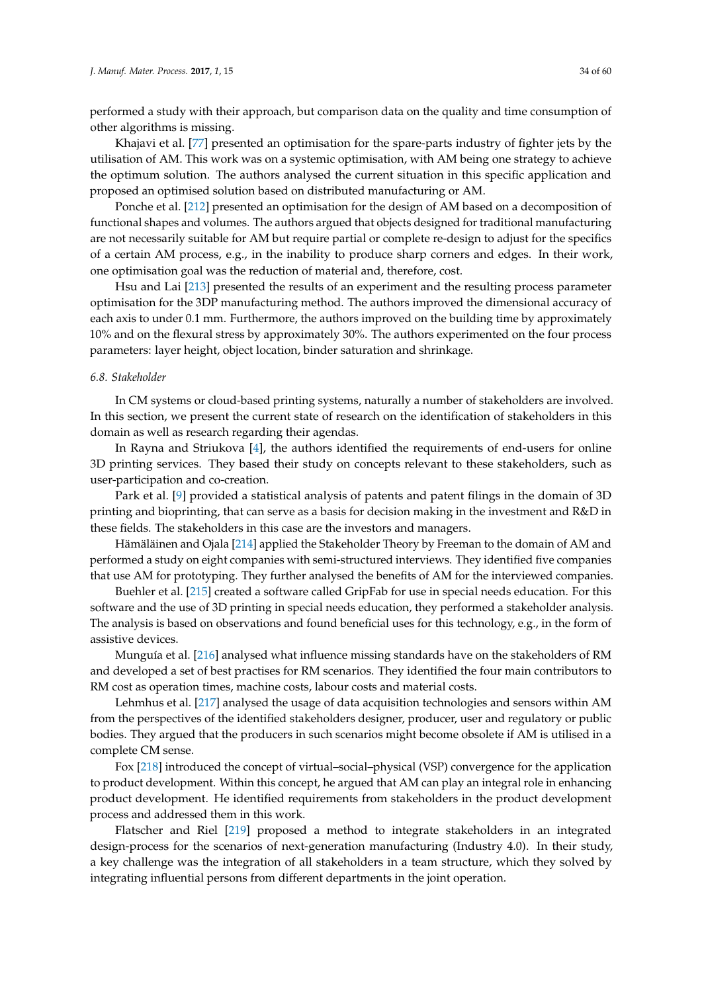performed a study with their approach, but comparison data on the quality and time consumption of other algorithms is missing.

Khajavi et al. [\[77\]](#page-49-2) presented an optimisation for the spare-parts industry of fighter jets by the utilisation of AM. This work was on a systemic optimisation, with AM being one strategy to achieve the optimum solution. The authors analysed the current situation in this specific application and proposed an optimised solution based on distributed manufacturing or AM.

Ponche et al. [\[212\]](#page-54-18) presented an optimisation for the design of AM based on a decomposition of functional shapes and volumes. The authors argued that objects designed for traditional manufacturing are not necessarily suitable for AM but require partial or complete re-design to adjust for the specifics of a certain AM process, e.g., in the inability to produce sharp corners and edges. In their work, one optimisation goal was the reduction of material and, therefore, cost.

Hsu and Lai [\[213\]](#page-54-19) presented the results of an experiment and the resulting process parameter optimisation for the 3DP manufacturing method. The authors improved the dimensional accuracy of each axis to under 0.1 mm. Furthermore, the authors improved on the building time by approximately 10% and on the flexural stress by approximately 30%. The authors experimented on the four process parameters: layer height, object location, binder saturation and shrinkage.

#### <span id="page-33-0"></span>*6.8. Stakeholder*

In CM systems or cloud-based printing systems, naturally a number of stakeholders are involved. In this section, we present the current state of research on the identification of stakeholders in this domain as well as research regarding their agendas.

In Rayna and Striukova [\[4\]](#page-46-2), the authors identified the requirements of end-users for online 3D printing services. They based their study on concepts relevant to these stakeholders, such as user-participation and co-creation.

Park et al. [\[9\]](#page-46-5) provided a statistical analysis of patents and patent filings in the domain of 3D printing and bioprinting, that can serve as a basis for decision making in the investment and R&D in these fields. The stakeholders in this case are the investors and managers.

Hämäläinen and Ojala [\[214\]](#page-54-20) applied the Stakeholder Theory by Freeman to the domain of AM and performed a study on eight companies with semi-structured interviews. They identified five companies that use AM for prototyping. They further analysed the benefits of AM for the interviewed companies.

Buehler et al. [\[215\]](#page-54-21) created a software called GripFab for use in special needs education. For this software and the use of 3D printing in special needs education, they performed a stakeholder analysis. The analysis is based on observations and found beneficial uses for this technology, e.g., in the form of assistive devices.

Munguía et al. [\[216\]](#page-55-0) analysed what influence missing standards have on the stakeholders of RM and developed a set of best practises for RM scenarios. They identified the four main contributors to RM cost as operation times, machine costs, labour costs and material costs.

Lehmhus et al. [\[217\]](#page-55-1) analysed the usage of data acquisition technologies and sensors within AM from the perspectives of the identified stakeholders designer, producer, user and regulatory or public bodies. They argued that the producers in such scenarios might become obsolete if AM is utilised in a complete CM sense.

Fox [\[218\]](#page-55-2) introduced the concept of virtual–social–physical (VSP) convergence for the application to product development. Within this concept, he argued that AM can play an integral role in enhancing product development. He identified requirements from stakeholders in the product development process and addressed them in this work.

Flatscher and Riel [\[219\]](#page-55-3) proposed a method to integrate stakeholders in an integrated design-process for the scenarios of next-generation manufacturing (Industry 4.0). In their study, a key challenge was the integration of all stakeholders in a team structure, which they solved by integrating influential persons from different departments in the joint operation.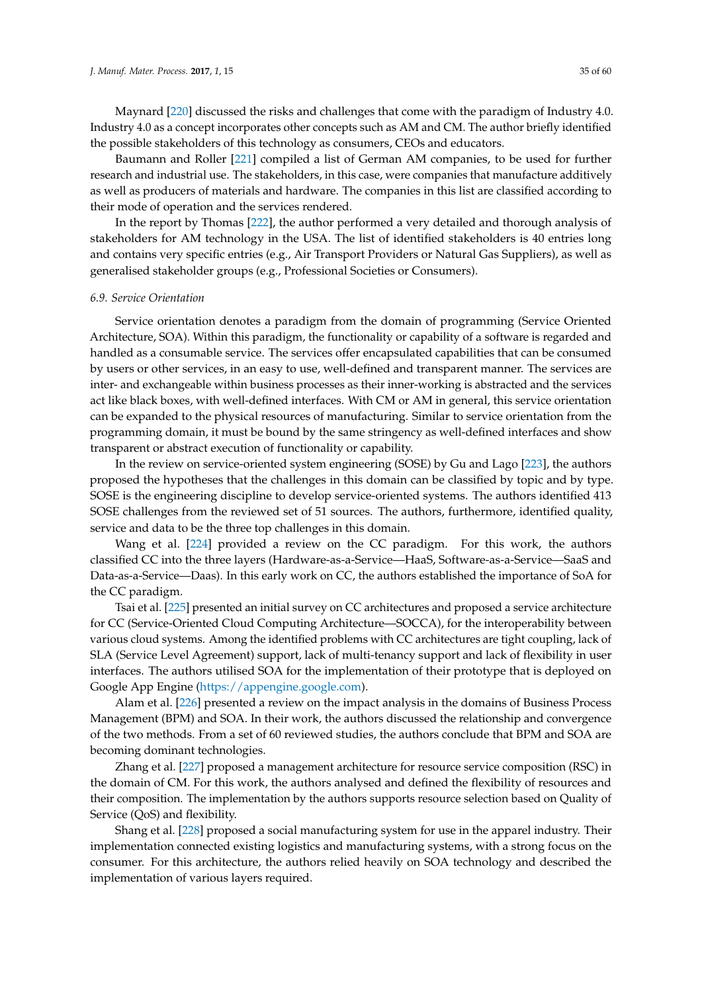Maynard [\[220\]](#page-55-4) discussed the risks and challenges that come with the paradigm of Industry 4.0. Industry 4.0 as a concept incorporates other concepts such as AM and CM. The author briefly identified the possible stakeholders of this technology as consumers, CEOs and educators.

Baumann and Roller [\[221\]](#page-55-5) compiled a list of German AM companies, to be used for further research and industrial use. The stakeholders, in this case, were companies that manufacture additively as well as producers of materials and hardware. The companies in this list are classified according to their mode of operation and the services rendered.

In the report by Thomas [\[222\]](#page-55-6), the author performed a very detailed and thorough analysis of stakeholders for AM technology in the USA. The list of identified stakeholders is 40 entries long and contains very specific entries (e.g., Air Transport Providers or Natural Gas Suppliers), as well as generalised stakeholder groups (e.g., Professional Societies or Consumers).

### <span id="page-34-0"></span>*6.9. Service Orientation*

Service orientation denotes a paradigm from the domain of programming (Service Oriented Architecture, SOA). Within this paradigm, the functionality or capability of a software is regarded and handled as a consumable service. The services offer encapsulated capabilities that can be consumed by users or other services, in an easy to use, well-defined and transparent manner. The services are inter- and exchangeable within business processes as their inner-working is abstracted and the services act like black boxes, with well-defined interfaces. With CM or AM in general, this service orientation can be expanded to the physical resources of manufacturing. Similar to service orientation from the programming domain, it must be bound by the same stringency as well-defined interfaces and show transparent or abstract execution of functionality or capability.

In the review on service-oriented system engineering (SOSE) by Gu and Lago [\[223\]](#page-55-7), the authors proposed the hypotheses that the challenges in this domain can be classified by topic and by type. SOSE is the engineering discipline to develop service-oriented systems. The authors identified 413 SOSE challenges from the reviewed set of 51 sources. The authors, furthermore, identified quality, service and data to be the three top challenges in this domain.

Wang et al. [\[224\]](#page-55-8) provided a review on the CC paradigm. For this work, the authors classified CC into the three layers (Hardware-as-a-Service—HaaS, Software-as-a-Service—SaaS and Data-as-a-Service—Daas). In this early work on CC, the authors established the importance of SoA for the CC paradigm.

Tsai et al. [\[225\]](#page-55-9) presented an initial survey on CC architectures and proposed a service architecture for CC (Service-Oriented Cloud Computing Architecture—SOCCA), for the interoperability between various cloud systems. Among the identified problems with CC architectures are tight coupling, lack of SLA (Service Level Agreement) support, lack of multi-tenancy support and lack of flexibility in user interfaces. The authors utilised SOA for the implementation of their prototype that is deployed on Google App Engine [\(https://appengine.google.com\)](https://appengine.google.com).

Alam et al. [\[226\]](#page-55-10) presented a review on the impact analysis in the domains of Business Process Management (BPM) and SOA. In their work, the authors discussed the relationship and convergence of the two methods. From a set of 60 reviewed studies, the authors conclude that BPM and SOA are becoming dominant technologies.

Zhang et al. [\[227\]](#page-55-11) proposed a management architecture for resource service composition (RSC) in the domain of CM. For this work, the authors analysed and defined the flexibility of resources and their composition. The implementation by the authors supports resource selection based on Quality of Service (QoS) and flexibility.

Shang et al. [\[228\]](#page-55-12) proposed a social manufacturing system for use in the apparel industry. Their implementation connected existing logistics and manufacturing systems, with a strong focus on the consumer. For this architecture, the authors relied heavily on SOA technology and described the implementation of various layers required.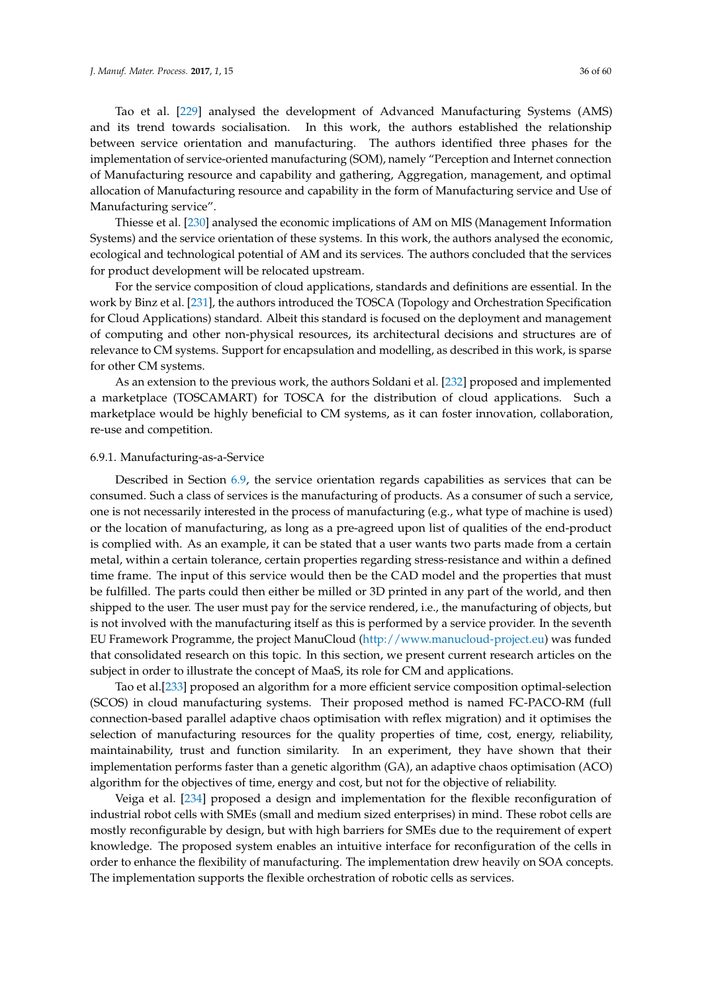Tao et al. [\[229\]](#page-55-13) analysed the development of Advanced Manufacturing Systems (AMS) and its trend towards socialisation. In this work, the authors established the relationship between service orientation and manufacturing. The authors identified three phases for the implementation of service-oriented manufacturing (SOM), namely "Perception and Internet connection of Manufacturing resource and capability and gathering, Aggregation, management, and optimal allocation of Manufacturing resource and capability in the form of Manufacturing service and Use of Manufacturing service".

Thiesse et al. [\[230\]](#page-55-14) analysed the economic implications of AM on MIS (Management Information Systems) and the service orientation of these systems. In this work, the authors analysed the economic, ecological and technological potential of AM and its services. The authors concluded that the services for product development will be relocated upstream.

For the service composition of cloud applications, standards and definitions are essential. In the work by Binz et al. [\[231\]](#page-55-15), the authors introduced the TOSCA (Topology and Orchestration Specification for Cloud Applications) standard. Albeit this standard is focused on the deployment and management of computing and other non-physical resources, its architectural decisions and structures are of relevance to CM systems. Support for encapsulation and modelling, as described in this work, is sparse for other CM systems.

As an extension to the previous work, the authors Soldani et al. [\[232\]](#page-55-16) proposed and implemented a marketplace (TOSCAMART) for TOSCA for the distribution of cloud applications. Such a marketplace would be highly beneficial to CM systems, as it can foster innovation, collaboration, re-use and competition.

## <span id="page-35-0"></span>6.9.1. Manufacturing-as-a-Service

Described in Section [6.9,](#page-34-0) the service orientation regards capabilities as services that can be consumed. Such a class of services is the manufacturing of products. As a consumer of such a service, one is not necessarily interested in the process of manufacturing (e.g., what type of machine is used) or the location of manufacturing, as long as a pre-agreed upon list of qualities of the end-product is complied with. As an example, it can be stated that a user wants two parts made from a certain metal, within a certain tolerance, certain properties regarding stress-resistance and within a defined time frame. The input of this service would then be the CAD model and the properties that must be fulfilled. The parts could then either be milled or 3D printed in any part of the world, and then shipped to the user. The user must pay for the service rendered, i.e., the manufacturing of objects, but is not involved with the manufacturing itself as this is performed by a service provider. In the seventh EU Framework Programme, the project ManuCloud [\(http://www.manucloud-project.eu\)](http://www.manucloud-project.eu) was funded that consolidated research on this topic. In this section, we present current research articles on the subject in order to illustrate the concept of MaaS, its role for CM and applications.

Tao et al.[\[233\]](#page-55-17) proposed an algorithm for a more efficient service composition optimal-selection (SCOS) in cloud manufacturing systems. Their proposed method is named FC-PACO-RM (full connection-based parallel adaptive chaos optimisation with reflex migration) and it optimises the selection of manufacturing resources for the quality properties of time, cost, energy, reliability, maintainability, trust and function similarity. In an experiment, they have shown that their implementation performs faster than a genetic algorithm (GA), an adaptive chaos optimisation (ACO) algorithm for the objectives of time, energy and cost, but not for the objective of reliability.

Veiga et al. [\[234\]](#page-55-18) proposed a design and implementation for the flexible reconfiguration of industrial robot cells with SMEs (small and medium sized enterprises) in mind. These robot cells are mostly reconfigurable by design, but with high barriers for SMEs due to the requirement of expert knowledge. The proposed system enables an intuitive interface for reconfiguration of the cells in order to enhance the flexibility of manufacturing. The implementation drew heavily on SOA concepts. The implementation supports the flexible orchestration of robotic cells as services.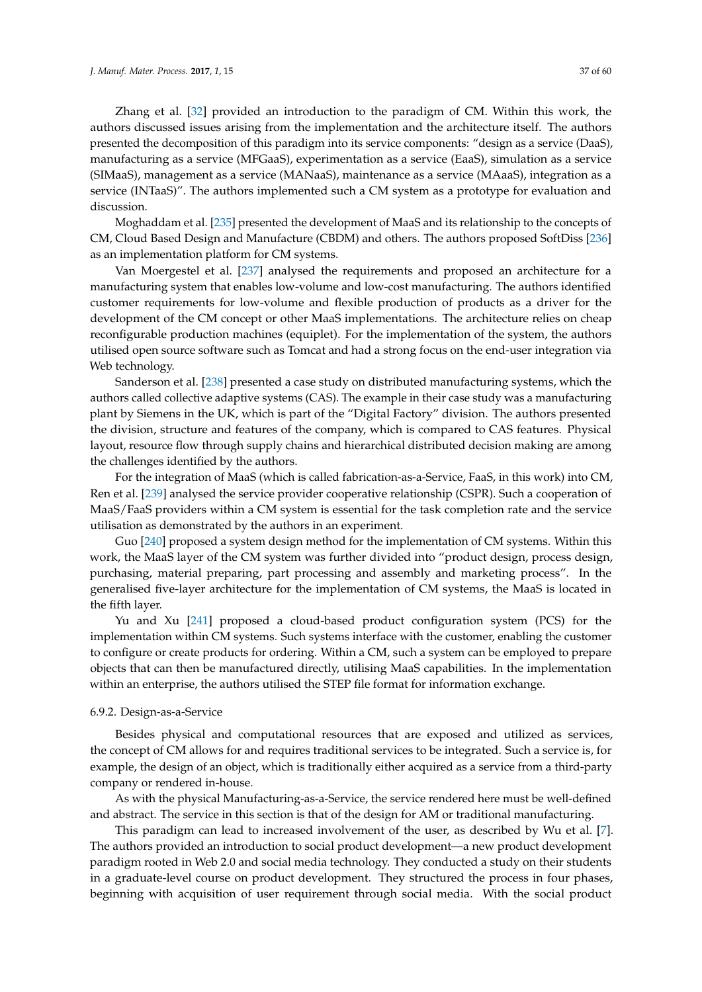Zhang et al. [\[32\]](#page-47-7) provided an introduction to the paradigm of CM. Within this work, the authors discussed issues arising from the implementation and the architecture itself. The authors presented the decomposition of this paradigm into its service components: "design as a service (DaaS), manufacturing as a service (MFGaaS), experimentation as a service (EaaS), simulation as a service (SIMaaS), management as a service (MANaaS), maintenance as a service (MAaaS), integration as a service (INTaaS)". The authors implemented such a CM system as a prototype for evaluation and discussion.

Moghaddam et al. [\[235\]](#page-55-19) presented the development of MaaS and its relationship to the concepts of CM, Cloud Based Design and Manufacture (CBDM) and others. The authors proposed SoftDiss [\[236\]](#page-55-20) as an implementation platform for CM systems.

Van Moergestel et al. [\[237\]](#page-55-21) analysed the requirements and proposed an architecture for a manufacturing system that enables low-volume and low-cost manufacturing. The authors identified customer requirements for low-volume and flexible production of products as a driver for the development of the CM concept or other MaaS implementations. The architecture relies on cheap reconfigurable production machines (equiplet). For the implementation of the system, the authors utilised open source software such as Tomcat and had a strong focus on the end-user integration via Web technology.

Sanderson et al. [\[238\]](#page-55-22) presented a case study on distributed manufacturing systems, which the authors called collective adaptive systems (CAS). The example in their case study was a manufacturing plant by Siemens in the UK, which is part of the "Digital Factory" division. The authors presented the division, structure and features of the company, which is compared to CAS features. Physical layout, resource flow through supply chains and hierarchical distributed decision making are among the challenges identified by the authors.

For the integration of MaaS (which is called fabrication-as-a-Service, FaaS, in this work) into CM, Ren et al. [\[239\]](#page-56-0) analysed the service provider cooperative relationship (CSPR). Such a cooperation of MaaS/FaaS providers within a CM system is essential for the task completion rate and the service utilisation as demonstrated by the authors in an experiment.

Guo [\[240\]](#page-56-1) proposed a system design method for the implementation of CM systems. Within this work, the MaaS layer of the CM system was further divided into "product design, process design, purchasing, material preparing, part processing and assembly and marketing process". In the generalised five-layer architecture for the implementation of CM systems, the MaaS is located in the fifth layer.

Yu and Xu [\[241\]](#page-56-2) proposed a cloud-based product configuration system (PCS) for the implementation within CM systems. Such systems interface with the customer, enabling the customer to configure or create products for ordering. Within a CM, such a system can be employed to prepare objects that can then be manufactured directly, utilising MaaS capabilities. In the implementation within an enterprise, the authors utilised the STEP file format for information exchange.

#### <span id="page-36-0"></span>6.9.2. Design-as-a-Service

Besides physical and computational resources that are exposed and utilized as services, the concept of CM allows for and requires traditional services to be integrated. Such a service is, for example, the design of an object, which is traditionally either acquired as a service from a third-party company or rendered in-house.

As with the physical Manufacturing-as-a-Service, the service rendered here must be well-defined and abstract. The service in this section is that of the design for AM or traditional manufacturing.

This paradigm can lead to increased involvement of the user, as described by Wu et al. [\[7\]](#page-46-22). The authors provided an introduction to social product development—a new product development paradigm rooted in Web 2.0 and social media technology. They conducted a study on their students in a graduate-level course on product development. They structured the process in four phases, beginning with acquisition of user requirement through social media. With the social product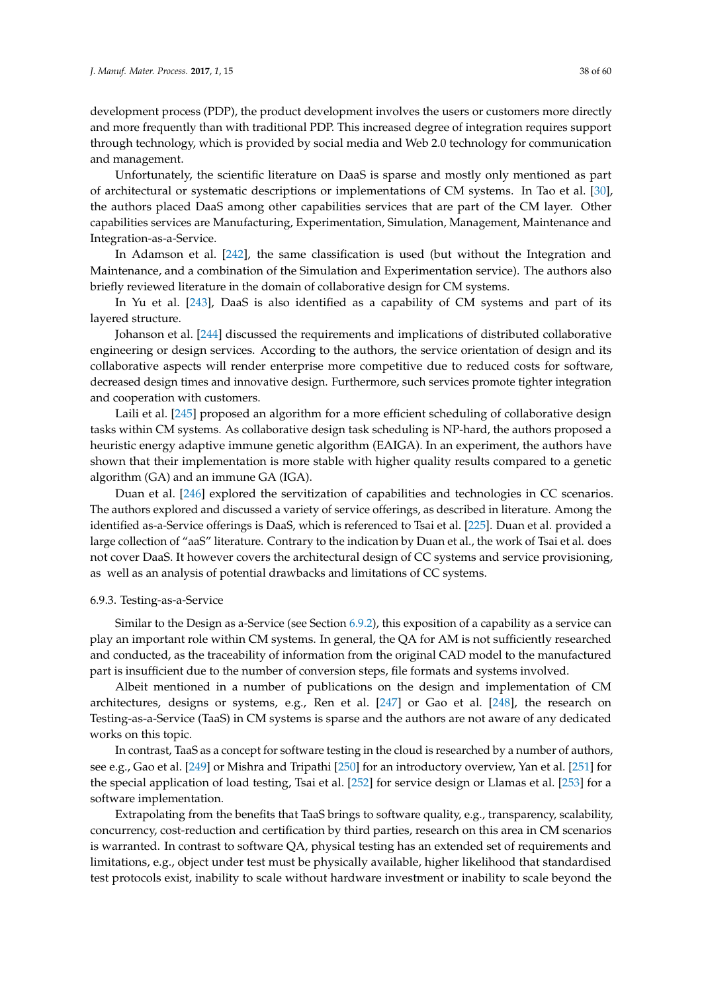development process (PDP), the product development involves the users or customers more directly and more frequently than with traditional PDP. This increased degree of integration requires support through technology, which is provided by social media and Web 2.0 technology for communication and management.

Unfortunately, the scientific literature on DaaS is sparse and mostly only mentioned as part of architectural or systematic descriptions or implementations of CM systems. In Tao et al. [\[30\]](#page-47-5), the authors placed DaaS among other capabilities services that are part of the CM layer. Other capabilities services are Manufacturing, Experimentation, Simulation, Management, Maintenance and Integration-as-a-Service.

In Adamson et al. [\[242\]](#page-56-3), the same classification is used (but without the Integration and Maintenance, and a combination of the Simulation and Experimentation service). The authors also briefly reviewed literature in the domain of collaborative design for CM systems.

In Yu et al. [\[243\]](#page-56-4), DaaS is also identified as a capability of CM systems and part of its layered structure.

Johanson et al. [\[244\]](#page-56-5) discussed the requirements and implications of distributed collaborative engineering or design services. According to the authors, the service orientation of design and its collaborative aspects will render enterprise more competitive due to reduced costs for software, decreased design times and innovative design. Furthermore, such services promote tighter integration and cooperation with customers.

Laili et al. [\[245\]](#page-56-6) proposed an algorithm for a more efficient scheduling of collaborative design tasks within CM systems. As collaborative design task scheduling is NP-hard, the authors proposed a heuristic energy adaptive immune genetic algorithm (EAIGA). In an experiment, the authors have shown that their implementation is more stable with higher quality results compared to a genetic algorithm (GA) and an immune GA (IGA).

Duan et al. [\[246\]](#page-56-7) explored the servitization of capabilities and technologies in CC scenarios. The authors explored and discussed a variety of service offerings, as described in literature. Among the identified as-a-Service offerings is DaaS, which is referenced to Tsai et al. [\[225\]](#page-55-9). Duan et al. provided a large collection of "aaS" literature. Contrary to the indication by Duan et al., the work of Tsai et al. does not cover DaaS. It however covers the architectural design of CC systems and service provisioning, as well as an analysis of potential drawbacks and limitations of CC systems.

#### <span id="page-37-0"></span>6.9.3. Testing-as-a-Service

Similar to the Design as a-Service (see Section [6.9.2\)](#page-36-0), this exposition of a capability as a service can play an important role within CM systems. In general, the QA for AM is not sufficiently researched and conducted, as the traceability of information from the original CAD model to the manufactured part is insufficient due to the number of conversion steps, file formats and systems involved.

Albeit mentioned in a number of publications on the design and implementation of CM architectures, designs or systems, e.g., Ren et al. [\[247\]](#page-56-8) or Gao et al. [\[248\]](#page-56-9), the research on Testing-as-a-Service (TaaS) in CM systems is sparse and the authors are not aware of any dedicated works on this topic.

In contrast, TaaS as a concept for software testing in the cloud is researched by a number of authors, see e.g., Gao et al. [\[249\]](#page-56-10) or Mishra and Tripathi [\[250\]](#page-56-11) for an introductory overview, Yan et al. [\[251\]](#page-56-12) for the special application of load testing, Tsai et al. [\[252\]](#page-56-13) for service design or Llamas et al. [\[253\]](#page-56-14) for a software implementation.

Extrapolating from the benefits that TaaS brings to software quality, e.g., transparency, scalability, concurrency, cost-reduction and certification by third parties, research on this area in CM scenarios is warranted. In contrast to software QA, physical testing has an extended set of requirements and limitations, e.g., object under test must be physically available, higher likelihood that standardised test protocols exist, inability to scale without hardware investment or inability to scale beyond the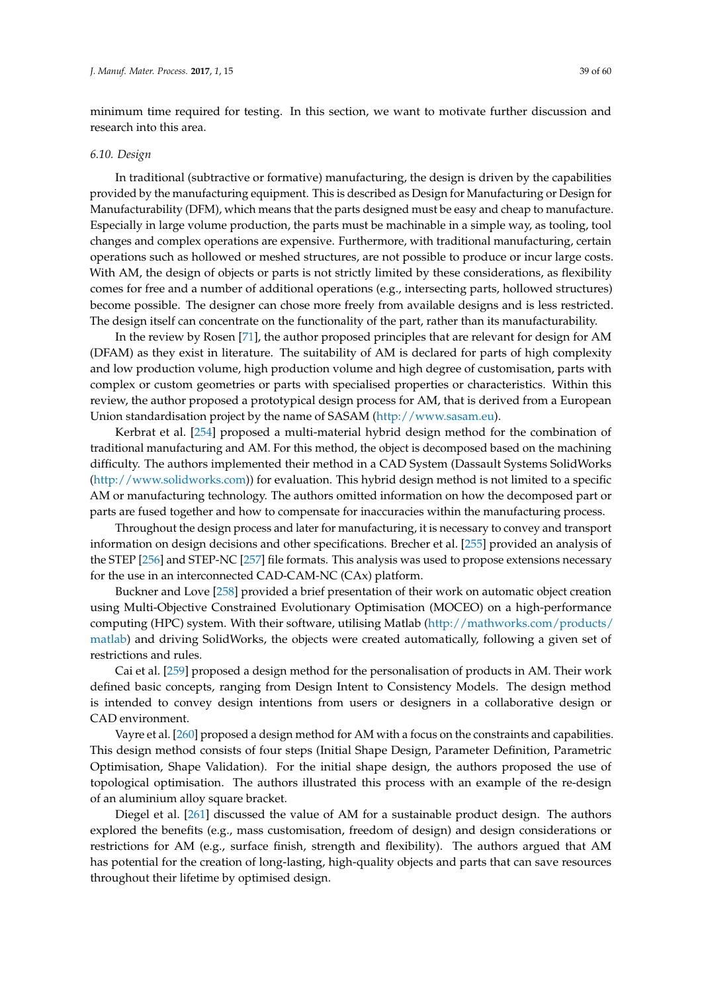minimum time required for testing. In this section, we want to motivate further discussion and research into this area.

## *6.10. Design*

In traditional (subtractive or formative) manufacturing, the design is driven by the capabilities provided by the manufacturing equipment. This is described as Design for Manufacturing or Design for Manufacturability (DFM), which means that the parts designed must be easy and cheap to manufacture. Especially in large volume production, the parts must be machinable in a simple way, as tooling, tool changes and complex operations are expensive. Furthermore, with traditional manufacturing, certain operations such as hollowed or meshed structures, are not possible to produce or incur large costs. With AM, the design of objects or parts is not strictly limited by these considerations, as flexibility comes for free and a number of additional operations (e.g., intersecting parts, hollowed structures) become possible. The designer can chose more freely from available designs and is less restricted. The design itself can concentrate on the functionality of the part, rather than its manufacturability.

In the review by Rosen [\[71\]](#page-48-20), the author proposed principles that are relevant for design for AM (DFAM) as they exist in literature. The suitability of AM is declared for parts of high complexity and low production volume, high production volume and high degree of customisation, parts with complex or custom geometries or parts with specialised properties or characteristics. Within this review, the author proposed a prototypical design process for AM, that is derived from a European Union standardisation project by the name of SASAM [\(http://www.sasam.eu\)](http://www.sasam.eu).

Kerbrat et al. [\[254\]](#page-56-15) proposed a multi-material hybrid design method for the combination of traditional manufacturing and AM. For this method, the object is decomposed based on the machining difficulty. The authors implemented their method in a CAD System (Dassault Systems SolidWorks [\(http://www.solidworks.com\)](http://www.solidworks.com)) for evaluation. This hybrid design method is not limited to a specific AM or manufacturing technology. The authors omitted information on how the decomposed part or parts are fused together and how to compensate for inaccuracies within the manufacturing process.

Throughout the design process and later for manufacturing, it is necessary to convey and transport information on design decisions and other specifications. Brecher et al. [\[255\]](#page-56-16) provided an analysis of the STEP [\[256\]](#page-56-17) and STEP-NC [\[257\]](#page-56-18) file formats. This analysis was used to propose extensions necessary for the use in an interconnected CAD-CAM-NC (CAx) platform.

Buckner and Love [\[258\]](#page-57-0) provided a brief presentation of their work on automatic object creation using Multi-Objective Constrained Evolutionary Optimisation (MOCEO) on a high-performance computing (HPC) system. With their software, utilising Matlab [\(http://mathworks.com/products/](http://mathworks.com/products/matlab) [matlab\)](http://mathworks.com/products/matlab) and driving SolidWorks, the objects were created automatically, following a given set of restrictions and rules.

Cai et al. [\[259\]](#page-57-1) proposed a design method for the personalisation of products in AM. Their work defined basic concepts, ranging from Design Intent to Consistency Models. The design method is intended to convey design intentions from users or designers in a collaborative design or CAD environment.

Vayre et al. [\[260\]](#page-57-2) proposed a design method for AM with a focus on the constraints and capabilities. This design method consists of four steps (Initial Shape Design, Parameter Definition, Parametric Optimisation, Shape Validation). For the initial shape design, the authors proposed the use of topological optimisation. The authors illustrated this process with an example of the re-design of an aluminium alloy square bracket.

Diegel et al. [\[261\]](#page-57-3) discussed the value of AM for a sustainable product design. The authors explored the benefits (e.g., mass customisation, freedom of design) and design considerations or restrictions for AM (e.g., surface finish, strength and flexibility). The authors argued that AM has potential for the creation of long-lasting, high-quality objects and parts that can save resources throughout their lifetime by optimised design.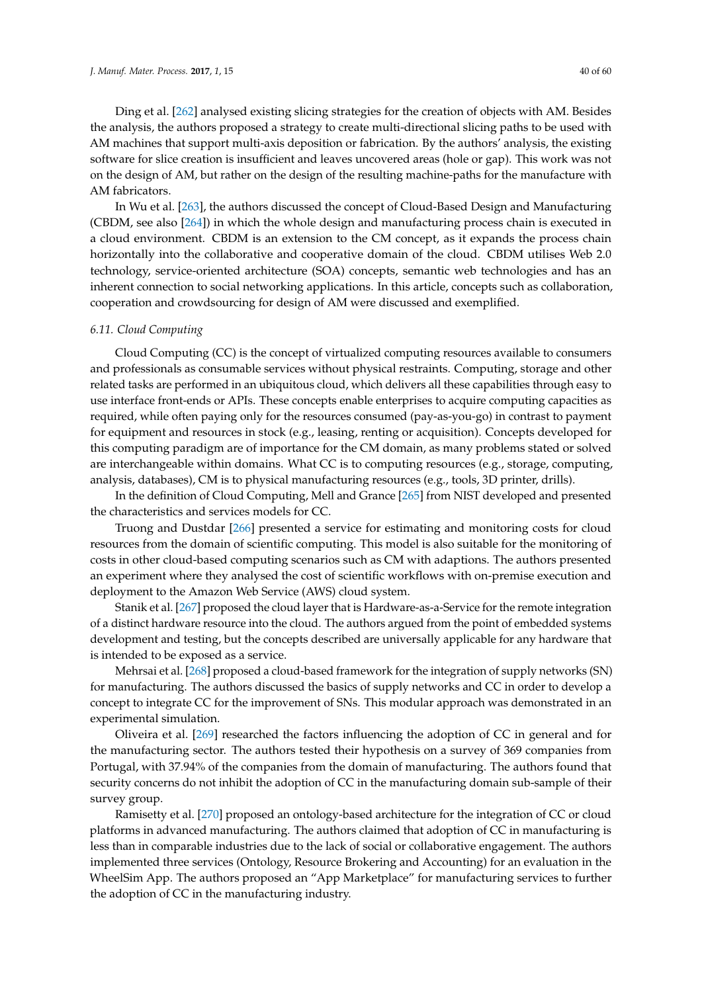Ding et al. [\[262\]](#page-57-4) analysed existing slicing strategies for the creation of objects with AM. Besides the analysis, the authors proposed a strategy to create multi-directional slicing paths to be used with AM machines that support multi-axis deposition or fabrication. By the authors' analysis, the existing software for slice creation is insufficient and leaves uncovered areas (hole or gap). This work was not on the design of AM, but rather on the design of the resulting machine-paths for the manufacture with AM fabricators.

In Wu et al. [\[263\]](#page-57-5), the authors discussed the concept of Cloud-Based Design and Manufacturing (CBDM, see also [\[264\]](#page-57-6)) in which the whole design and manufacturing process chain is executed in a cloud environment. CBDM is an extension to the CM concept, as it expands the process chain horizontally into the collaborative and cooperative domain of the cloud. CBDM utilises Web 2.0 technology, service-oriented architecture (SOA) concepts, semantic web technologies and has an inherent connection to social networking applications. In this article, concepts such as collaboration, cooperation and crowdsourcing for design of AM were discussed and exemplified.

## <span id="page-39-0"></span>*6.11. Cloud Computing*

Cloud Computing (CC) is the concept of virtualized computing resources available to consumers and professionals as consumable services without physical restraints. Computing, storage and other related tasks are performed in an ubiquitous cloud, which delivers all these capabilities through easy to use interface front-ends or APIs. These concepts enable enterprises to acquire computing capacities as required, while often paying only for the resources consumed (pay-as-you-go) in contrast to payment for equipment and resources in stock (e.g., leasing, renting or acquisition). Concepts developed for this computing paradigm are of importance for the CM domain, as many problems stated or solved are interchangeable within domains. What CC is to computing resources (e.g., storage, computing, analysis, databases), CM is to physical manufacturing resources (e.g., tools, 3D printer, drills).

In the definition of Cloud Computing, Mell and Grance [\[265\]](#page-57-7) from NIST developed and presented the characteristics and services models for CC.

Truong and Dustdar [\[266\]](#page-57-8) presented a service for estimating and monitoring costs for cloud resources from the domain of scientific computing. This model is also suitable for the monitoring of costs in other cloud-based computing scenarios such as CM with adaptions. The authors presented an experiment where they analysed the cost of scientific workflows with on-premise execution and deployment to the Amazon Web Service (AWS) cloud system.

Stanik et al. [\[267\]](#page-57-9) proposed the cloud layer that is Hardware-as-a-Service for the remote integration of a distinct hardware resource into the cloud. The authors argued from the point of embedded systems development and testing, but the concepts described are universally applicable for any hardware that is intended to be exposed as a service.

Mehrsai et al. [\[268\]](#page-57-10) proposed a cloud-based framework for the integration of supply networks (SN) for manufacturing. The authors discussed the basics of supply networks and CC in order to develop a concept to integrate CC for the improvement of SNs. This modular approach was demonstrated in an experimental simulation.

Oliveira et al. [\[269\]](#page-57-11) researched the factors influencing the adoption of CC in general and for the manufacturing sector. The authors tested their hypothesis on a survey of 369 companies from Portugal, with 37.94% of the companies from the domain of manufacturing. The authors found that security concerns do not inhibit the adoption of CC in the manufacturing domain sub-sample of their survey group.

Ramisetty et al. [\[270\]](#page-57-12) proposed an ontology-based architecture for the integration of CC or cloud platforms in advanced manufacturing. The authors claimed that adoption of CC in manufacturing is less than in comparable industries due to the lack of social or collaborative engagement. The authors implemented three services (Ontology, Resource Brokering and Accounting) for an evaluation in the WheelSim App. The authors proposed an "App Marketplace" for manufacturing services to further the adoption of CC in the manufacturing industry.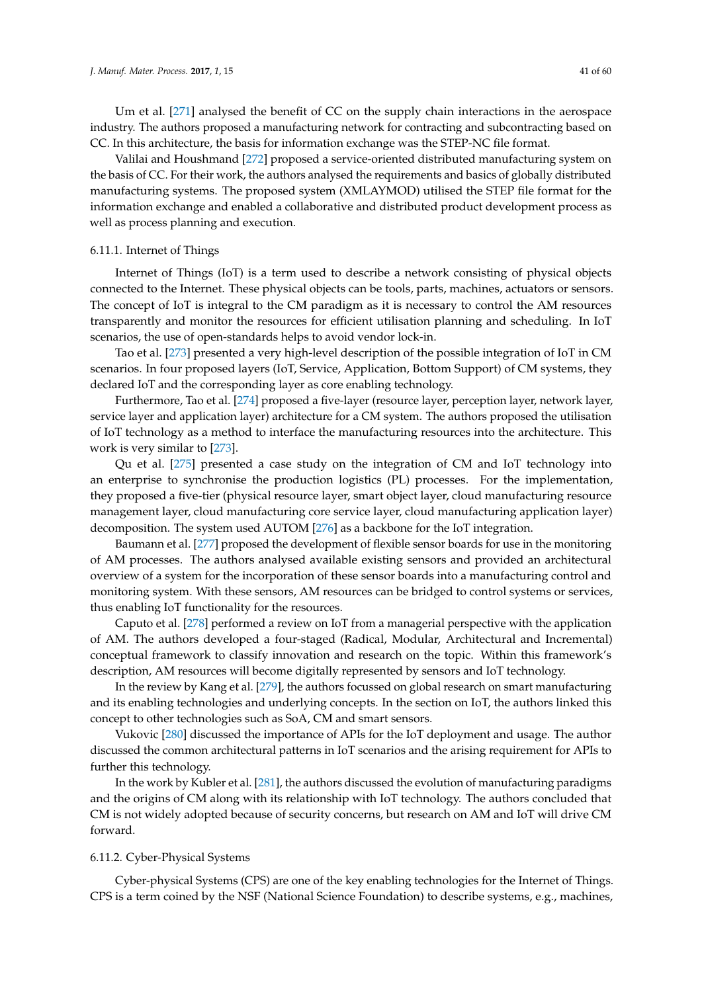Um et al. [\[271\]](#page-57-13) analysed the benefit of CC on the supply chain interactions in the aerospace industry. The authors proposed a manufacturing network for contracting and subcontracting based on CC. In this architecture, the basis for information exchange was the STEP-NC file format.

Valilai and Houshmand [\[272\]](#page-57-14) proposed a service-oriented distributed manufacturing system on the basis of CC. For their work, the authors analysed the requirements and basics of globally distributed manufacturing systems. The proposed system (XMLAYMOD) utilised the STEP file format for the information exchange and enabled a collaborative and distributed product development process as well as process planning and execution.

# <span id="page-40-0"></span>6.11.1. Internet of Things

Internet of Things (IoT) is a term used to describe a network consisting of physical objects connected to the Internet. These physical objects can be tools, parts, machines, actuators or sensors. The concept of IoT is integral to the CM paradigm as it is necessary to control the AM resources transparently and monitor the resources for efficient utilisation planning and scheduling. In IoT scenarios, the use of open-standards helps to avoid vendor lock-in.

Tao et al. [\[273\]](#page-57-15) presented a very high-level description of the possible integration of IoT in CM scenarios. In four proposed layers (IoT, Service, Application, Bottom Support) of CM systems, they declared IoT and the corresponding layer as core enabling technology.

Furthermore, Tao et al. [\[274\]](#page-57-16) proposed a five-layer (resource layer, perception layer, network layer, service layer and application layer) architecture for a CM system. The authors proposed the utilisation of IoT technology as a method to interface the manufacturing resources into the architecture. This work is very similar to [\[273\]](#page-57-15).

Qu et al. [\[275\]](#page-57-17) presented a case study on the integration of CM and IoT technology into an enterprise to synchronise the production logistics (PL) processes. For the implementation, they proposed a five-tier (physical resource layer, smart object layer, cloud manufacturing resource management layer, cloud manufacturing core service layer, cloud manufacturing application layer) decomposition. The system used AUTOM [\[276\]](#page-57-18) as a backbone for the IoT integration.

Baumann et al. [\[277\]](#page-57-19) proposed the development of flexible sensor boards for use in the monitoring of AM processes. The authors analysed available existing sensors and provided an architectural overview of a system for the incorporation of these sensor boards into a manufacturing control and monitoring system. With these sensors, AM resources can be bridged to control systems or services, thus enabling IoT functionality for the resources.

Caputo et al. [\[278\]](#page-57-20) performed a review on IoT from a managerial perspective with the application of AM. The authors developed a four-staged (Radical, Modular, Architectural and Incremental) conceptual framework to classify innovation and research on the topic. Within this framework's description, AM resources will become digitally represented by sensors and IoT technology.

In the review by Kang et al. [\[279\]](#page-57-21), the authors focussed on global research on smart manufacturing and its enabling technologies and underlying concepts. In the section on IoT, the authors linked this concept to other technologies such as SoA, CM and smart sensors.

Vukovic [\[280\]](#page-58-0) discussed the importance of APIs for the IoT deployment and usage. The author discussed the common architectural patterns in IoT scenarios and the arising requirement for APIs to further this technology.

In the work by Kubler et al. [\[281\]](#page-58-1), the authors discussed the evolution of manufacturing paradigms and the origins of CM along with its relationship with IoT technology. The authors concluded that CM is not widely adopted because of security concerns, but research on AM and IoT will drive CM forward.

# <span id="page-40-1"></span>6.11.2. Cyber-Physical Systems

Cyber-physical Systems (CPS) are one of the key enabling technologies for the Internet of Things. CPS is a term coined by the NSF (National Science Foundation) to describe systems, e.g., machines,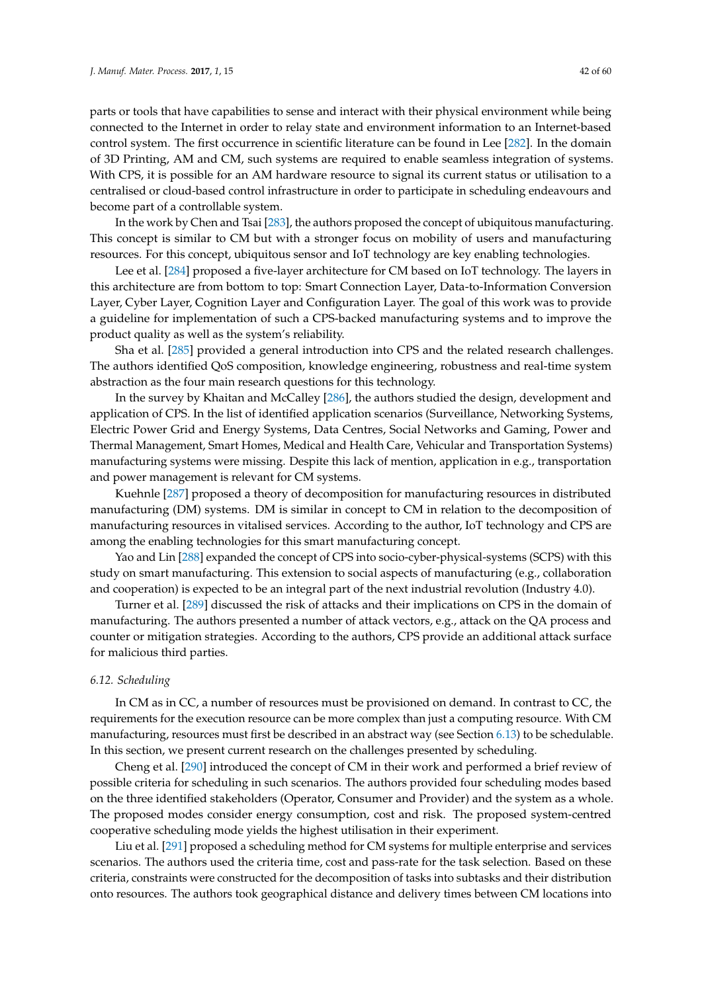parts or tools that have capabilities to sense and interact with their physical environment while being connected to the Internet in order to relay state and environment information to an Internet-based control system. The first occurrence in scientific literature can be found in Lee [\[282\]](#page-58-2). In the domain of 3D Printing, AM and CM, such systems are required to enable seamless integration of systems. With CPS, it is possible for an AM hardware resource to signal its current status or utilisation to a centralised or cloud-based control infrastructure in order to participate in scheduling endeavours and become part of a controllable system.

In the work by Chen and Tsai [\[283\]](#page-58-3), the authors proposed the concept of ubiquitous manufacturing. This concept is similar to CM but with a stronger focus on mobility of users and manufacturing resources. For this concept, ubiquitous sensor and IoT technology are key enabling technologies.

Lee et al. [\[284\]](#page-58-4) proposed a five-layer architecture for CM based on IoT technology. The layers in this architecture are from bottom to top: Smart Connection Layer, Data-to-Information Conversion Layer, Cyber Layer, Cognition Layer and Configuration Layer. The goal of this work was to provide a guideline for implementation of such a CPS-backed manufacturing systems and to improve the product quality as well as the system's reliability.

Sha et al. [\[285\]](#page-58-5) provided a general introduction into CPS and the related research challenges. The authors identified QoS composition, knowledge engineering, robustness and real-time system abstraction as the four main research questions for this technology.

In the survey by Khaitan and McCalley [\[286\]](#page-58-6), the authors studied the design, development and application of CPS. In the list of identified application scenarios (Surveillance, Networking Systems, Electric Power Grid and Energy Systems, Data Centres, Social Networks and Gaming, Power and Thermal Management, Smart Homes, Medical and Health Care, Vehicular and Transportation Systems) manufacturing systems were missing. Despite this lack of mention, application in e.g., transportation and power management is relevant for CM systems.

Kuehnle [\[287\]](#page-58-7) proposed a theory of decomposition for manufacturing resources in distributed manufacturing (DM) systems. DM is similar in concept to CM in relation to the decomposition of manufacturing resources in vitalised services. According to the author, IoT technology and CPS are among the enabling technologies for this smart manufacturing concept.

Yao and Lin [\[288\]](#page-58-8) expanded the concept of CPS into socio-cyber-physical-systems (SCPS) with this study on smart manufacturing. This extension to social aspects of manufacturing (e.g., collaboration and cooperation) is expected to be an integral part of the next industrial revolution (Industry 4.0).

Turner et al. [\[289\]](#page-58-9) discussed the risk of attacks and their implications on CPS in the domain of manufacturing. The authors presented a number of attack vectors, e.g., attack on the QA process and counter or mitigation strategies. According to the authors, CPS provide an additional attack surface for malicious third parties.

#### <span id="page-41-0"></span>*6.12. Scheduling*

In CM as in CC, a number of resources must be provisioned on demand. In contrast to CC, the requirements for the execution resource can be more complex than just a computing resource. With CM manufacturing, resources must first be described in an abstract way (see Section [6.13\)](#page-42-0) to be schedulable. In this section, we present current research on the challenges presented by scheduling.

Cheng et al. [\[290\]](#page-58-10) introduced the concept of CM in their work and performed a brief review of possible criteria for scheduling in such scenarios. The authors provided four scheduling modes based on the three identified stakeholders (Operator, Consumer and Provider) and the system as a whole. The proposed modes consider energy consumption, cost and risk. The proposed system-centred cooperative scheduling mode yields the highest utilisation in their experiment.

Liu et al. [\[291\]](#page-58-11) proposed a scheduling method for CM systems for multiple enterprise and services scenarios. The authors used the criteria time, cost and pass-rate for the task selection. Based on these criteria, constraints were constructed for the decomposition of tasks into subtasks and their distribution onto resources. The authors took geographical distance and delivery times between CM locations into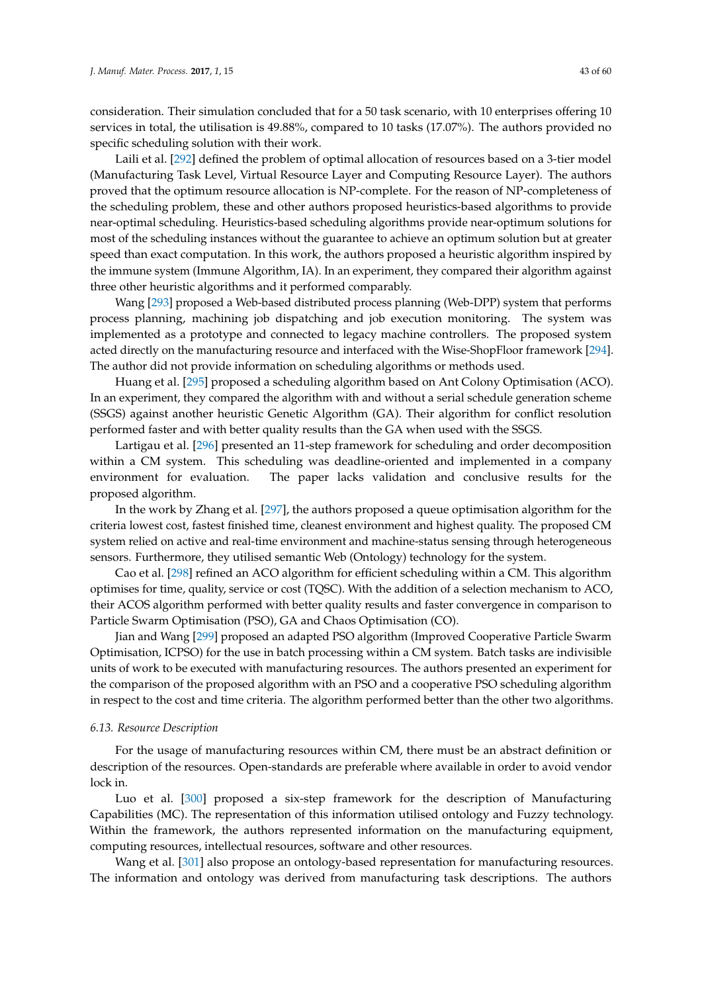consideration. Their simulation concluded that for a 50 task scenario, with 10 enterprises offering 10 services in total, the utilisation is 49.88%, compared to 10 tasks (17.07%). The authors provided no specific scheduling solution with their work.

Laili et al. [\[292\]](#page-58-12) defined the problem of optimal allocation of resources based on a 3-tier model (Manufacturing Task Level, Virtual Resource Layer and Computing Resource Layer). The authors proved that the optimum resource allocation is NP-complete. For the reason of NP-completeness of the scheduling problem, these and other authors proposed heuristics-based algorithms to provide near-optimal scheduling. Heuristics-based scheduling algorithms provide near-optimum solutions for most of the scheduling instances without the guarantee to achieve an optimum solution but at greater speed than exact computation. In this work, the authors proposed a heuristic algorithm inspired by the immune system (Immune Algorithm, IA). In an experiment, they compared their algorithm against three other heuristic algorithms and it performed comparably.

Wang [\[293\]](#page-58-13) proposed a Web-based distributed process planning (Web-DPP) system that performs process planning, machining job dispatching and job execution monitoring. The system was implemented as a prototype and connected to legacy machine controllers. The proposed system acted directly on the manufacturing resource and interfaced with the Wise-ShopFloor framework [\[294\]](#page-58-14). The author did not provide information on scheduling algorithms or methods used.

Huang et al. [\[295\]](#page-58-15) proposed a scheduling algorithm based on Ant Colony Optimisation (ACO). In an experiment, they compared the algorithm with and without a serial schedule generation scheme (SSGS) against another heuristic Genetic Algorithm (GA). Their algorithm for conflict resolution performed faster and with better quality results than the GA when used with the SSGS.

Lartigau et al. [\[296\]](#page-58-16) presented an 11-step framework for scheduling and order decomposition within a CM system. This scheduling was deadline-oriented and implemented in a company environment for evaluation. The paper lacks validation and conclusive results for the proposed algorithm.

In the work by Zhang et al. [\[297\]](#page-58-17), the authors proposed a queue optimisation algorithm for the criteria lowest cost, fastest finished time, cleanest environment and highest quality. The proposed CM system relied on active and real-time environment and machine-status sensing through heterogeneous sensors. Furthermore, they utilised semantic Web (Ontology) technology for the system.

Cao et al. [\[298\]](#page-58-18) refined an ACO algorithm for efficient scheduling within a CM. This algorithm optimises for time, quality, service or cost (TQSC). With the addition of a selection mechanism to ACO, their ACOS algorithm performed with better quality results and faster convergence in comparison to Particle Swarm Optimisation (PSO), GA and Chaos Optimisation (CO).

Jian and Wang [\[299\]](#page-58-19) proposed an adapted PSO algorithm (Improved Cooperative Particle Swarm Optimisation, ICPSO) for the use in batch processing within a CM system. Batch tasks are indivisible units of work to be executed with manufacturing resources. The authors presented an experiment for the comparison of the proposed algorithm with an PSO and a cooperative PSO scheduling algorithm in respect to the cost and time criteria. The algorithm performed better than the other two algorithms.

## <span id="page-42-0"></span>*6.13. Resource Description*

For the usage of manufacturing resources within CM, there must be an abstract definition or description of the resources. Open-standards are preferable where available in order to avoid vendor lock in.

Luo et al. [\[300\]](#page-58-20) proposed a six-step framework for the description of Manufacturing Capabilities (MC). The representation of this information utilised ontology and Fuzzy technology. Within the framework, the authors represented information on the manufacturing equipment, computing resources, intellectual resources, software and other resources.

Wang et al. [\[301\]](#page-58-21) also propose an ontology-based representation for manufacturing resources. The information and ontology was derived from manufacturing task descriptions. The authors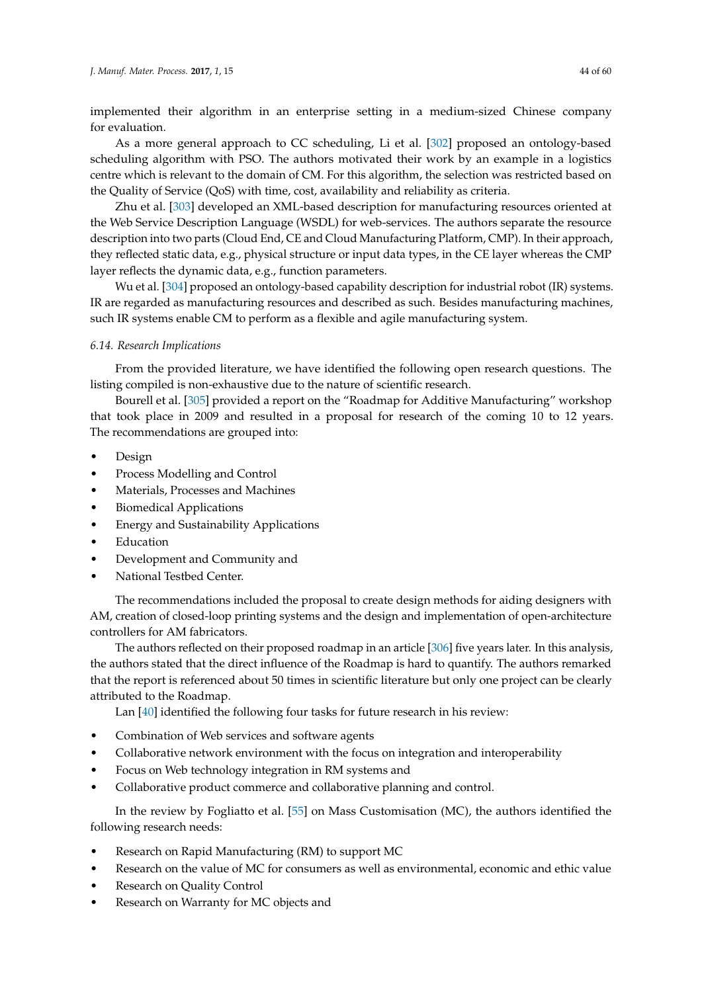implemented their algorithm in an enterprise setting in a medium-sized Chinese company for evaluation.

As a more general approach to CC scheduling, Li et al. [\[302\]](#page-58-22) proposed an ontology-based scheduling algorithm with PSO. The authors motivated their work by an example in a logistics centre which is relevant to the domain of CM. For this algorithm, the selection was restricted based on the Quality of Service (QoS) with time, cost, availability and reliability as criteria.

Zhu et al. [\[303\]](#page-59-0) developed an XML-based description for manufacturing resources oriented at the Web Service Description Language (WSDL) for web-services. The authors separate the resource description into two parts (Cloud End, CE and Cloud Manufacturing Platform, CMP). In their approach, they reflected static data, e.g., physical structure or input data types, in the CE layer whereas the CMP layer reflects the dynamic data, e.g., function parameters.

Wu et al. [\[304\]](#page-59-1) proposed an ontology-based capability description for industrial robot (IR) systems. IR are regarded as manufacturing resources and described as such. Besides manufacturing machines, such IR systems enable CM to perform as a flexible and agile manufacturing system.

# *6.14. Research Implications*

From the provided literature, we have identified the following open research questions. The listing compiled is non-exhaustive due to the nature of scientific research.

Bourell et al. [\[305\]](#page-59-2) provided a report on the "Roadmap for Additive Manufacturing" workshop that took place in 2009 and resulted in a proposal for research of the coming 10 to 12 years. The recommendations are grouped into:

- Design
- Process Modelling and Control
- Materials, Processes and Machines
- Biomedical Applications
- Energy and Sustainability Applications
- **Education**
- Development and Community and
- National Testbed Center.

The recommendations included the proposal to create design methods for aiding designers with AM, creation of closed-loop printing systems and the design and implementation of open-architecture controllers for AM fabricators.

The authors reflected on their proposed roadmap in an article [\[306\]](#page-59-3) five years later. In this analysis, the authors stated that the direct influence of the Roadmap is hard to quantify. The authors remarked that the report is referenced about 50 times in scientific literature but only one project can be clearly attributed to the Roadmap.

Lan [\[40\]](#page-47-15) identified the following four tasks for future research in his review:

- Combination of Web services and software agents
- Collaborative network environment with the focus on integration and interoperability
- Focus on Web technology integration in RM systems and
- Collaborative product commerce and collaborative planning and control.

In the review by Fogliatto et al. [\[55\]](#page-48-4) on Mass Customisation (MC), the authors identified the following research needs:

- Research on Rapid Manufacturing (RM) to support MC
- Research on the value of MC for consumers as well as environmental, economic and ethic value
- Research on Quality Control
- Research on Warranty for MC objects and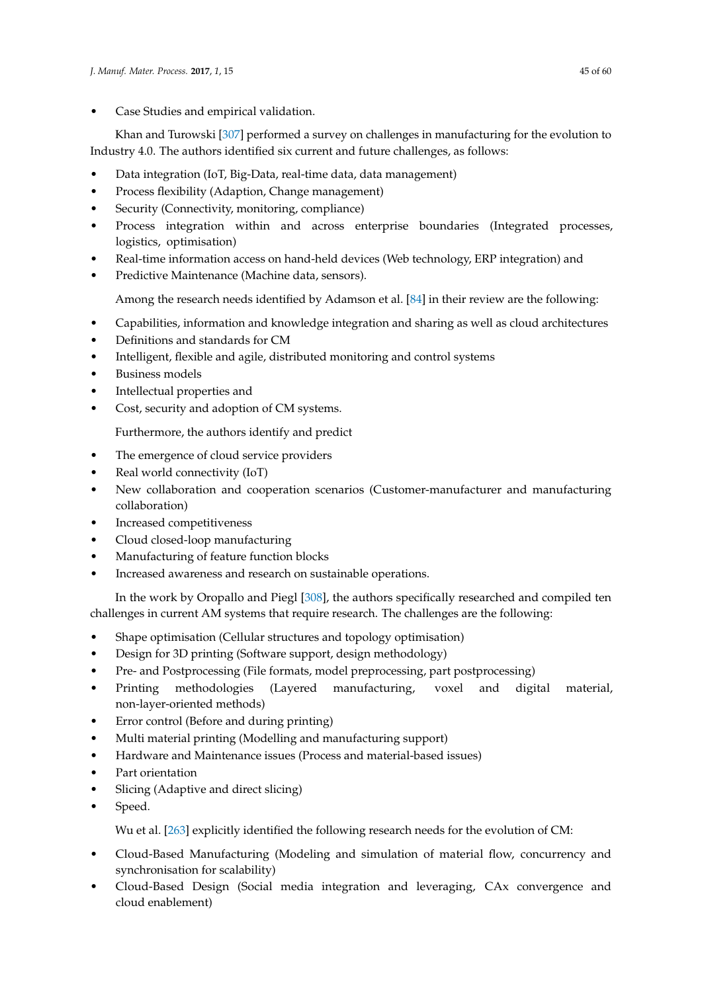• Case Studies and empirical validation.

Khan and Turowski [\[307\]](#page-59-4) performed a survey on challenges in manufacturing for the evolution to Industry 4.0. The authors identified six current and future challenges, as follows:

- Data integration (IoT, Big-Data, real-time data, data management)
- Process flexibility (Adaption, Change management)
- Security (Connectivity, monitoring, compliance)
- Process integration within and across enterprise boundaries (Integrated processes, logistics, optimisation)
- Real-time information access on hand-held devices (Web technology, ERP integration) and
- Predictive Maintenance (Machine data, sensors).

Among the research needs identified by Adamson et al. [\[84\]](#page-49-9) in their review are the following:

- Capabilities, information and knowledge integration and sharing as well as cloud architectures
- Definitions and standards for CM
- Intelligent, flexible and agile, distributed monitoring and control systems
- Business models
- Intellectual properties and
- Cost, security and adoption of CM systems.

Furthermore, the authors identify and predict

- The emergence of cloud service providers
- Real world connectivity (IoT)
- New collaboration and cooperation scenarios (Customer-manufacturer and manufacturing collaboration)
- Increased competitiveness
- Cloud closed-loop manufacturing
- Manufacturing of feature function blocks
- Increased awareness and research on sustainable operations.

In the work by Oropallo and Piegl [\[308\]](#page-59-5), the authors specifically researched and compiled ten challenges in current AM systems that require research. The challenges are the following:

- Shape optimisation (Cellular structures and topology optimisation)
- Design for 3D printing (Software support, design methodology)
- Pre- and Postprocessing (File formats, model preprocessing, part postprocessing)
- Printing methodologies (Layered manufacturing, voxel and digital material, non-layer-oriented methods)
- Error control (Before and during printing)
- Multi material printing (Modelling and manufacturing support)
- Hardware and Maintenance issues (Process and material-based issues)
- Part orientation
- Slicing (Adaptive and direct slicing)
- Speed.

Wu et al. [\[263\]](#page-57-5) explicitly identified the following research needs for the evolution of CM:

- Cloud-Based Manufacturing (Modeling and simulation of material flow, concurrency and synchronisation for scalability)
- Cloud-Based Design (Social media integration and leveraging, CAx convergence and cloud enablement)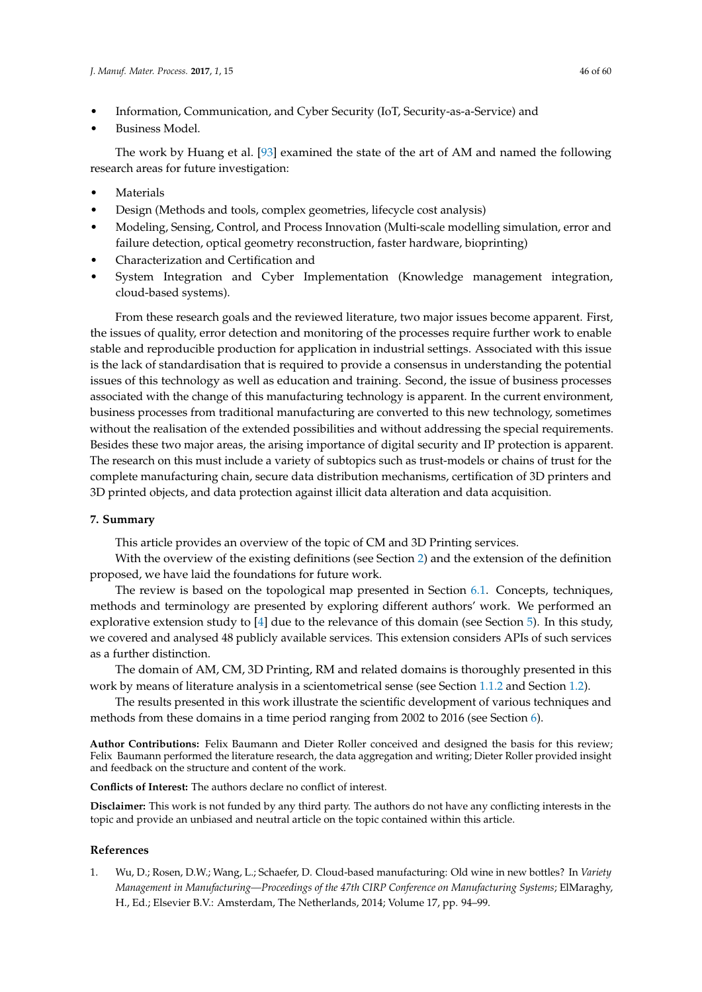- Information, Communication, and Cyber Security (IoT, Security-as-a-Service) and
- Business Model.

The work by Huang et al. [\[93\]](#page-49-18) examined the state of the art of AM and named the following research areas for future investigation:

- **Materials**
- Design (Methods and tools, complex geometries, lifecycle cost analysis)
- Modeling, Sensing, Control, and Process Innovation (Multi-scale modelling simulation, error and failure detection, optical geometry reconstruction, faster hardware, bioprinting)
- Characterization and Certification and
- System Integration and Cyber Implementation (Knowledge management integration, cloud-based systems).

From these research goals and the reviewed literature, two major issues become apparent. First, the issues of quality, error detection and monitoring of the processes require further work to enable stable and reproducible production for application in industrial settings. Associated with this issue is the lack of standardisation that is required to provide a consensus in understanding the potential issues of this technology as well as education and training. Second, the issue of business processes associated with the change of this manufacturing technology is apparent. In the current environment, business processes from traditional manufacturing are converted to this new technology, sometimes without the realisation of the extended possibilities and without addressing the special requirements. Besides these two major areas, the arising importance of digital security and IP protection is apparent. The research on this must include a variety of subtopics such as trust-models or chains of trust for the complete manufacturing chain, secure data distribution mechanisms, certification of 3D printers and 3D printed objects, and data protection against illicit data alteration and data acquisition.

# <span id="page-45-1"></span>**7. Summary**

This article provides an overview of the topic of CM and 3D Printing services.

With the overview of the existing definitions (see Section [2\)](#page-7-0) and the extension of the definition proposed, we have laid the foundations for future work.

The review is based on the topological map presented in Section [6.1.](#page-19-1) Concepts, techniques, methods and terminology are presented by exploring different authors' work. We performed an explorative extension study to [\[4\]](#page-46-2) due to the relevance of this domain (see Section [5\)](#page-14-0). In this study, we covered and analysed 48 publicly available services. This extension considers APIs of such services as a further distinction.

The domain of AM, CM, 3D Printing, RM and related domains is thoroughly presented in this work by means of literature analysis in a scientometrical sense (see Section [1.1.2](#page-3-0) and Section [1.2\)](#page-4-0).

The results presented in this work illustrate the scientific development of various techniques and methods from these domains in a time period ranging from 2002 to 2016 (see Section [6\)](#page-19-0).

**Author Contributions:** Felix Baumann and Dieter Roller conceived and designed the basis for this review; Felix Baumann performed the literature research, the data aggregation and writing; Dieter Roller provided insight and feedback on the structure and content of the work.

**Conflicts of Interest:** The authors declare no conflict of interest.

**Disclaimer:** This work is not funded by any third party. The authors do not have any conflicting interests in the topic and provide an unbiased and neutral article on the topic contained within this article.

#### **References**

<span id="page-45-0"></span>1. Wu, D.; Rosen, D.W.; Wang, L.; Schaefer, D. Cloud-based manufacturing: Old wine in new bottles? In *Variety Management in Manufacturing—Proceedings of the 47th CIRP Conference on Manufacturing Systems*; ElMaraghy, H., Ed.; Elsevier B.V.: Amsterdam, The Netherlands, 2014; Volume 17, pp. 94–99.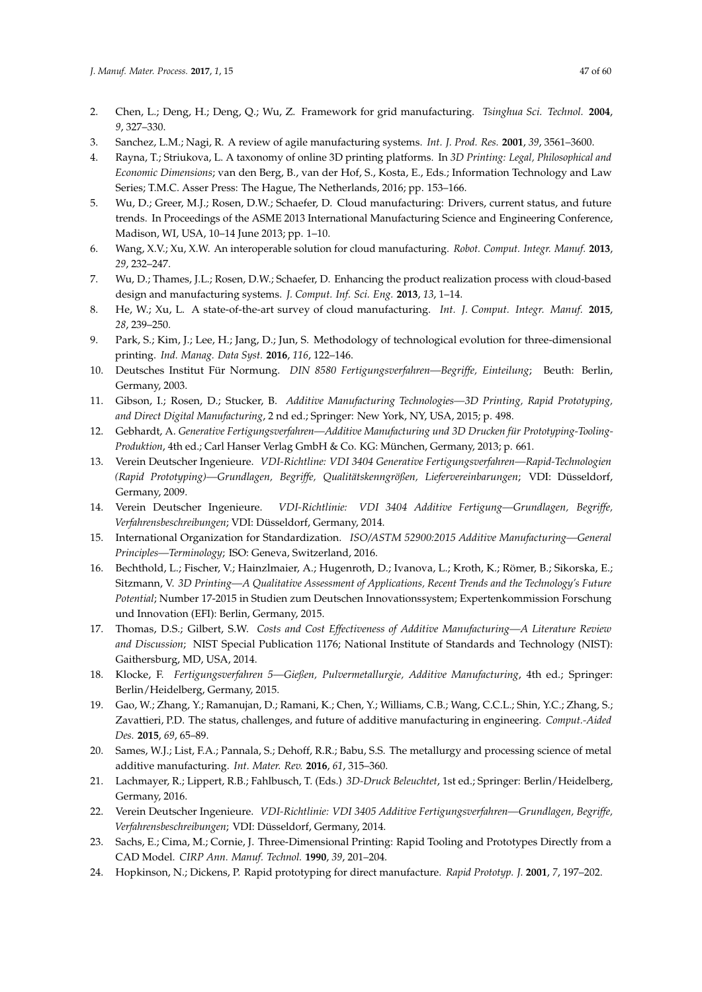- <span id="page-46-0"></span>2. Chen, L.; Deng, H.; Deng, Q.; Wu, Z. Framework for grid manufacturing. *Tsinghua Sci. Technol.* **2004**, *9*, 327–330.
- <span id="page-46-1"></span>3. Sanchez, L.M.; Nagi, R. A review of agile manufacturing systems. *Int. J. Prod. Res.* **2001**, *39*, 3561–3600.
- <span id="page-46-2"></span>4. Rayna, T.; Striukova, L. A taxonomy of online 3D printing platforms. In *3D Printing: Legal, Philosophical and Economic Dimensions*; van den Berg, B., van der Hof, S., Kosta, E., Eds.; Information Technology and Law Series; T.M.C. Asser Press: The Hague, The Netherlands, 2016; pp. 153–166.
- <span id="page-46-3"></span>5. Wu, D.; Greer, M.J.; Rosen, D.W.; Schaefer, D. Cloud manufacturing: Drivers, current status, and future trends. In Proceedings of the ASME 2013 International Manufacturing Science and Engineering Conference, Madison, WI, USA, 10–14 June 2013; pp. 1–10.
- <span id="page-46-21"></span>6. Wang, X.V.; Xu, X.W. An interoperable solution for cloud manufacturing. *Robot. Comput. Integr. Manuf.* **2013**, *29*, 232–247.
- <span id="page-46-22"></span>7. Wu, D.; Thames, J.L.; Rosen, D.W.; Schaefer, D. Enhancing the product realization process with cloud-based design and manufacturing systems. *J. Comput. Inf. Sci. Eng.* **2013**, *13*, 1–14.
- <span id="page-46-4"></span>8. He, W.; Xu, L. A state-of-the-art survey of cloud manufacturing. *Int. J. Comput. Integr. Manuf.* **2015**, *28*, 239–250.
- <span id="page-46-5"></span>9. Park, S.; Kim, J.; Lee, H.; Jang, D.; Jun, S. Methodology of technological evolution for three-dimensional printing. *Ind. Manag. Data Syst.* **2016**, *116*, 122–146.
- <span id="page-46-6"></span>10. Deutsches Institut Für Normung. *DIN 8580 Fertigungsverfahren—Begriffe, Einteilung*; Beuth: Berlin, Germany, 2003.
- <span id="page-46-7"></span>11. Gibson, I.; Rosen, D.; Stucker, B. *Additive Manufacturing Technologies—3D Printing, Rapid Prototyping, and Direct Digital Manufacturing*, 2 nd ed.; Springer: New York, NY, USA, 2015; p. 498.
- <span id="page-46-8"></span>12. Gebhardt, A. *Generative Fertigungsverfahren—Additive Manufacturing und 3D Drucken für Prototyping-Tooling-Produktion*, 4th ed.; Carl Hanser Verlag GmbH & Co. KG: München, Germany, 2013; p. 661.
- <span id="page-46-9"></span>13. Verein Deutscher Ingenieure. *VDI-Richtline: VDI 3404 Generative Fertigungsverfahren—Rapid-Technologien (Rapid Prototyping)—Grundlagen, Begriffe, Qualitätskenngrößen, Liefervereinbarungen*; VDI: Düsseldorf, Germany, 2009.
- <span id="page-46-10"></span>14. Verein Deutscher Ingenieure. *VDI-Richtlinie: VDI 3404 Additive Fertigung—Grundlagen, Begriffe, Verfahrensbeschreibungen*; VDI: Düsseldorf, Germany, 2014.
- <span id="page-46-11"></span>15. International Organization for Standardization. *ISO/ASTM 52900:2015 Additive Manufacturing—General Principles—Terminology*; ISO: Geneva, Switzerland, 2016.
- <span id="page-46-12"></span>16. Bechthold, L.; Fischer, V.; Hainzlmaier, A.; Hugenroth, D.; Ivanova, L.; Kroth, K.; Römer, B.; Sikorska, E.; Sitzmann, V. *3D Printing—A Qualitative Assessment of Applications, Recent Trends and the Technology's Future Potential*; Number 17-2015 in Studien zum Deutschen Innovationssystem; Expertenkommission Forschung und Innovation (EFI): Berlin, Germany, 2015.
- <span id="page-46-13"></span>17. Thomas, D.S.; Gilbert, S.W. *Costs and Cost Effectiveness of Additive Manufacturing—A Literature Review and Discussion*; NIST Special Publication 1176; National Institute of Standards and Technology (NIST): Gaithersburg, MD, USA, 2014.
- <span id="page-46-14"></span>18. Klocke, F. *Fertigungsverfahren 5—Gießen, Pulvermetallurgie, Additive Manufacturing*, 4th ed.; Springer: Berlin/Heidelberg, Germany, 2015.
- <span id="page-46-15"></span>19. Gao, W.; Zhang, Y.; Ramanujan, D.; Ramani, K.; Chen, Y.; Williams, C.B.; Wang, C.C.L.; Shin, Y.C.; Zhang, S.; Zavattieri, P.D. The status, challenges, and future of additive manufacturing in engineering. *Comput.-Aided Des.* **2015**, *69*, 65–89.
- <span id="page-46-16"></span>20. Sames, W.J.; List, F.A.; Pannala, S.; Dehoff, R.R.; Babu, S.S. The metallurgy and processing science of metal additive manufacturing. *Int. Mater. Rev.* **2016**, *61*, 315–360.
- <span id="page-46-17"></span>21. Lachmayer, R.; Lippert, R.B.; Fahlbusch, T. (Eds.) *3D-Druck Beleuchtet*, 1st ed.; Springer: Berlin/Heidelberg, Germany, 2016.
- <span id="page-46-18"></span>22. Verein Deutscher Ingenieure. *VDI-Richtlinie: VDI 3405 Additive Fertigungsverfahren—Grundlagen, Begriffe, Verfahrensbeschreibungen*; VDI: Düsseldorf, Germany, 2014.
- <span id="page-46-19"></span>23. Sachs, E.; Cima, M.; Cornie, J. Three-Dimensional Printing: Rapid Tooling and Prototypes Directly from a CAD Model. *CIRP Ann. Manuf. Technol.* **1990**, *39*, 201–204.
- <span id="page-46-20"></span>24. Hopkinson, N.; Dickens, P. Rapid prototyping for direct manufacture. *Rapid Prototyp. J.* **2001**, *7*, 197–202.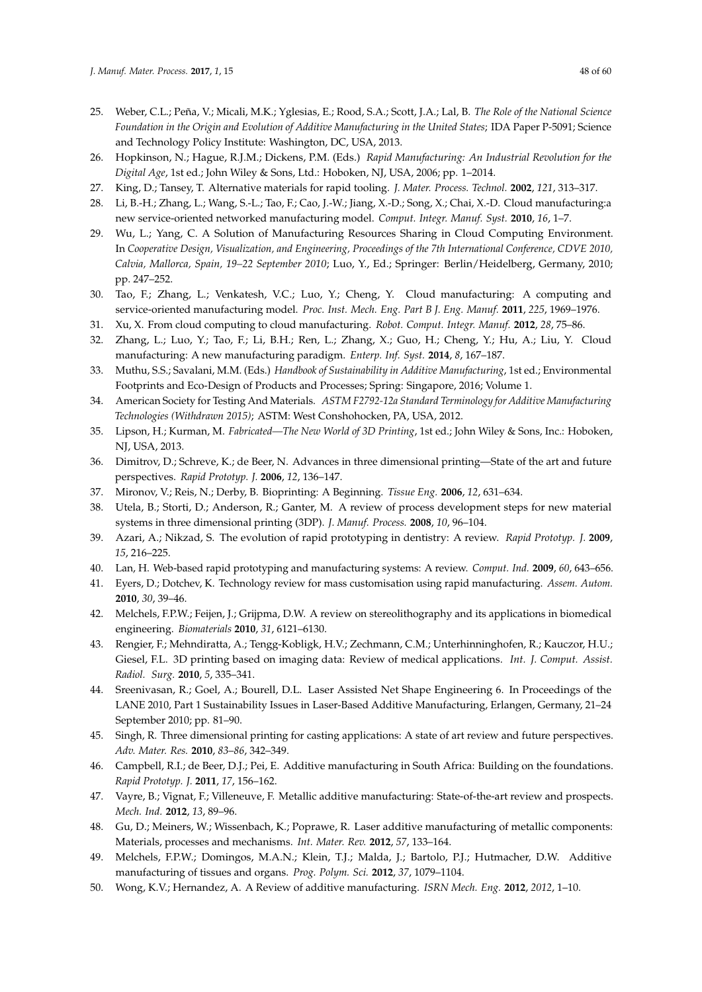- <span id="page-47-0"></span>25. Weber, C.L.; Peña, V.; Micali, M.K.; Yglesias, E.; Rood, S.A.; Scott, J.A.; Lal, B. *The Role of the National Science Foundation in the Origin and Evolution of Additive Manufacturing in the United States*; IDA Paper P-5091; Science and Technology Policy Institute: Washington, DC, USA, 2013.
- <span id="page-47-1"></span>26. Hopkinson, N.; Hague, R.J.M.; Dickens, P.M. (Eds.) *Rapid Manufacturing: An Industrial Revolution for the Digital Age*, 1st ed.; John Wiley & Sons, Ltd.: Hoboken, NJ, USA, 2006; pp. 1–2014.
- <span id="page-47-2"></span>27. King, D.; Tansey, T. Alternative materials for rapid tooling. *J. Mater. Process. Technol.* **2002**, *121*, 313–317.
- <span id="page-47-3"></span>28. Li, B.-H.; Zhang, L.; Wang, S.-L.; Tao, F.; Cao, J.-W.; Jiang, X.-D.; Song, X.; Chai, X.-D. Cloud manufacturing:a new service-oriented networked manufacturing model. *Comput. Integr. Manuf. Syst.* **2010**, *16*, 1–7.
- <span id="page-47-4"></span>29. Wu, L.; Yang, C. A Solution of Manufacturing Resources Sharing in Cloud Computing Environment. In *Cooperative Design, Visualization, and Engineering, Proceedings of the 7th International Conference, CDVE 2010, Calvia, Mallorca, Spain, 19–22 September 2010*; Luo, Y., Ed.; Springer: Berlin/Heidelberg, Germany, 2010; pp. 247–252.
- <span id="page-47-5"></span>30. Tao, F.; Zhang, L.; Venkatesh, V.C.; Luo, Y.; Cheng, Y. Cloud manufacturing: A computing and service-oriented manufacturing model. *Proc. Inst. Mech. Eng. Part B J. Eng. Manuf.* **2011**, *225*, 1969–1976.
- <span id="page-47-6"></span>31. Xu, X. From cloud computing to cloud manufacturing. *Robot. Comput. Integr. Manuf.* **2012**, *28*, 75–86.
- <span id="page-47-7"></span>32. Zhang, L.; Luo, Y.; Tao, F.; Li, B.H.; Ren, L.; Zhang, X.; Guo, H.; Cheng, Y.; Hu, A.; Liu, Y. Cloud manufacturing: A new manufacturing paradigm. *Enterp. Inf. Syst.* **2014**, *8*, 167–187.
- <span id="page-47-8"></span>33. Muthu, S.S.; Savalani, M.M. (Eds.) *Handbook of Sustainability in Additive Manufacturing*, 1st ed.; Environmental Footprints and Eco-Design of Products and Processes; Spring: Singapore, 2016; Volume 1.
- <span id="page-47-9"></span>34. American Society for Testing And Materials. *ASTM F2792-12a Standard Terminology for Additive Manufacturing Technologies (Withdrawn 2015)*; ASTM: West Conshohocken, PA, USA, 2012.
- <span id="page-47-10"></span>35. Lipson, H.; Kurman, M. *Fabricated—The New World of 3D Printing*, 1st ed.; John Wiley & Sons, Inc.: Hoboken, NJ, USA, 2013.
- <span id="page-47-11"></span>36. Dimitrov, D.; Schreve, K.; de Beer, N. Advances in three dimensional printing—State of the art and future perspectives. *Rapid Prototyp. J.* **2006**, *12*, 136–147.
- <span id="page-47-12"></span>37. Mironov, V.; Reis, N.; Derby, B. Bioprinting: A Beginning. *Tissue Eng.* **2006**, *12*, 631–634.
- <span id="page-47-13"></span>38. Utela, B.; Storti, D.; Anderson, R.; Ganter, M. A review of process development steps for new material systems in three dimensional printing (3DP). *J. Manuf. Process.* **2008**, *10*, 96–104.
- <span id="page-47-14"></span>39. Azari, A.; Nikzad, S. The evolution of rapid prototyping in dentistry: A review. *Rapid Prototyp. J.* **2009**, *15*, 216–225.
- <span id="page-47-15"></span>40. Lan, H. Web-based rapid prototyping and manufacturing systems: A review. *Comput. Ind.* **2009**, *60*, 643–656.
- <span id="page-47-16"></span>41. Eyers, D.; Dotchev, K. Technology review for mass customisation using rapid manufacturing. *Assem. Autom.* **2010**, *30*, 39–46.
- <span id="page-47-17"></span>42. Melchels, F.P.W.; Feijen, J.; Grijpma, D.W. A review on stereolithography and its applications in biomedical engineering. *Biomaterials* **2010**, *31*, 6121–6130.
- <span id="page-47-18"></span>43. Rengier, F.; Mehndiratta, A.; Tengg-Kobligk, H.V.; Zechmann, C.M.; Unterhinninghofen, R.; Kauczor, H.U.; Giesel, F.L. 3D printing based on imaging data: Review of medical applications. *Int. J. Comput. Assist. Radiol. Surg.* **2010**, *5*, 335–341.
- <span id="page-47-19"></span>44. Sreenivasan, R.; Goel, A.; Bourell, D.L. Laser Assisted Net Shape Engineering 6. In Proceedings of the LANE 2010, Part 1 Sustainability Issues in Laser-Based Additive Manufacturing, Erlangen, Germany, 21–24 September 2010; pp. 81–90.
- <span id="page-47-20"></span>45. Singh, R. Three dimensional printing for casting applications: A state of art review and future perspectives. *Adv. Mater. Res.* **2010**, *83*–*86*, 342–349.
- <span id="page-47-21"></span>46. Campbell, R.I.; de Beer, D.J.; Pei, E. Additive manufacturing in South Africa: Building on the foundations. *Rapid Prototyp. J.* **2011**, *17*, 156–162.
- <span id="page-47-22"></span>47. Vayre, B.; Vignat, F.; Villeneuve, F. Metallic additive manufacturing: State-of-the-art review and prospects. *Mech. Ind.* **2012**, *13*, 89–96.
- <span id="page-47-23"></span>48. Gu, D.; Meiners, W.; Wissenbach, K.; Poprawe, R. Laser additive manufacturing of metallic components: Materials, processes and mechanisms. *Int. Mater. Rev.* **2012**, *57*, 133–164.
- <span id="page-47-24"></span>49. Melchels, F.P.W.; Domingos, M.A.N.; Klein, T.J.; Malda, J.; Bartolo, P.J.; Hutmacher, D.W. Additive manufacturing of tissues and organs. *Prog. Polym. Sci.* **2012**, *37*, 1079–1104.
- <span id="page-47-25"></span>50. Wong, K.V.; Hernandez, A. A Review of additive manufacturing. *ISRN Mech. Eng.* **2012**, *2012*, 1–10.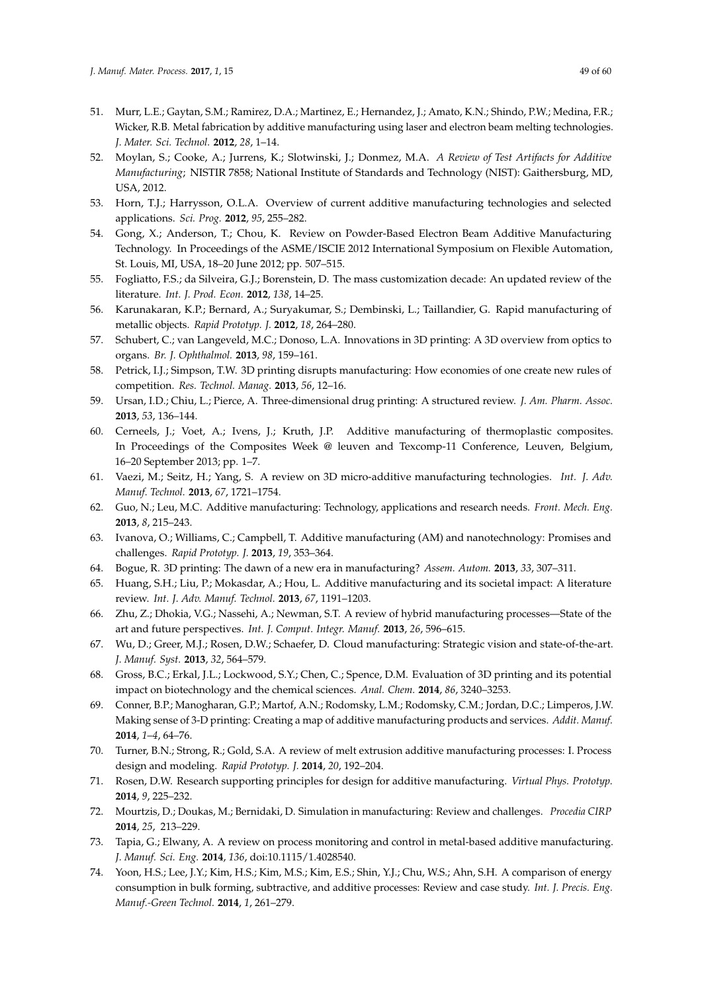- <span id="page-48-0"></span>51. Murr, L.E.; Gaytan, S.M.; Ramirez, D.A.; Martinez, E.; Hernandez, J.; Amato, K.N.; Shindo, P.W.; Medina, F.R.; Wicker, R.B. Metal fabrication by additive manufacturing using laser and electron beam melting technologies. *J. Mater. Sci. Technol.* **2012**, *28*, 1–14.
- <span id="page-48-1"></span>52. Moylan, S.; Cooke, A.; Jurrens, K.; Slotwinski, J.; Donmez, M.A. *A Review of Test Artifacts for Additive Manufacturing*; NISTIR 7858; National Institute of Standards and Technology (NIST): Gaithersburg, MD, USA, 2012.
- <span id="page-48-2"></span>53. Horn, T.J.; Harrysson, O.L.A. Overview of current additive manufacturing technologies and selected applications. *Sci. Prog.* **2012**, *95*, 255–282.
- <span id="page-48-3"></span>54. Gong, X.; Anderson, T.; Chou, K. Review on Powder-Based Electron Beam Additive Manufacturing Technology. In Proceedings of the ASME/ISCIE 2012 International Symposium on Flexible Automation, St. Louis, MI, USA, 18–20 June 2012; pp. 507–515.
- <span id="page-48-4"></span>55. Fogliatto, F.S.; da Silveira, G.J.; Borenstein, D. The mass customization decade: An updated review of the literature. *Int. J. Prod. Econ.* **2012**, *138*, 14–25.
- <span id="page-48-5"></span>56. Karunakaran, K.P.; Bernard, A.; Suryakumar, S.; Dembinski, L.; Taillandier, G. Rapid manufacturing of metallic objects. *Rapid Prototyp. J.* **2012**, *18*, 264–280.
- <span id="page-48-6"></span>57. Schubert, C.; van Langeveld, M.C.; Donoso, L.A. Innovations in 3D printing: A 3D overview from optics to organs. *Br. J. Ophthalmol.* **2013**, *98*, 159–161.
- <span id="page-48-7"></span>58. Petrick, I.J.; Simpson, T.W. 3D printing disrupts manufacturing: How economies of one create new rules of competition. *Res. Technol. Manag.* **2013**, *56*, 12–16.
- <span id="page-48-8"></span>59. Ursan, I.D.; Chiu, L.; Pierce, A. Three-dimensional drug printing: A structured review. *J. Am. Pharm. Assoc.* **2013**, *53*, 136–144.
- <span id="page-48-9"></span>60. Cerneels, J.; Voet, A.; Ivens, J.; Kruth, J.P. Additive manufacturing of thermoplastic composites. In Proceedings of the Composites Week @ leuven and Texcomp-11 Conference, Leuven, Belgium, 16–20 September 2013; pp. 1–7.
- <span id="page-48-10"></span>61. Vaezi, M.; Seitz, H.; Yang, S. A review on 3D micro-additive manufacturing technologies. *Int. J. Adv. Manuf. Technol.* **2013**, *67*, 1721–1754.
- <span id="page-48-11"></span>62. Guo, N.; Leu, M.C. Additive manufacturing: Technology, applications and research needs. *Front. Mech. Eng.* **2013**, *8*, 215–243.
- <span id="page-48-12"></span>63. Ivanova, O.; Williams, C.; Campbell, T. Additive manufacturing (AM) and nanotechnology: Promises and challenges. *Rapid Prototyp. J.* **2013**, *19*, 353–364.
- <span id="page-48-13"></span>64. Bogue, R. 3D printing: The dawn of a new era in manufacturing? *Assem. Autom.* **2013**, *33*, 307–311.
- <span id="page-48-14"></span>65. Huang, S.H.; Liu, P.; Mokasdar, A.; Hou, L. Additive manufacturing and its societal impact: A literature review. *Int. J. Adv. Manuf. Technol.* **2013**, *67*, 1191–1203.
- <span id="page-48-15"></span>66. Zhu, Z.; Dhokia, V.G.; Nassehi, A.; Newman, S.T. A review of hybrid manufacturing processes—State of the art and future perspectives. *Int. J. Comput. Integr. Manuf.* **2013**, *26*, 596–615.
- <span id="page-48-16"></span>67. Wu, D.; Greer, M.J.; Rosen, D.W.; Schaefer, D. Cloud manufacturing: Strategic vision and state-of-the-art. *J. Manuf. Syst.* **2013**, *32*, 564–579.
- <span id="page-48-17"></span>68. Gross, B.C.; Erkal, J.L.; Lockwood, S.Y.; Chen, C.; Spence, D.M. Evaluation of 3D printing and its potential impact on biotechnology and the chemical sciences. *Anal. Chem.* **2014**, *86*, 3240–3253.
- <span id="page-48-18"></span>69. Conner, B.P.; Manogharan, G.P.; Martof, A.N.; Rodomsky, L.M.; Rodomsky, C.M.; Jordan, D.C.; Limperos, J.W. Making sense of 3-D printing: Creating a map of additive manufacturing products and services. *Addit. Manuf.* **2014**, *1*–*4*, 64–76.
- <span id="page-48-19"></span>70. Turner, B.N.; Strong, R.; Gold, S.A. A review of melt extrusion additive manufacturing processes: I. Process design and modeling. *Rapid Prototyp. J.* **2014**, *20*, 192–204.
- <span id="page-48-20"></span>71. Rosen, D.W. Research supporting principles for design for additive manufacturing. *Virtual Phys. Prototyp.* **2014**, *9*, 225–232.
- <span id="page-48-21"></span>72. Mourtzis, D.; Doukas, M.; Bernidaki, D. Simulation in manufacturing: Review and challenges. *Procedia CIRP* **2014**, *25*, 213–229.
- <span id="page-48-22"></span>73. Tapia, G.; Elwany, A. A review on process monitoring and control in metal-based additive manufacturing. *J. Manuf. Sci. Eng.* **2014**, *136*, doi:10.1115/1.4028540.
- <span id="page-48-23"></span>74. Yoon, H.S.; Lee, J.Y.; Kim, H.S.; Kim, M.S.; Kim, E.S.; Shin, Y.J.; Chu, W.S.; Ahn, S.H. A comparison of energy consumption in bulk forming, subtractive, and additive processes: Review and case study. *Int. J. Precis. Eng. Manuf.-Green Technol.* **2014**, *1*, 261–279.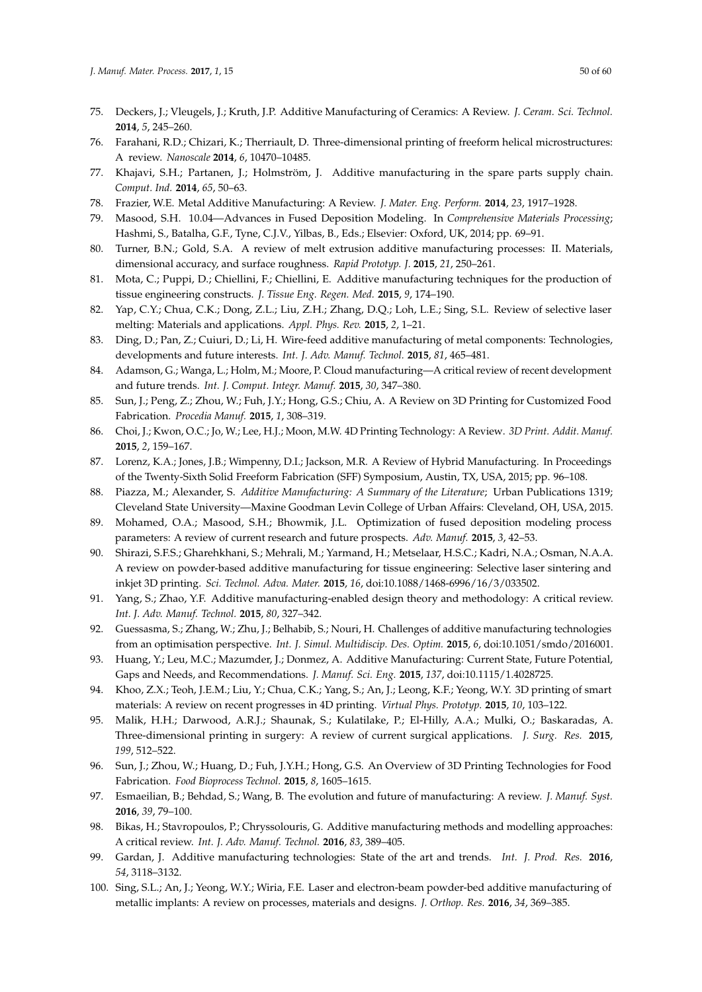- <span id="page-49-0"></span>75. Deckers, J.; Vleugels, J.; Kruth, J.P. Additive Manufacturing of Ceramics: A Review. *J. Ceram. Sci. Technol.* **2014**, *5*, 245–260.
- <span id="page-49-1"></span>76. Farahani, R.D.; Chizari, K.; Therriault, D. Three-dimensional printing of freeform helical microstructures: A review. *Nanoscale* **2014**, *6*, 10470–10485.
- <span id="page-49-2"></span>77. Khajavi, S.H.; Partanen, J.; Holmström, J. Additive manufacturing in the spare parts supply chain. *Comput. Ind.* **2014**, *65*, 50–63.
- <span id="page-49-4"></span><span id="page-49-3"></span>78. Frazier, W.E. Metal Additive Manufacturing: A Review. *J. Mater. Eng. Perform.* **2014**, *23*, 1917–1928.
- 79. Masood, S.H. 10.04—Advances in Fused Deposition Modeling. In *Comprehensive Materials Processing*; Hashmi, S., Batalha, G.F., Tyne, C.J.V., Yilbas, B., Eds.; Elsevier: Oxford, UK, 2014; pp. 69–91.
- <span id="page-49-5"></span>80. Turner, B.N.; Gold, S.A. A review of melt extrusion additive manufacturing processes: II. Materials, dimensional accuracy, and surface roughness. *Rapid Prototyp. J.* **2015**, *21*, 250–261.
- <span id="page-49-6"></span>81. Mota, C.; Puppi, D.; Chiellini, F.; Chiellini, E. Additive manufacturing techniques for the production of tissue engineering constructs. *J. Tissue Eng. Regen. Med.* **2015**, *9*, 174–190.
- <span id="page-49-7"></span>82. Yap, C.Y.; Chua, C.K.; Dong, Z.L.; Liu, Z.H.; Zhang, D.Q.; Loh, L.E.; Sing, S.L. Review of selective laser melting: Materials and applications. *Appl. Phys. Rev.* **2015**, *2*, 1–21.
- <span id="page-49-8"></span>83. Ding, D.; Pan, Z.; Cuiuri, D.; Li, H. Wire-feed additive manufacturing of metal components: Technologies, developments and future interests. *Int. J. Adv. Manuf. Technol.* **2015**, *81*, 465–481.
- <span id="page-49-9"></span>84. Adamson, G.; Wanga, L.; Holm, M.; Moore, P. Cloud manufacturing—A critical review of recent development and future trends. *Int. J. Comput. Integr. Manuf.* **2015**, *30*, 347–380.
- <span id="page-49-10"></span>85. Sun, J.; Peng, Z.; Zhou, W.; Fuh, J.Y.; Hong, G.S.; Chiu, A. A Review on 3D Printing for Customized Food Fabrication. *Procedia Manuf.* **2015**, *1*, 308–319.
- <span id="page-49-11"></span>86. Choi, J.; Kwon, O.C.; Jo, W.; Lee, H.J.; Moon, M.W. 4D Printing Technology: A Review. *3D Print. Addit. Manuf.* **2015**, *2*, 159–167.
- <span id="page-49-12"></span>87. Lorenz, K.A.; Jones, J.B.; Wimpenny, D.I.; Jackson, M.R. A Review of Hybrid Manufacturing. In Proceedings of the Twenty-Sixth Solid Freeform Fabrication (SFF) Symposium, Austin, TX, USA, 2015; pp. 96–108.
- <span id="page-49-13"></span>88. Piazza, M.; Alexander, S. *Additive Manufacturing: A Summary of the Literature*; Urban Publications 1319; Cleveland State University—Maxine Goodman Levin College of Urban Affairs: Cleveland, OH, USA, 2015.
- <span id="page-49-14"></span>89. Mohamed, O.A.; Masood, S.H.; Bhowmik, J.L. Optimization of fused deposition modeling process parameters: A review of current research and future prospects. *Adv. Manuf.* **2015**, *3*, 42–53.
- <span id="page-49-15"></span>90. Shirazi, S.F.S.; Gharehkhani, S.; Mehrali, M.; Yarmand, H.; Metselaar, H.S.C.; Kadri, N.A.; Osman, N.A.A. A review on powder-based additive manufacturing for tissue engineering: Selective laser sintering and inkjet 3D printing. *Sci. Technol. Adva. Mater.* **2015**, *16*, doi:10.1088/1468-6996/16/3/033502.
- <span id="page-49-16"></span>91. Yang, S.; Zhao, Y.F. Additive manufacturing-enabled design theory and methodology: A critical review. *Int. J. Adv. Manuf. Technol.* **2015**, *80*, 327–342.
- <span id="page-49-17"></span>92. Guessasma, S.; Zhang, W.; Zhu, J.; Belhabib, S.; Nouri, H. Challenges of additive manufacturing technologies from an optimisation perspective. *Int. J. Simul. Multidiscip. Des. Optim.* **2015**, *6*, doi:10.1051/smdo/2016001.
- <span id="page-49-18"></span>93. Huang, Y.; Leu, M.C.; Mazumder, J.; Donmez, A. Additive Manufacturing: Current State, Future Potential, Gaps and Needs, and Recommendations. *J. Manuf. Sci. Eng.* **2015**, *137*, doi:10.1115/1.4028725.
- <span id="page-49-19"></span>94. Khoo, Z.X.; Teoh, J.E.M.; Liu, Y.; Chua, C.K.; Yang, S.; An, J.; Leong, K.F.; Yeong, W.Y. 3D printing of smart materials: A review on recent progresses in 4D printing. *Virtual Phys. Prototyp.* **2015**, *10*, 103–122.
- <span id="page-49-20"></span>95. Malik, H.H.; Darwood, A.R.J.; Shaunak, S.; Kulatilake, P.; El-Hilly, A.A.; Mulki, O.; Baskaradas, A. Three-dimensional printing in surgery: A review of current surgical applications. *J. Surg. Res.* **2015**, *199*, 512–522.
- <span id="page-49-21"></span>96. Sun, J.; Zhou, W.; Huang, D.; Fuh, J.Y.H.; Hong, G.S. An Overview of 3D Printing Technologies for Food Fabrication. *Food Bioprocess Technol.* **2015**, *8*, 1605–1615.
- <span id="page-49-22"></span>97. Esmaeilian, B.; Behdad, S.; Wang, B. The evolution and future of manufacturing: A review. *J. Manuf. Syst.* **2016**, *39*, 79–100.
- <span id="page-49-23"></span>98. Bikas, H.; Stavropoulos, P.; Chryssolouris, G. Additive manufacturing methods and modelling approaches: A critical review. *Int. J. Adv. Manuf. Technol.* **2016**, *83*, 389–405.
- <span id="page-49-24"></span>99. Gardan, J. Additive manufacturing technologies: State of the art and trends. *Int. J. Prod. Res.* **2016**, *54*, 3118–3132.
- <span id="page-49-25"></span>100. Sing, S.L.; An, J.; Yeong, W.Y.; Wiria, F.E. Laser and electron-beam powder-bed additive manufacturing of metallic implants: A review on processes, materials and designs. *J. Orthop. Res.* **2016**, *34*, 369–385.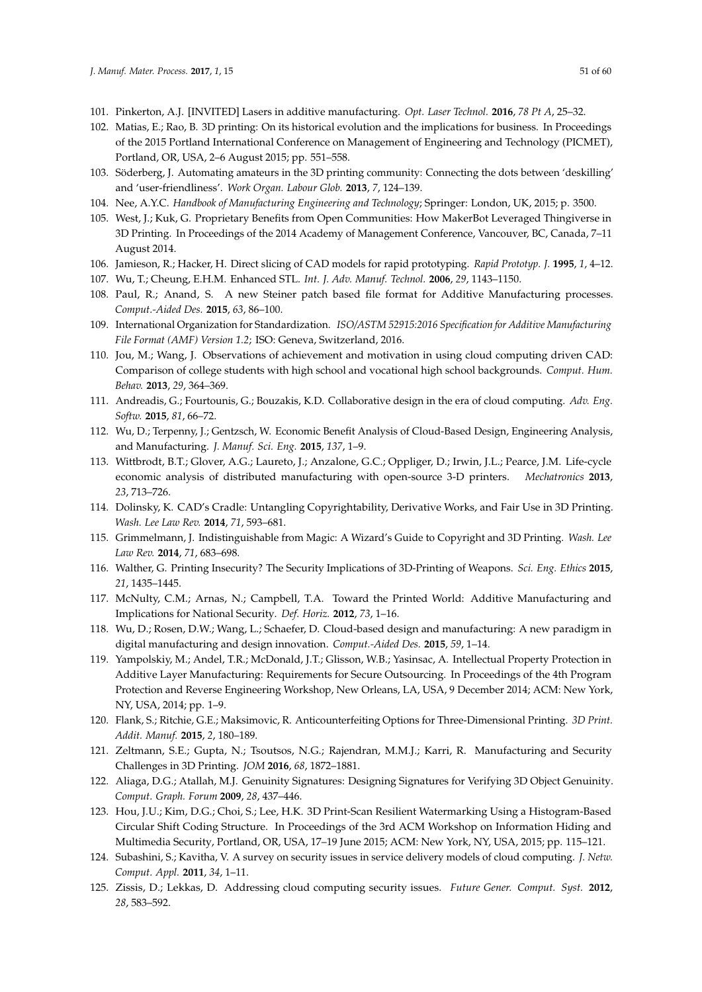- <span id="page-50-0"></span>101. Pinkerton, A.J. [INVITED] Lasers in additive manufacturing. *Opt. Laser Technol.* **2016**, *78 Pt A*, 25–32.
- <span id="page-50-1"></span>102. Matias, E.; Rao, B. 3D printing: On its historical evolution and the implications for business. In Proceedings of the 2015 Portland International Conference on Management of Engineering and Technology (PICMET), Portland, OR, USA, 2–6 August 2015; pp. 551–558.
- <span id="page-50-2"></span>103. Söderberg, J. Automating amateurs in the 3D printing community: Connecting the dots between 'deskilling' and 'user-friendliness'. *Work Organ. Labour Glob.* **2013**, *7*, 124–139.
- <span id="page-50-4"></span><span id="page-50-3"></span>104. Nee, A.Y.C. *Handbook of Manufacturing Engineering and Technology*; Springer: London, UK, 2015; p. 3500.
- 105. West, J.; Kuk, G. Proprietary Benefits from Open Communities: How MakerBot Leveraged Thingiverse in 3D Printing. In Proceedings of the 2014 Academy of Management Conference, Vancouver, BC, Canada, 7–11 August 2014.
- <span id="page-50-5"></span>106. Jamieson, R.; Hacker, H. Direct slicing of CAD models for rapid prototyping. *Rapid Prototyp. J.* **1995**, *1*, 4–12.
- <span id="page-50-6"></span>107. Wu, T.; Cheung, E.H.M. Enhanced STL. *Int. J. Adv. Manuf. Technol.* **2006**, *29*, 1143–1150.
- <span id="page-50-7"></span>108. Paul, R.; Anand, S. A new Steiner patch based file format for Additive Manufacturing processes. *Comput.-Aided Des.* **2015**, *63*, 86–100.
- <span id="page-50-8"></span>109. International Organization for Standardization. *ISO/ASTM 52915:2016 Specification for Additive Manufacturing File Format (AMF) Version 1.2*; ISO: Geneva, Switzerland, 2016.
- <span id="page-50-9"></span>110. Jou, M.; Wang, J. Observations of achievement and motivation in using cloud computing driven CAD: Comparison of college students with high school and vocational high school backgrounds. *Comput. Hum. Behav.* **2013**, *29*, 364–369.
- <span id="page-50-10"></span>111. Andreadis, G.; Fourtounis, G.; Bouzakis, K.D. Collaborative design in the era of cloud computing. *Adv. Eng. Softw.* **2015**, *81*, 66–72.
- <span id="page-50-11"></span>112. Wu, D.; Terpenny, J.; Gentzsch, W. Economic Benefit Analysis of Cloud-Based Design, Engineering Analysis, and Manufacturing. *J. Manuf. Sci. Eng.* **2015**, *137*, 1–9.
- <span id="page-50-12"></span>113. Wittbrodt, B.T.; Glover, A.G.; Laureto, J.; Anzalone, G.C.; Oppliger, D.; Irwin, J.L.; Pearce, J.M. Life-cycle economic analysis of distributed manufacturing with open-source 3-D printers. *Mechatronics* **2013**, *23*, 713–726.
- <span id="page-50-13"></span>114. Dolinsky, K. CAD's Cradle: Untangling Copyrightability, Derivative Works, and Fair Use in 3D Printing. *Wash. Lee Law Rev.* **2014**, *71*, 593–681.
- <span id="page-50-14"></span>115. Grimmelmann, J. Indistinguishable from Magic: A Wizard's Guide to Copyright and 3D Printing. *Wash. Lee Law Rev.* **2014**, *71*, 683–698.
- <span id="page-50-15"></span>116. Walther, G. Printing Insecurity? The Security Implications of 3D-Printing of Weapons. *Sci. Eng. Ethics* **2015**, *21*, 1435–1445.
- <span id="page-50-16"></span>117. McNulty, C.M.; Arnas, N.; Campbell, T.A. Toward the Printed World: Additive Manufacturing and Implications for National Security. *Def. Horiz.* **2012**, *73*, 1–16.
- <span id="page-50-17"></span>118. Wu, D.; Rosen, D.W.; Wang, L.; Schaefer, D. Cloud-based design and manufacturing: A new paradigm in digital manufacturing and design innovation. *Comput.-Aided Des.* **2015**, *59*, 1–14.
- <span id="page-50-18"></span>119. Yampolskiy, M.; Andel, T.R.; McDonald, J.T.; Glisson, W.B.; Yasinsac, A. Intellectual Property Protection in Additive Layer Manufacturing: Requirements for Secure Outsourcing. In Proceedings of the 4th Program Protection and Reverse Engineering Workshop, New Orleans, LA, USA, 9 December 2014; ACM: New York, NY, USA, 2014; pp. 1–9.
- <span id="page-50-19"></span>120. Flank, S.; Ritchie, G.E.; Maksimovic, R. Anticounterfeiting Options for Three-Dimensional Printing. *3D Print. Addit. Manuf.* **2015**, *2*, 180–189.
- <span id="page-50-20"></span>121. Zeltmann, S.E.; Gupta, N.; Tsoutsos, N.G.; Rajendran, M.M.J.; Karri, R. Manufacturing and Security Challenges in 3D Printing. *JOM* **2016**, *68*, 1872–1881.
- <span id="page-50-21"></span>122. Aliaga, D.G.; Atallah, M.J. Genuinity Signatures: Designing Signatures for Verifying 3D Object Genuinity. *Comput. Graph. Forum* **2009**, *28*, 437–446.
- <span id="page-50-22"></span>123. Hou, J.U.; Kim, D.G.; Choi, S.; Lee, H.K. 3D Print-Scan Resilient Watermarking Using a Histogram-Based Circular Shift Coding Structure. In Proceedings of the 3rd ACM Workshop on Information Hiding and Multimedia Security, Portland, OR, USA, 17–19 June 2015; ACM: New York, NY, USA, 2015; pp. 115–121.
- <span id="page-50-23"></span>124. Subashini, S.; Kavitha, V. A survey on security issues in service delivery models of cloud computing. *J. Netw. Comput. Appl.* **2011**, *34*, 1–11.
- <span id="page-50-24"></span>125. Zissis, D.; Lekkas, D. Addressing cloud computing security issues. *Future Gener. Comput. Syst.* **2012**, *28*, 583–592.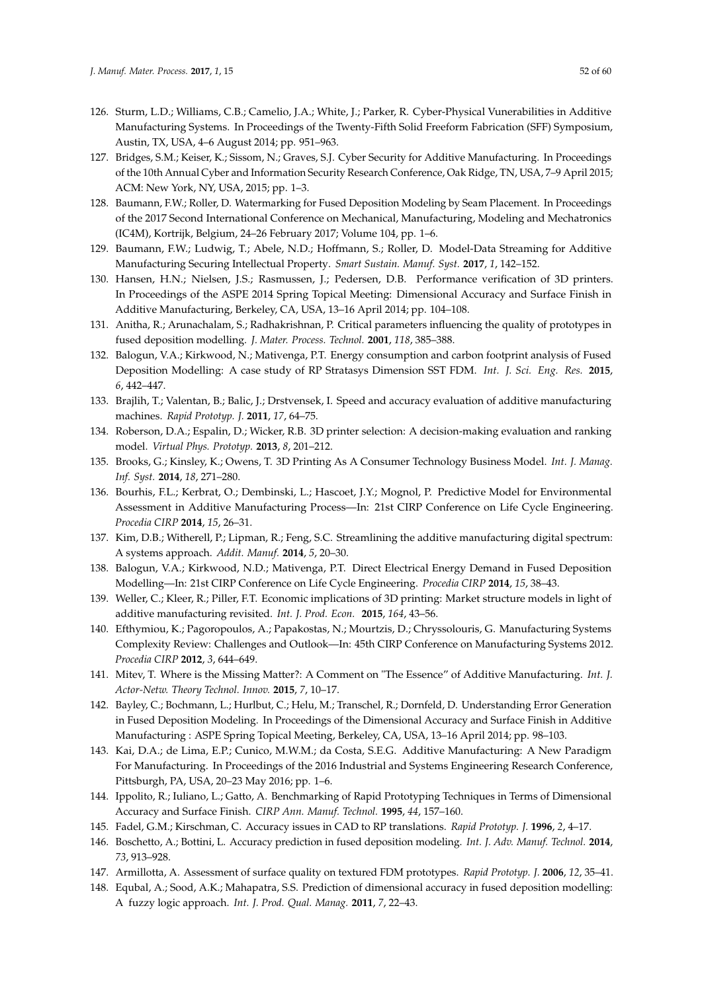- <span id="page-51-0"></span>126. Sturm, L.D.; Williams, C.B.; Camelio, J.A.; White, J.; Parker, R. Cyber-Physical Vunerabilities in Additive Manufacturing Systems. In Proceedings of the Twenty-Fifth Solid Freeform Fabrication (SFF) Symposium, Austin, TX, USA, 4–6 August 2014; pp. 951–963.
- <span id="page-51-1"></span>127. Bridges, S.M.; Keiser, K.; Sissom, N.; Graves, S.J. Cyber Security for Additive Manufacturing. In Proceedings of the 10th Annual Cyber and Information Security Research Conference, Oak Ridge, TN, USA, 7–9 April 2015; ACM: New York, NY, USA, 2015; pp. 1–3.
- <span id="page-51-2"></span>128. Baumann, F.W.; Roller, D. Watermarking for Fused Deposition Modeling by Seam Placement. In Proceedings of the 2017 Second International Conference on Mechanical, Manufacturing, Modeling and Mechatronics (IC4M), Kortrijk, Belgium, 24–26 February 2017; Volume 104, pp. 1–6.
- <span id="page-51-3"></span>129. Baumann, F.W.; Ludwig, T.; Abele, N.D.; Hoffmann, S.; Roller, D. Model-Data Streaming for Additive Manufacturing Securing Intellectual Property. *Smart Sustain. Manuf. Syst.* **2017**, *1*, 142–152.
- <span id="page-51-4"></span>130. Hansen, H.N.; Nielsen, J.S.; Rasmussen, J.; Pedersen, D.B. Performance verification of 3D printers. In Proceedings of the ASPE 2014 Spring Topical Meeting: Dimensional Accuracy and Surface Finish in Additive Manufacturing, Berkeley, CA, USA, 13–16 April 2014; pp. 104–108.
- <span id="page-51-5"></span>131. Anitha, R.; Arunachalam, S.; Radhakrishnan, P. Critical parameters influencing the quality of prototypes in fused deposition modelling. *J. Mater. Process. Technol.* **2001**, *118*, 385–388.
- <span id="page-51-6"></span>132. Balogun, V.A.; Kirkwood, N.; Mativenga, P.T. Energy consumption and carbon footprint analysis of Fused Deposition Modelling: A case study of RP Stratasys Dimension SST FDM. *Int. J. Sci. Eng. Res.* **2015**, *6*, 442–447.
- <span id="page-51-7"></span>133. Brajlih, T.; Valentan, B.; Balic, J.; Drstvensek, I. Speed and accuracy evaluation of additive manufacturing machines. *Rapid Prototyp. J.* **2011**, *17*, 64–75.
- <span id="page-51-8"></span>134. Roberson, D.A.; Espalin, D.; Wicker, R.B. 3D printer selection: A decision-making evaluation and ranking model. *Virtual Phys. Prototyp.* **2013**, *8*, 201–212.
- <span id="page-51-9"></span>135. Brooks, G.; Kinsley, K.; Owens, T. 3D Printing As A Consumer Technology Business Model. *Int. J. Manag. Inf. Syst.* **2014**, *18*, 271–280.
- <span id="page-51-10"></span>136. Bourhis, F.L.; Kerbrat, O.; Dembinski, L.; Hascoet, J.Y.; Mognol, P. Predictive Model for Environmental Assessment in Additive Manufacturing Process—In: 21st CIRP Conference on Life Cycle Engineering. *Procedia CIRP* **2014**, *15*, 26–31.
- <span id="page-51-11"></span>137. Kim, D.B.; Witherell, P.; Lipman, R.; Feng, S.C. Streamlining the additive manufacturing digital spectrum: A systems approach. *Addit. Manuf.* **2014**, *5*, 20–30.
- <span id="page-51-12"></span>138. Balogun, V.A.; Kirkwood, N.D.; Mativenga, P.T. Direct Electrical Energy Demand in Fused Deposition Modelling—In: 21st CIRP Conference on Life Cycle Engineering. *Procedia CIRP* **2014**, *15*, 38–43.
- <span id="page-51-13"></span>139. Weller, C.; Kleer, R.; Piller, F.T. Economic implications of 3D printing: Market structure models in light of additive manufacturing revisited. *Int. J. Prod. Econ.* **2015**, *164*, 43–56.
- <span id="page-51-14"></span>140. Efthymiou, K.; Pagoropoulos, A.; Papakostas, N.; Mourtzis, D.; Chryssolouris, G. Manufacturing Systems Complexity Review: Challenges and Outlook—In: 45th CIRP Conference on Manufacturing Systems 2012. *Procedia CIRP* **2012**, *3*, 644–649.
- <span id="page-51-15"></span>141. Mitev, T. Where is the Missing Matter?: A Comment on "The Essence" of Additive Manufacturing. *Int. J. Actor-Netw. Theory Technol. Innov.* **2015**, *7*, 10–17.
- <span id="page-51-16"></span>142. Bayley, C.; Bochmann, L.; Hurlbut, C.; Helu, M.; Transchel, R.; Dornfeld, D. Understanding Error Generation in Fused Deposition Modeling. In Proceedings of the Dimensional Accuracy and Surface Finish in Additive Manufacturing : ASPE Spring Topical Meeting, Berkeley, CA, USA, 13–16 April 2014; pp. 98–103.
- <span id="page-51-17"></span>143. Kai, D.A.; de Lima, E.P.; Cunico, M.W.M.; da Costa, S.E.G. Additive Manufacturing: A New Paradigm For Manufacturing. In Proceedings of the 2016 Industrial and Systems Engineering Research Conference, Pittsburgh, PA, USA, 20–23 May 2016; pp. 1–6.
- <span id="page-51-18"></span>144. Ippolito, R.; Iuliano, L.; Gatto, A. Benchmarking of Rapid Prototyping Techniques in Terms of Dimensional Accuracy and Surface Finish. *CIRP Ann. Manuf. Technol.* **1995**, *44*, 157–160.
- <span id="page-51-19"></span>145. Fadel, G.M.; Kirschman, C. Accuracy issues in CAD to RP translations. *Rapid Prototyp. J.* **1996**, *2*, 4–17.
- <span id="page-51-20"></span>146. Boschetto, A.; Bottini, L. Accuracy prediction in fused deposition modeling. *Int. J. Adv. Manuf. Technol.* **2014**, *73*, 913–928.
- <span id="page-51-21"></span>147. Armillotta, A. Assessment of surface quality on textured FDM prototypes. *Rapid Prototyp. J.* **2006**, *12*, 35–41.
- <span id="page-51-22"></span>148. Equbal, A.; Sood, A.K.; Mahapatra, S.S. Prediction of dimensional accuracy in fused deposition modelling: A fuzzy logic approach. *Int. J. Prod. Qual. Manag.* **2011**, *7*, 22–43.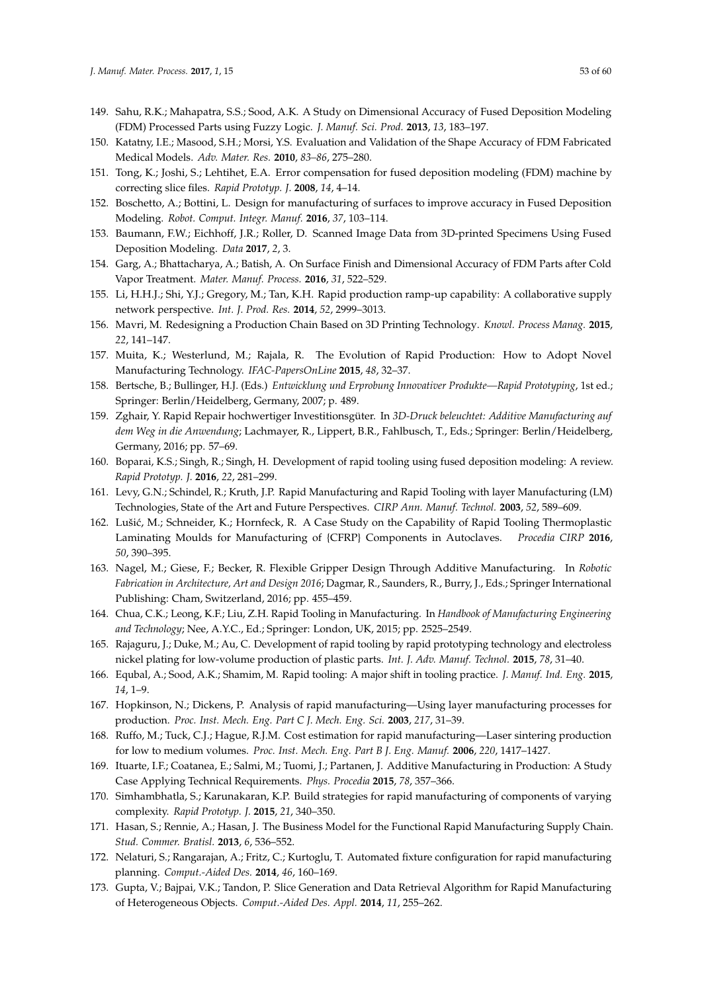- <span id="page-52-0"></span>149. Sahu, R.K.; Mahapatra, S.S.; Sood, A.K. A Study on Dimensional Accuracy of Fused Deposition Modeling (FDM) Processed Parts using Fuzzy Logic. *J. Manuf. Sci. Prod.* **2013**, *13*, 183–197.
- <span id="page-52-1"></span>150. Katatny, I.E.; Masood, S.H.; Morsi, Y.S. Evaluation and Validation of the Shape Accuracy of FDM Fabricated Medical Models. *Adv. Mater. Res.* **2010**, *83–86*, 275–280.
- <span id="page-52-2"></span>151. Tong, K.; Joshi, S.; Lehtihet, E.A. Error compensation for fused deposition modeling (FDM) machine by correcting slice files. *Rapid Prototyp. J.* **2008**, *14*, 4–14.
- <span id="page-52-3"></span>152. Boschetto, A.; Bottini, L. Design for manufacturing of surfaces to improve accuracy in Fused Deposition Modeling. *Robot. Comput. Integr. Manuf.* **2016**, *37*, 103–114.
- <span id="page-52-4"></span>153. Baumann, F.W.; Eichhoff, J.R.; Roller, D. Scanned Image Data from 3D-printed Specimens Using Fused Deposition Modeling. *Data* **2017**, *2*, 3.
- <span id="page-52-5"></span>154. Garg, A.; Bhattacharya, A.; Batish, A. On Surface Finish and Dimensional Accuracy of FDM Parts after Cold Vapor Treatment. *Mater. Manuf. Process.* **2016**, *31*, 522–529.
- <span id="page-52-6"></span>155. Li, H.H.J.; Shi, Y.J.; Gregory, M.; Tan, K.H. Rapid production ramp-up capability: A collaborative supply network perspective. *Int. J. Prod. Res.* **2014**, *52*, 2999–3013.
- <span id="page-52-7"></span>156. Mavri, M. Redesigning a Production Chain Based on 3D Printing Technology. *Knowl. Process Manag.* **2015**, *22*, 141–147.
- <span id="page-52-8"></span>157. Muita, K.; Westerlund, M.; Rajala, R. The Evolution of Rapid Production: How to Adopt Novel Manufacturing Technology. *IFAC-PapersOnLine* **2015**, *48*, 32–37.
- <span id="page-52-9"></span>158. Bertsche, B.; Bullinger, H.J. (Eds.) *Entwicklung und Erprobung Innovativer Produkte—Rapid Prototyping*, 1st ed.; Springer: Berlin/Heidelberg, Germany, 2007; p. 489.
- <span id="page-52-10"></span>159. Zghair, Y. Rapid Repair hochwertiger Investitionsgüter. In *3D-Druck beleuchtet: Additive Manufacturing auf dem Weg in die Anwendung*; Lachmayer, R., Lippert, B.R., Fahlbusch, T., Eds.; Springer: Berlin/Heidelberg, Germany, 2016; pp. 57–69.
- <span id="page-52-11"></span>160. Boparai, K.S.; Singh, R.; Singh, H. Development of rapid tooling using fused deposition modeling: A review. *Rapid Prototyp. J.* **2016**, *22*, 281–299.
- <span id="page-52-12"></span>161. Levy, G.N.; Schindel, R.; Kruth, J.P. Rapid Manufacturing and Rapid Tooling with layer Manufacturing (LM) Technologies, State of the Art and Future Perspectives. *CIRP Ann. Manuf. Technol.* **2003**, *52*, 589–609.
- <span id="page-52-13"></span>162. Lušić, M.; Schneider, K.; Hornfeck, R. A Case Study on the Capability of Rapid Tooling Thermoplastic Laminating Moulds for Manufacturing of {CFRP} Components in Autoclaves. *Procedia CIRP* **2016**, *50*, 390–395.
- <span id="page-52-14"></span>163. Nagel, M.; Giese, F.; Becker, R. Flexible Gripper Design Through Additive Manufacturing. In *Robotic Fabrication in Architecture, Art and Design 2016*; Dagmar, R., Saunders, R., Burry, J., Eds.; Springer International Publishing: Cham, Switzerland, 2016; pp. 455–459.
- <span id="page-52-15"></span>164. Chua, C.K.; Leong, K.F.; Liu, Z.H. Rapid Tooling in Manufacturing. In *Handbook of Manufacturing Engineering and Technology*; Nee, A.Y.C., Ed.; Springer: London, UK, 2015; pp. 2525–2549.
- <span id="page-52-16"></span>165. Rajaguru, J.; Duke, M.; Au, C. Development of rapid tooling by rapid prototyping technology and electroless nickel plating for low-volume production of plastic parts. *Int. J. Adv. Manuf. Technol.* **2015**, *78*, 31–40.
- <span id="page-52-17"></span>166. Equbal, A.; Sood, A.K.; Shamim, M. Rapid tooling: A major shift in tooling practice. *J. Manuf. Ind. Eng.* **2015**, *14*, 1–9.
- <span id="page-52-18"></span>167. Hopkinson, N.; Dickens, P. Analysis of rapid manufacturing—Using layer manufacturing processes for production. *Proc. Inst. Mech. Eng. Part C J. Mech. Eng. Sci.* **2003**, *217*, 31–39.
- <span id="page-52-19"></span>168. Ruffo, M.; Tuck, C.J.; Hague, R.J.M. Cost estimation for rapid manufacturing—Laser sintering production for low to medium volumes. *Proc. Inst. Mech. Eng. Part B J. Eng. Manuf.* **2006**, *220*, 1417–1427.
- <span id="page-52-20"></span>169. Ituarte, I.F.; Coatanea, E.; Salmi, M.; Tuomi, J.; Partanen, J. Additive Manufacturing in Production: A Study Case Applying Technical Requirements. *Phys. Procedia* **2015**, *78*, 357–366.
- <span id="page-52-21"></span>170. Simhambhatla, S.; Karunakaran, K.P. Build strategies for rapid manufacturing of components of varying complexity. *Rapid Prototyp. J.* **2015**, *21*, 340–350.
- <span id="page-52-22"></span>171. Hasan, S.; Rennie, A.; Hasan, J. The Business Model for the Functional Rapid Manufacturing Supply Chain. *Stud. Commer. Bratisl.* **2013**, *6*, 536–552.
- <span id="page-52-23"></span>172. Nelaturi, S.; Rangarajan, A.; Fritz, C.; Kurtoglu, T. Automated fixture configuration for rapid manufacturing planning. *Comput.-Aided Des.* **2014**, *46*, 160–169.
- <span id="page-52-24"></span>173. Gupta, V.; Bajpai, V.K.; Tandon, P. Slice Generation and Data Retrieval Algorithm for Rapid Manufacturing of Heterogeneous Objects. *Comput.-Aided Des. Appl.* **2014**, *11*, 255–262.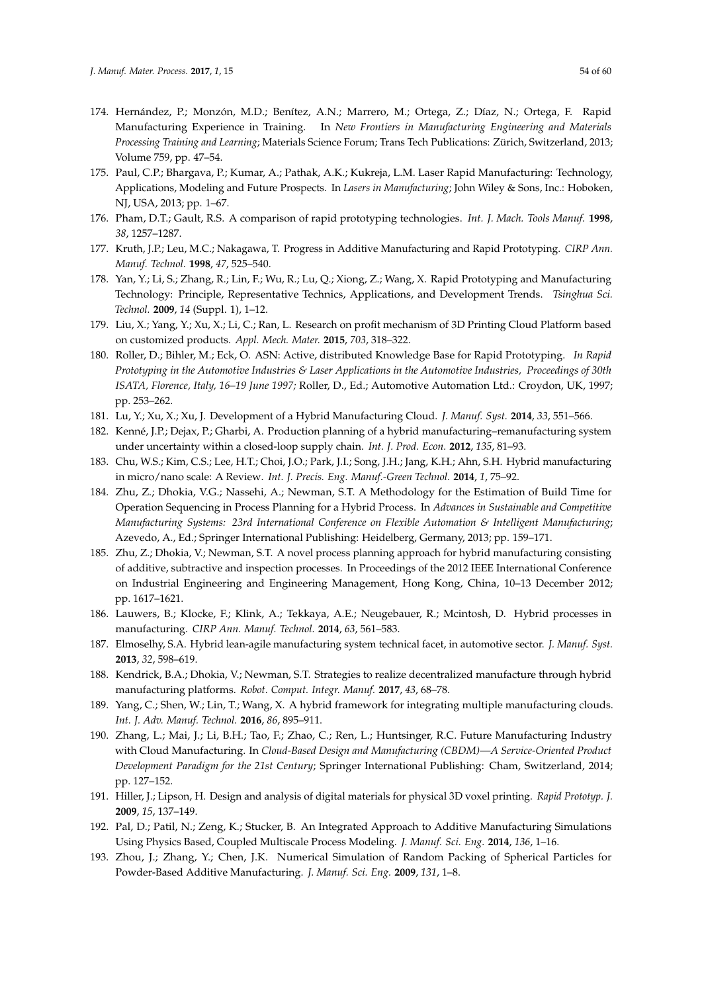- <span id="page-53-0"></span>174. Hernández, P.; Monzón, M.D.; Benítez, A.N.; Marrero, M.; Ortega, Z.; Díaz, N.; Ortega, F. Rapid Manufacturing Experience in Training. In *New Frontiers in Manufacturing Engineering and Materials Processing Training and Learning*; Materials Science Forum; Trans Tech Publications: Zürich, Switzerland, 2013; Volume 759, pp. 47–54.
- <span id="page-53-1"></span>175. Paul, C.P.; Bhargava, P.; Kumar, A.; Pathak, A.K.; Kukreja, L.M. Laser Rapid Manufacturing: Technology, Applications, Modeling and Future Prospects. In *Lasers in Manufacturing*; John Wiley & Sons, Inc.: Hoboken, NJ, USA, 2013; pp. 1–67.
- <span id="page-53-2"></span>176. Pham, D.T.; Gault, R.S. A comparison of rapid prototyping technologies. *Int. J. Mach. Tools Manuf.* **1998**, *38*, 1257–1287.
- <span id="page-53-3"></span>177. Kruth, J.P.; Leu, M.C.; Nakagawa, T. Progress in Additive Manufacturing and Rapid Prototyping. *CIRP Ann. Manuf. Technol.* **1998**, *47*, 525–540.
- <span id="page-53-4"></span>178. Yan, Y.; Li, S.; Zhang, R.; Lin, F.; Wu, R.; Lu, Q.; Xiong, Z.; Wang, X. Rapid Prototyping and Manufacturing Technology: Principle, Representative Technics, Applications, and Development Trends. *Tsinghua Sci. Technol.* **2009**, *14* (Suppl. 1), 1–12.
- <span id="page-53-5"></span>179. Liu, X.; Yang, Y.; Xu, X.; Li, C.; Ran, L. Research on profit mechanism of 3D Printing Cloud Platform based on customized products. *Appl. Mech. Mater.* **2015**, *703*, 318–322.
- <span id="page-53-6"></span>180. Roller, D.; Bihler, M.; Eck, O. ASN: Active, distributed Knowledge Base for Rapid Prototyping. *In Rapid Prototyping in the Automotive Industries & Laser Applications in the Automotive Industries, Proceedings of 30th ISATA, Florence, Italy, 16–19 June 1997;* Roller, D., Ed.; Automotive Automation Ltd.: Croydon, UK, 1997; pp. 253–262.
- <span id="page-53-8"></span><span id="page-53-7"></span>181. Lu, Y.; Xu, X.; Xu, J. Development of a Hybrid Manufacturing Cloud. *J. Manuf. Syst.* **2014**, *33*, 551–566.
- 182. Kenné, J.P.; Dejax, P.; Gharbi, A. Production planning of a hybrid manufacturing–remanufacturing system under uncertainty within a closed-loop supply chain. *Int. J. Prod. Econ.* **2012**, *135*, 81–93.
- <span id="page-53-9"></span>183. Chu, W.S.; Kim, C.S.; Lee, H.T.; Choi, J.O.; Park, J.I.; Song, J.H.; Jang, K.H.; Ahn, S.H. Hybrid manufacturing in micro/nano scale: A Review. *Int. J. Precis. Eng. Manuf.-Green Technol.* **2014**, *1*, 75–92.
- <span id="page-53-10"></span>184. Zhu, Z.; Dhokia, V.G.; Nassehi, A.; Newman, S.T. A Methodology for the Estimation of Build Time for Operation Sequencing in Process Planning for a Hybrid Process. In *Advances in Sustainable and Competitive Manufacturing Systems: 23rd International Conference on Flexible Automation & Intelligent Manufacturing*; Azevedo, A., Ed.; Springer International Publishing: Heidelberg, Germany, 2013; pp. 159–171.
- <span id="page-53-11"></span>185. Zhu, Z.; Dhokia, V.; Newman, S.T. A novel process planning approach for hybrid manufacturing consisting of additive, subtractive and inspection processes. In Proceedings of the 2012 IEEE International Conference on Industrial Engineering and Engineering Management, Hong Kong, China, 10–13 December 2012; pp. 1617–1621.
- <span id="page-53-12"></span>186. Lauwers, B.; Klocke, F.; Klink, A.; Tekkaya, A.E.; Neugebauer, R.; Mcintosh, D. Hybrid processes in manufacturing. *CIRP Ann. Manuf. Technol.* **2014**, *63*, 561–583.
- <span id="page-53-13"></span>187. Elmoselhy, S.A. Hybrid lean-agile manufacturing system technical facet, in automotive sector. *J. Manuf. Syst.* **2013**, *32*, 598–619.
- <span id="page-53-14"></span>188. Kendrick, B.A.; Dhokia, V.; Newman, S.T. Strategies to realize decentralized manufacture through hybrid manufacturing platforms. *Robot. Comput. Integr. Manuf.* **2017**, *43*, 68–78.
- <span id="page-53-15"></span>189. Yang, C.; Shen, W.; Lin, T.; Wang, X. A hybrid framework for integrating multiple manufacturing clouds. *Int. J. Adv. Manuf. Technol.* **2016**, *86*, 895–911.
- <span id="page-53-16"></span>190. Zhang, L.; Mai, J.; Li, B.H.; Tao, F.; Zhao, C.; Ren, L.; Huntsinger, R.C. Future Manufacturing Industry with Cloud Manufacturing. In *Cloud-Based Design and Manufacturing (CBDM)—A Service-Oriented Product Development Paradigm for the 21st Century*; Springer International Publishing: Cham, Switzerland, 2014; pp. 127–152.
- <span id="page-53-17"></span>191. Hiller, J.; Lipson, H. Design and analysis of digital materials for physical 3D voxel printing. *Rapid Prototyp. J.* **2009**, *15*, 137–149.
- <span id="page-53-18"></span>192. Pal, D.; Patil, N.; Zeng, K.; Stucker, B. An Integrated Approach to Additive Manufacturing Simulations Using Physics Based, Coupled Multiscale Process Modeling. *J. Manuf. Sci. Eng.* **2014**, *136*, 1–16.
- <span id="page-53-19"></span>193. Zhou, J.; Zhang, Y.; Chen, J.K. Numerical Simulation of Random Packing of Spherical Particles for Powder-Based Additive Manufacturing. *J. Manuf. Sci. Eng.* **2009**, *131*, 1–8.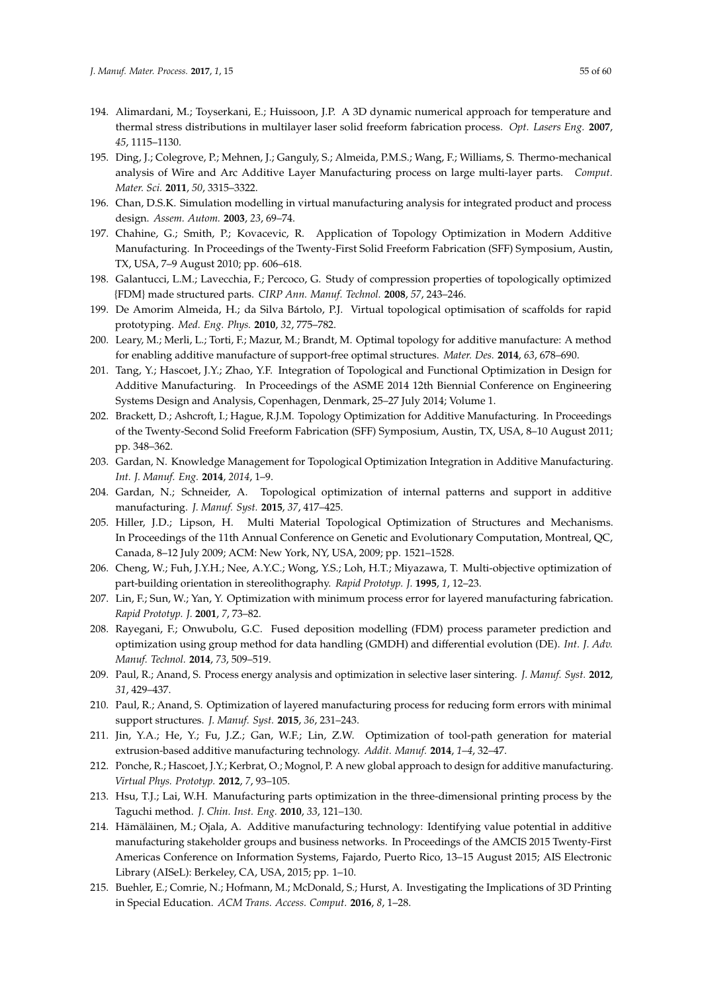- <span id="page-54-0"></span>194. Alimardani, M.; Toyserkani, E.; Huissoon, J.P. A 3D dynamic numerical approach for temperature and thermal stress distributions in multilayer laser solid freeform fabrication process. *Opt. Lasers Eng.* **2007**, *45*, 1115–1130.
- <span id="page-54-1"></span>195. Ding, J.; Colegrove, P.; Mehnen, J.; Ganguly, S.; Almeida, P.M.S.; Wang, F.; Williams, S. Thermo-mechanical analysis of Wire and Arc Additive Layer Manufacturing process on large multi-layer parts. *Comput. Mater. Sci.* **2011**, *50*, 3315–3322.
- <span id="page-54-2"></span>196. Chan, D.S.K. Simulation modelling in virtual manufacturing analysis for integrated product and process design. *Assem. Autom.* **2003**, *23*, 69–74.
- <span id="page-54-3"></span>197. Chahine, G.; Smith, P.; Kovacevic, R. Application of Topology Optimization in Modern Additive Manufacturing. In Proceedings of the Twenty-First Solid Freeform Fabrication (SFF) Symposium, Austin, TX, USA, 7–9 August 2010; pp. 606–618.
- <span id="page-54-4"></span>198. Galantucci, L.M.; Lavecchia, F.; Percoco, G. Study of compression properties of topologically optimized {FDM} made structured parts. *CIRP Ann. Manuf. Technol.* **2008**, *57*, 243–246.
- <span id="page-54-5"></span>199. De Amorim Almeida, H.; da Silva Bártolo, P.J. Virtual topological optimisation of scaffolds for rapid prototyping. *Med. Eng. Phys.* **2010**, *32*, 775–782.
- <span id="page-54-6"></span>200. Leary, M.; Merli, L.; Torti, F.; Mazur, M.; Brandt, M. Optimal topology for additive manufacture: A method for enabling additive manufacture of support-free optimal structures. *Mater. Des.* **2014**, *63*, 678–690.
- <span id="page-54-7"></span>201. Tang, Y.; Hascoet, J.Y.; Zhao, Y.F. Integration of Topological and Functional Optimization in Design for Additive Manufacturing. In Proceedings of the ASME 2014 12th Biennial Conference on Engineering Systems Design and Analysis, Copenhagen, Denmark, 25–27 July 2014; Volume 1.
- <span id="page-54-8"></span>202. Brackett, D.; Ashcroft, I.; Hague, R.J.M. Topology Optimization for Additive Manufacturing. In Proceedings of the Twenty-Second Solid Freeform Fabrication (SFF) Symposium, Austin, TX, USA, 8–10 August 2011; pp. 348–362.
- <span id="page-54-9"></span>203. Gardan, N. Knowledge Management for Topological Optimization Integration in Additive Manufacturing. *Int. J. Manuf. Eng.* **2014**, *2014*, 1–9.
- <span id="page-54-10"></span>204. Gardan, N.; Schneider, A. Topological optimization of internal patterns and support in additive manufacturing. *J. Manuf. Syst.* **2015**, *37*, 417–425.
- <span id="page-54-11"></span>205. Hiller, J.D.; Lipson, H. Multi Material Topological Optimization of Structures and Mechanisms. In Proceedings of the 11th Annual Conference on Genetic and Evolutionary Computation, Montreal, QC, Canada, 8–12 July 2009; ACM: New York, NY, USA, 2009; pp. 1521–1528.
- <span id="page-54-12"></span>206. Cheng, W.; Fuh, J.Y.H.; Nee, A.Y.C.; Wong, Y.S.; Loh, H.T.; Miyazawa, T. Multi-objective optimization of part-building orientation in stereolithography. *Rapid Prototyp. J.* **1995**, *1*, 12–23.
- <span id="page-54-13"></span>207. Lin, F.; Sun, W.; Yan, Y. Optimization with minimum process error for layered manufacturing fabrication. *Rapid Prototyp. J.* **2001**, *7*, 73–82.
- <span id="page-54-14"></span>208. Rayegani, F.; Onwubolu, G.C. Fused deposition modelling (FDM) process parameter prediction and optimization using group method for data handling (GMDH) and differential evolution (DE). *Int. J. Adv. Manuf. Technol.* **2014**, *73*, 509–519.
- <span id="page-54-15"></span>209. Paul, R.; Anand, S. Process energy analysis and optimization in selective laser sintering. *J. Manuf. Syst.* **2012**, *31*, 429–437.
- <span id="page-54-16"></span>210. Paul, R.; Anand, S. Optimization of layered manufacturing process for reducing form errors with minimal support structures. *J. Manuf. Syst.* **2015**, *36*, 231–243.
- <span id="page-54-17"></span>211. Jin, Y.A.; He, Y.; Fu, J.Z.; Gan, W.F.; Lin, Z.W. Optimization of tool-path generation for material extrusion-based additive manufacturing technology. *Addit. Manuf.* **2014**, *1*–*4*, 32–47.
- <span id="page-54-18"></span>212. Ponche, R.; Hascoet, J.Y.; Kerbrat, O.; Mognol, P. A new global approach to design for additive manufacturing. *Virtual Phys. Prototyp.* **2012**, *7*, 93–105.
- <span id="page-54-19"></span>213. Hsu, T.J.; Lai, W.H. Manufacturing parts optimization in the three-dimensional printing process by the Taguchi method. *J. Chin. Inst. Eng.* **2010**, *33*, 121–130.
- <span id="page-54-20"></span>214. Hämäläinen, M.; Ojala, A. Additive manufacturing technology: Identifying value potential in additive manufacturing stakeholder groups and business networks. In Proceedings of the AMCIS 2015 Twenty-First Americas Conference on Information Systems, Fajardo, Puerto Rico, 13–15 August 2015; AIS Electronic Library (AISeL): Berkeley, CA, USA, 2015; pp. 1–10.
- <span id="page-54-21"></span>215. Buehler, E.; Comrie, N.; Hofmann, M.; McDonald, S.; Hurst, A. Investigating the Implications of 3D Printing in Special Education. *ACM Trans. Access. Comput.* **2016**, *8*, 1–28.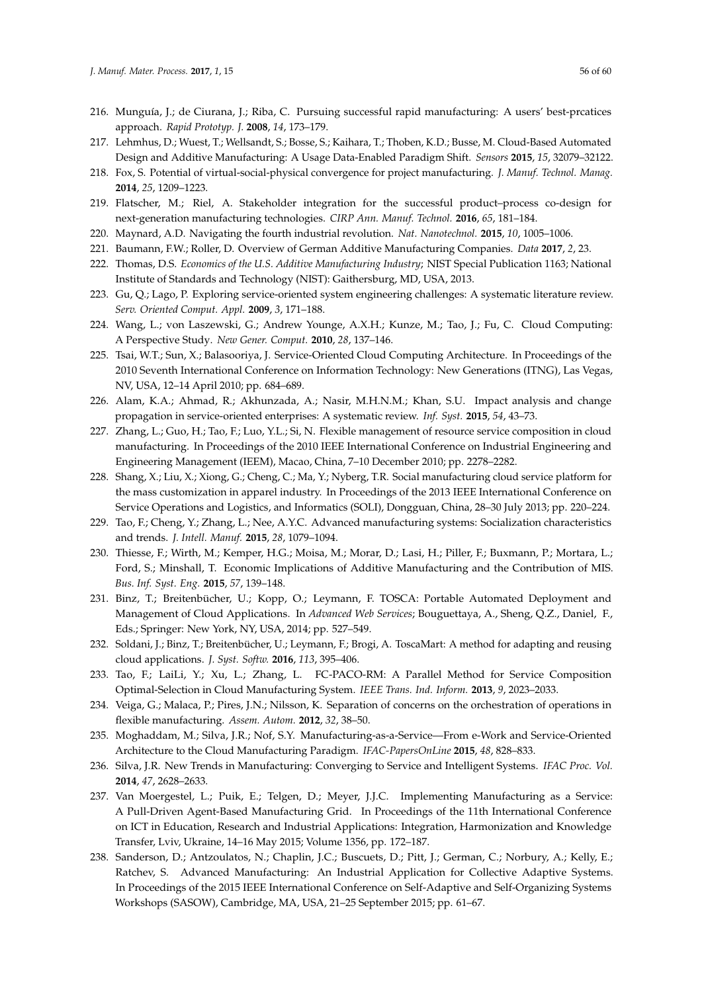- <span id="page-55-0"></span>216. Munguía, J.; de Ciurana, J.; Riba, C. Pursuing successful rapid manufacturing: A users' best-prcatices approach. *Rapid Prototyp. J.* **2008**, *14*, 173–179.
- <span id="page-55-1"></span>217. Lehmhus, D.; Wuest, T.; Wellsandt, S.; Bosse, S.; Kaihara, T.; Thoben, K.D.; Busse, M. Cloud-Based Automated Design and Additive Manufacturing: A Usage Data-Enabled Paradigm Shift. *Sensors* **2015**, *15*, 32079–32122.
- <span id="page-55-2"></span>218. Fox, S. Potential of virtual-social-physical convergence for project manufacturing. *J. Manuf. Technol. Manag.* **2014**, *25*, 1209–1223.
- <span id="page-55-3"></span>219. Flatscher, M.; Riel, A. Stakeholder integration for the successful product–process co-design for next-generation manufacturing technologies. *CIRP Ann. Manuf. Technol.* **2016**, *65*, 181–184.
- <span id="page-55-5"></span><span id="page-55-4"></span>220. Maynard, A.D. Navigating the fourth industrial revolution. *Nat. Nanotechnol.* **2015**, *10*, 1005–1006.
- 221. Baumann, F.W.; Roller, D. Overview of German Additive Manufacturing Companies. *Data* **2017**, *2*, 23.
- <span id="page-55-6"></span>222. Thomas, D.S. *Economics of the U.S. Additive Manufacturing Industry*; NIST Special Publication 1163; National Institute of Standards and Technology (NIST): Gaithersburg, MD, USA, 2013.
- <span id="page-55-7"></span>223. Gu, Q.; Lago, P. Exploring service-oriented system engineering challenges: A systematic literature review. *Serv. Oriented Comput. Appl.* **2009**, *3*, 171–188.
- <span id="page-55-8"></span>224. Wang, L.; von Laszewski, G.; Andrew Younge, A.X.H.; Kunze, M.; Tao, J.; Fu, C. Cloud Computing: A Perspective Study. *New Gener. Comput.* **2010**, *28*, 137–146.
- <span id="page-55-9"></span>225. Tsai, W.T.; Sun, X.; Balasooriya, J. Service-Oriented Cloud Computing Architecture. In Proceedings of the 2010 Seventh International Conference on Information Technology: New Generations (ITNG), Las Vegas, NV, USA, 12–14 April 2010; pp. 684–689.
- <span id="page-55-10"></span>226. Alam, K.A.; Ahmad, R.; Akhunzada, A.; Nasir, M.H.N.M.; Khan, S.U. Impact analysis and change propagation in service-oriented enterprises: A systematic review. *Inf. Syst.* **2015**, *54*, 43–73.
- <span id="page-55-11"></span>227. Zhang, L.; Guo, H.; Tao, F.; Luo, Y.L.; Si, N. Flexible management of resource service composition in cloud manufacturing. In Proceedings of the 2010 IEEE International Conference on Industrial Engineering and Engineering Management (IEEM), Macao, China, 7–10 December 2010; pp. 2278–2282.
- <span id="page-55-12"></span>228. Shang, X.; Liu, X.; Xiong, G.; Cheng, C.; Ma, Y.; Nyberg, T.R. Social manufacturing cloud service platform for the mass customization in apparel industry. In Proceedings of the 2013 IEEE International Conference on Service Operations and Logistics, and Informatics (SOLI), Dongguan, China, 28–30 July 2013; pp. 220–224.
- <span id="page-55-13"></span>229. Tao, F.; Cheng, Y.; Zhang, L.; Nee, A.Y.C. Advanced manufacturing systems: Socialization characteristics and trends. *J. Intell. Manuf.* **2015**, *28*, 1079–1094.
- <span id="page-55-14"></span>230. Thiesse, F.; Wirth, M.; Kemper, H.G.; Moisa, M.; Morar, D.; Lasi, H.; Piller, F.; Buxmann, P.; Mortara, L.; Ford, S.; Minshall, T. Economic Implications of Additive Manufacturing and the Contribution of MIS. *Bus. Inf. Syst. Eng.* **2015**, *57*, 139–148.
- <span id="page-55-15"></span>231. Binz, T.; Breitenbücher, U.; Kopp, O.; Leymann, F. TOSCA: Portable Automated Deployment and Management of Cloud Applications. In *Advanced Web Services*; Bouguettaya, A., Sheng, Q.Z., Daniel, F., Eds.; Springer: New York, NY, USA, 2014; pp. 527–549.
- <span id="page-55-16"></span>232. Soldani, J.; Binz, T.; Breitenbücher, U.; Leymann, F.; Brogi, A. ToscaMart: A method for adapting and reusing cloud applications. *J. Syst. Softw.* **2016**, *113*, 395–406.
- <span id="page-55-17"></span>233. Tao, F.; LaiLi, Y.; Xu, L.; Zhang, L. FC-PACO-RM: A Parallel Method for Service Composition Optimal-Selection in Cloud Manufacturing System. *IEEE Trans. Ind. Inform.* **2013**, *9*, 2023–2033.
- <span id="page-55-18"></span>234. Veiga, G.; Malaca, P.; Pires, J.N.; Nilsson, K. Separation of concerns on the orchestration of operations in flexible manufacturing. *Assem. Autom.* **2012**, *32*, 38–50.
- <span id="page-55-19"></span>235. Moghaddam, M.; Silva, J.R.; Nof, S.Y. Manufacturing-as-a-Service—From e-Work and Service-Oriented Architecture to the Cloud Manufacturing Paradigm. *IFAC-PapersOnLine* **2015**, *48*, 828–833.
- <span id="page-55-20"></span>236. Silva, J.R. New Trends in Manufacturing: Converging to Service and Intelligent Systems. *IFAC Proc. Vol.* **2014**, *47*, 2628–2633.
- <span id="page-55-21"></span>237. Van Moergestel, L.; Puik, E.; Telgen, D.; Meyer, J.J.C. Implementing Manufacturing as a Service: A Pull-Driven Agent-Based Manufacturing Grid. In Proceedings of the 11th International Conference on ICT in Education, Research and Industrial Applications: Integration, Harmonization and Knowledge Transfer, Lviv, Ukraine, 14–16 May 2015; Volume 1356, pp. 172–187.
- <span id="page-55-22"></span>238. Sanderson, D.; Antzoulatos, N.; Chaplin, J.C.; Buscuets, D.; Pitt, J.; German, C.; Norbury, A.; Kelly, E.; Ratchev, S. Advanced Manufacturing: An Industrial Application for Collective Adaptive Systems. In Proceedings of the 2015 IEEE International Conference on Self-Adaptive and Self-Organizing Systems Workshops (SASOW), Cambridge, MA, USA, 21–25 September 2015; pp. 61–67.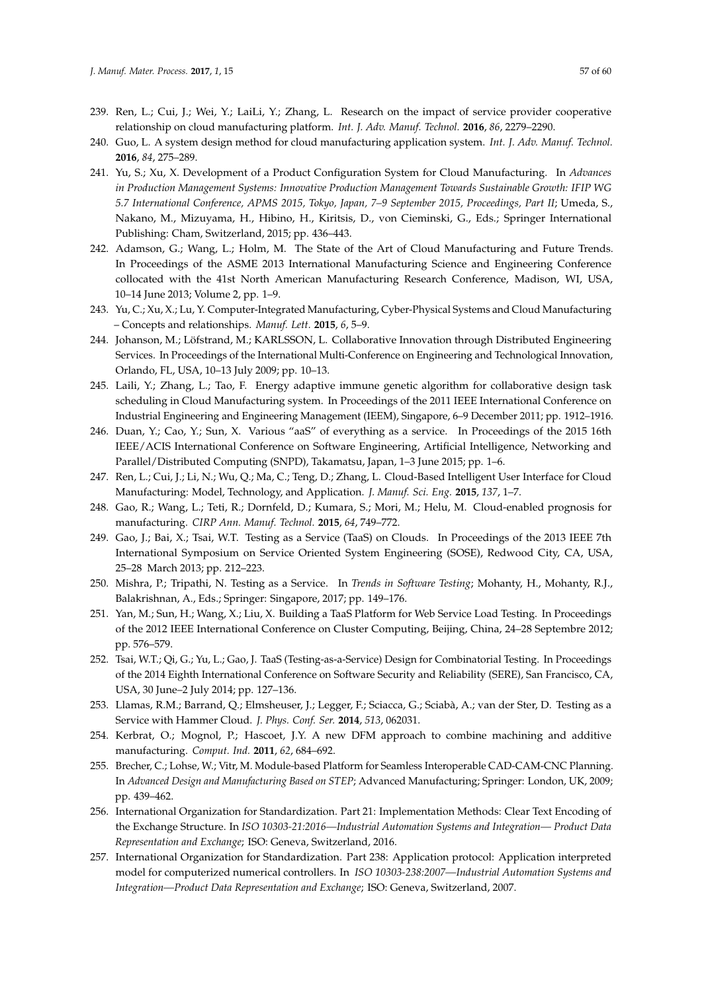- <span id="page-56-0"></span>239. Ren, L.; Cui, J.; Wei, Y.; LaiLi, Y.; Zhang, L. Research on the impact of service provider cooperative relationship on cloud manufacturing platform. *Int. J. Adv. Manuf. Technol.* **2016**, *86*, 2279–2290.
- <span id="page-56-1"></span>240. Guo, L. A system design method for cloud manufacturing application system. *Int. J. Adv. Manuf. Technol.* **2016**, *84*, 275–289.
- <span id="page-56-2"></span>241. Yu, S.; Xu, X. Development of a Product Configuration System for Cloud Manufacturing. In *Advances in Production Management Systems: Innovative Production Management Towards Sustainable Growth: IFIP WG 5.7 International Conference, APMS 2015, Tokyo, Japan, 7–9 September 2015, Proceedings, Part II*; Umeda, S., Nakano, M., Mizuyama, H., Hibino, H., Kiritsis, D., von Cieminski, G., Eds.; Springer International Publishing: Cham, Switzerland, 2015; pp. 436–443.
- <span id="page-56-3"></span>242. Adamson, G.; Wang, L.; Holm, M. The State of the Art of Cloud Manufacturing and Future Trends. In Proceedings of the ASME 2013 International Manufacturing Science and Engineering Conference collocated with the 41st North American Manufacturing Research Conference, Madison, WI, USA, 10–14 June 2013; Volume 2, pp. 1–9.
- <span id="page-56-4"></span>243. Yu, C.; Xu, X.; Lu, Y. Computer-Integrated Manufacturing, Cyber-Physical Systems and Cloud Manufacturing – Concepts and relationships. *Manuf. Lett.* **2015**, *6*, 5–9.
- <span id="page-56-5"></span>244. Johanson, M.; Löfstrand, M.; KARLSSON, L. Collaborative Innovation through Distributed Engineering Services. In Proceedings of the International Multi-Conference on Engineering and Technological Innovation, Orlando, FL, USA, 10–13 July 2009; pp. 10–13.
- <span id="page-56-6"></span>245. Laili, Y.; Zhang, L.; Tao, F. Energy adaptive immune genetic algorithm for collaborative design task scheduling in Cloud Manufacturing system. In Proceedings of the 2011 IEEE International Conference on Industrial Engineering and Engineering Management (IEEM), Singapore, 6–9 December 2011; pp. 1912–1916.
- <span id="page-56-7"></span>246. Duan, Y.; Cao, Y.; Sun, X. Various "aaS" of everything as a service. In Proceedings of the 2015 16th IEEE/ACIS International Conference on Software Engineering, Artificial Intelligence, Networking and Parallel/Distributed Computing (SNPD), Takamatsu, Japan, 1–3 June 2015; pp. 1–6.
- <span id="page-56-8"></span>247. Ren, L.; Cui, J.; Li, N.; Wu, Q.; Ma, C.; Teng, D.; Zhang, L. Cloud-Based Intelligent User Interface for Cloud Manufacturing: Model, Technology, and Application. *J. Manuf. Sci. Eng.* **2015**, *137*, 1–7.
- <span id="page-56-9"></span>248. Gao, R.; Wang, L.; Teti, R.; Dornfeld, D.; Kumara, S.; Mori, M.; Helu, M. Cloud-enabled prognosis for manufacturing. *CIRP Ann. Manuf. Technol.* **2015**, *64*, 749–772.
- <span id="page-56-10"></span>249. Gao, J.; Bai, X.; Tsai, W.T. Testing as a Service (TaaS) on Clouds. In Proceedings of the 2013 IEEE 7th International Symposium on Service Oriented System Engineering (SOSE), Redwood City, CA, USA, 25–28 March 2013; pp. 212–223.
- <span id="page-56-11"></span>250. Mishra, P.; Tripathi, N. Testing as a Service. In *Trends in Software Testing*; Mohanty, H., Mohanty, R.J., Balakrishnan, A., Eds.; Springer: Singapore, 2017; pp. 149–176.
- <span id="page-56-12"></span>251. Yan, M.; Sun, H.; Wang, X.; Liu, X. Building a TaaS Platform for Web Service Load Testing. In Proceedings of the 2012 IEEE International Conference on Cluster Computing, Beijing, China, 24–28 Septembre 2012; pp. 576–579.
- <span id="page-56-13"></span>252. Tsai, W.T.; Qi, G.; Yu, L.; Gao, J. TaaS (Testing-as-a-Service) Design for Combinatorial Testing. In Proceedings of the 2014 Eighth International Conference on Software Security and Reliability (SERE), San Francisco, CA, USA, 30 June–2 July 2014; pp. 127–136.
- <span id="page-56-14"></span>253. Llamas, R.M.; Barrand, Q.; Elmsheuser, J.; Legger, F.; Sciacca, G.; Sciabà, A.; van der Ster, D. Testing as a Service with Hammer Cloud. *J. Phys. Conf. Ser.* **2014**, *513*, 062031.
- <span id="page-56-15"></span>254. Kerbrat, O.; Mognol, P.; Hascoet, J.Y. A new DFM approach to combine machining and additive manufacturing. *Comput. Ind.* **2011**, *62*, 684–692.
- <span id="page-56-16"></span>255. Brecher, C.; Lohse, W.; Vitr, M. Module-based Platform for Seamless Interoperable CAD-CAM-CNC Planning. In *Advanced Design and Manufacturing Based on STEP*; Advanced Manufacturing; Springer: London, UK, 2009; pp. 439–462.
- <span id="page-56-17"></span>256. International Organization for Standardization. Part 21: Implementation Methods: Clear Text Encoding of the Exchange Structure. In *ISO 10303-21:2016—Industrial Automation Systems and Integration— Product Data Representation and Exchange*; ISO: Geneva, Switzerland, 2016.
- <span id="page-56-18"></span>257. International Organization for Standardization. Part 238: Application protocol: Application interpreted model for computerized numerical controllers. In *ISO 10303-238:2007—Industrial Automation Systems and Integration—Product Data Representation and Exchange*; ISO: Geneva, Switzerland, 2007.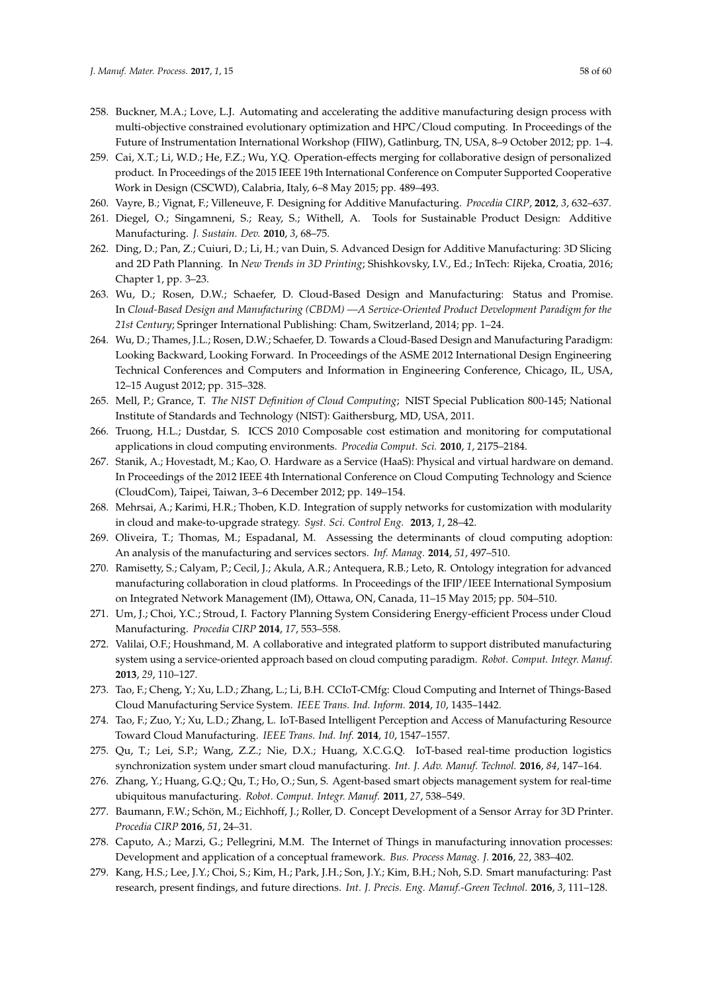- <span id="page-57-0"></span>258. Buckner, M.A.; Love, L.J. Automating and accelerating the additive manufacturing design process with multi-objective constrained evolutionary optimization and HPC/Cloud computing. In Proceedings of the Future of Instrumentation International Workshop (FIIW), Gatlinburg, TN, USA, 8–9 October 2012; pp. 1–4.
- <span id="page-57-1"></span>259. Cai, X.T.; Li, W.D.; He, F.Z.; Wu, Y.Q. Operation-effects merging for collaborative design of personalized product. In Proceedings of the 2015 IEEE 19th International Conference on Computer Supported Cooperative Work in Design (CSCWD), Calabria, Italy, 6–8 May 2015; pp. 489–493.
- <span id="page-57-3"></span><span id="page-57-2"></span>260. Vayre, B.; Vignat, F.; Villeneuve, F. Designing for Additive Manufacturing. *Procedia CIRP*, **2012**, *3*, 632–637.
- 261. Diegel, O.; Singamneni, S.; Reay, S.; Withell, A. Tools for Sustainable Product Design: Additive Manufacturing. *J. Sustain. Dev.* **2010**, *3*, 68–75.
- <span id="page-57-4"></span>262. Ding, D.; Pan, Z.; Cuiuri, D.; Li, H.; van Duin, S. Advanced Design for Additive Manufacturing: 3D Slicing and 2D Path Planning. In *New Trends in 3D Printing*; Shishkovsky, I.V., Ed.; InTech: Rijeka, Croatia, 2016; Chapter 1, pp. 3–23.
- <span id="page-57-5"></span>263. Wu, D.; Rosen, D.W.; Schaefer, D. Cloud-Based Design and Manufacturing: Status and Promise. In *Cloud-Based Design and Manufacturing (CBDM) —A Service-Oriented Product Development Paradigm for the 21st Century*; Springer International Publishing: Cham, Switzerland, 2014; pp. 1–24.
- <span id="page-57-6"></span>264. Wu, D.; Thames, J.L.; Rosen, D.W.; Schaefer, D. Towards a Cloud-Based Design and Manufacturing Paradigm: Looking Backward, Looking Forward. In Proceedings of the ASME 2012 International Design Engineering Technical Conferences and Computers and Information in Engineering Conference, Chicago, IL, USA, 12–15 August 2012; pp. 315–328.
- <span id="page-57-7"></span>265. Mell, P.; Grance, T. *The NIST Definition of Cloud Computing*; NIST Special Publication 800-145; National Institute of Standards and Technology (NIST): Gaithersburg, MD, USA, 2011.
- <span id="page-57-8"></span>266. Truong, H.L.; Dustdar, S. ICCS 2010 Composable cost estimation and monitoring for computational applications in cloud computing environments. *Procedia Comput. Sci.* **2010**, *1*, 2175–2184.
- <span id="page-57-9"></span>267. Stanik, A.; Hovestadt, M.; Kao, O. Hardware as a Service (HaaS): Physical and virtual hardware on demand. In Proceedings of the 2012 IEEE 4th International Conference on Cloud Computing Technology and Science (CloudCom), Taipei, Taiwan, 3–6 December 2012; pp. 149–154.
- <span id="page-57-10"></span>268. Mehrsai, A.; Karimi, H.R.; Thoben, K.D. Integration of supply networks for customization with modularity in cloud and make-to-upgrade strategy. *Syst. Sci. Control Eng.* **2013**, *1*, 28–42.
- <span id="page-57-11"></span>269. Oliveira, T.; Thomas, M.; Espadanal, M. Assessing the determinants of cloud computing adoption: An analysis of the manufacturing and services sectors. *Inf. Manag.* **2014**, *51*, 497–510.
- <span id="page-57-12"></span>270. Ramisetty, S.; Calyam, P.; Cecil, J.; Akula, A.R.; Antequera, R.B.; Leto, R. Ontology integration for advanced manufacturing collaboration in cloud platforms. In Proceedings of the IFIP/IEEE International Symposium on Integrated Network Management (IM), Ottawa, ON, Canada, 11–15 May 2015; pp. 504–510.
- <span id="page-57-13"></span>271. Um, J.; Choi, Y.C.; Stroud, I. Factory Planning System Considering Energy-efficient Process under Cloud Manufacturing. *Procedia CIRP* **2014**, *17*, 553–558.
- <span id="page-57-14"></span>272. Valilai, O.F.; Houshmand, M. A collaborative and integrated platform to support distributed manufacturing system using a service-oriented approach based on cloud computing paradigm. *Robot. Comput. Integr. Manuf.* **2013**, *29*, 110–127.
- <span id="page-57-15"></span>273. Tao, F.; Cheng, Y.; Xu, L.D.; Zhang, L.; Li, B.H. CCIoT-CMfg: Cloud Computing and Internet of Things-Based Cloud Manufacturing Service System. *IEEE Trans. Ind. Inform.* **2014**, *10*, 1435–1442.
- <span id="page-57-16"></span>274. Tao, F.; Zuo, Y.; Xu, L.D.; Zhang, L. IoT-Based Intelligent Perception and Access of Manufacturing Resource Toward Cloud Manufacturing. *IEEE Trans. Ind. Inf.* **2014**, *10*, 1547–1557.
- <span id="page-57-17"></span>275. Qu, T.; Lei, S.P.; Wang, Z.Z.; Nie, D.X.; Huang, X.C.G.Q. IoT-based real-time production logistics synchronization system under smart cloud manufacturing. *Int. J. Adv. Manuf. Technol.* **2016**, *84*, 147–164.
- <span id="page-57-18"></span>276. Zhang, Y.; Huang, G.Q.; Qu, T.; Ho, O.; Sun, S. Agent-based smart objects management system for real-time ubiquitous manufacturing. *Robot. Comput. Integr. Manuf.* **2011**, *27*, 538–549.
- <span id="page-57-19"></span>277. Baumann, F.W.; Schön, M.; Eichhoff, J.; Roller, D. Concept Development of a Sensor Array for 3D Printer. *Procedia CIRP* **2016**, *51*, 24–31.
- <span id="page-57-20"></span>278. Caputo, A.; Marzi, G.; Pellegrini, M.M. The Internet of Things in manufacturing innovation processes: Development and application of a conceptual framework. *Bus. Process Manag. J.* **2016**, *22*, 383–402.
- <span id="page-57-21"></span>279. Kang, H.S.; Lee, J.Y.; Choi, S.; Kim, H.; Park, J.H.; Son, J.Y.; Kim, B.H.; Noh, S.D. Smart manufacturing: Past research, present findings, and future directions. *Int. J. Precis. Eng. Manuf.-Green Technol.* **2016**, *3*, 111–128.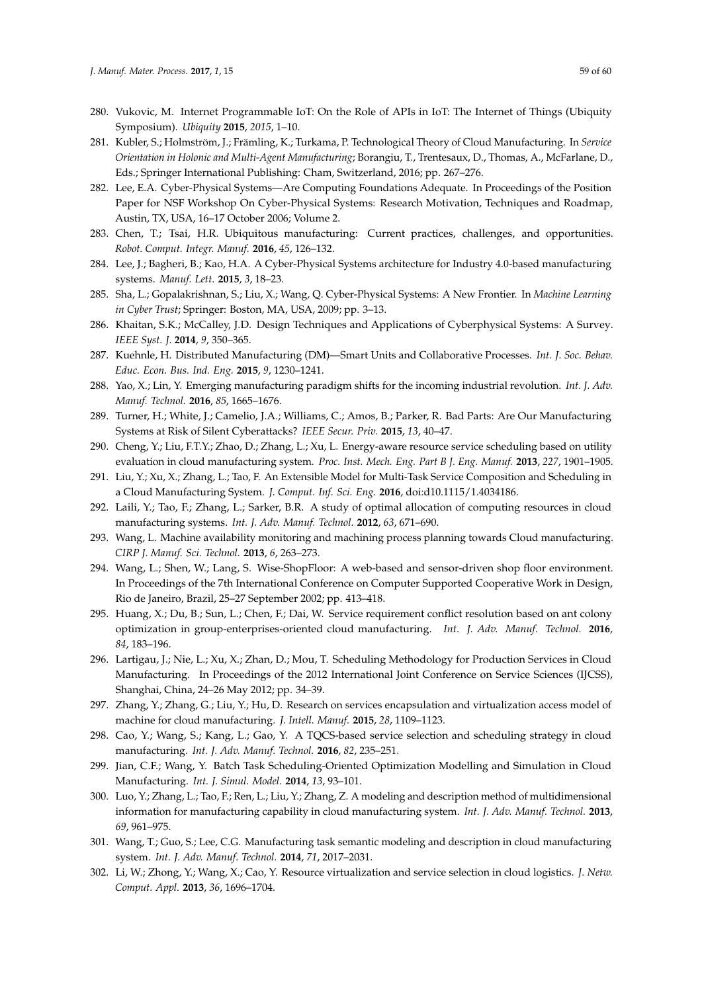- <span id="page-58-0"></span>280. Vukovic, M. Internet Programmable IoT: On the Role of APIs in IoT: The Internet of Things (Ubiquity Symposium). *Ubiquity* **2015**, *2015*, 1–10.
- <span id="page-58-1"></span>281. Kubler, S.; Holmström, J.; Främling, K.; Turkama, P. Technological Theory of Cloud Manufacturing. In *Service Orientation in Holonic and Multi-Agent Manufacturing*; Borangiu, T., Trentesaux, D., Thomas, A., McFarlane, D., Eds.; Springer International Publishing: Cham, Switzerland, 2016; pp. 267–276.
- <span id="page-58-2"></span>282. Lee, E.A. Cyber-Physical Systems—Are Computing Foundations Adequate. In Proceedings of the Position Paper for NSF Workshop On Cyber-Physical Systems: Research Motivation, Techniques and Roadmap, Austin, TX, USA, 16–17 October 2006; Volume 2.
- <span id="page-58-3"></span>283. Chen, T.; Tsai, H.R. Ubiquitous manufacturing: Current practices, challenges, and opportunities. *Robot. Comput. Integr. Manuf.* **2016**, *45*, 126–132.
- <span id="page-58-4"></span>284. Lee, J.; Bagheri, B.; Kao, H.A. A Cyber-Physical Systems architecture for Industry 4.0-based manufacturing systems. *Manuf. Lett.* **2015**, *3*, 18–23.
- <span id="page-58-5"></span>285. Sha, L.; Gopalakrishnan, S.; Liu, X.; Wang, Q. Cyber-Physical Systems: A New Frontier. In *Machine Learning in Cyber Trust*; Springer: Boston, MA, USA, 2009; pp. 3–13.
- <span id="page-58-6"></span>286. Khaitan, S.K.; McCalley, J.D. Design Techniques and Applications of Cyberphysical Systems: A Survey. *IEEE Syst. J.* **2014**, *9*, 350–365.
- <span id="page-58-7"></span>287. Kuehnle, H. Distributed Manufacturing (DM)—Smart Units and Collaborative Processes. *Int. J. Soc. Behav. Educ. Econ. Bus. Ind. Eng.* **2015**, *9*, 1230–1241.
- <span id="page-58-8"></span>288. Yao, X.; Lin, Y. Emerging manufacturing paradigm shifts for the incoming industrial revolution. *Int. J. Adv. Manuf. Technol.* **2016**, *85*, 1665–1676.
- <span id="page-58-9"></span>289. Turner, H.; White, J.; Camelio, J.A.; Williams, C.; Amos, B.; Parker, R. Bad Parts: Are Our Manufacturing Systems at Risk of Silent Cyberattacks? *IEEE Secur. Priv.* **2015**, *13*, 40–47.
- <span id="page-58-10"></span>290. Cheng, Y.; Liu, F.T.Y.; Zhao, D.; Zhang, L.; Xu, L. Energy-aware resource service scheduling based on utility evaluation in cloud manufacturing system. *Proc. Inst. Mech. Eng. Part B J. Eng. Manuf.* **2013**, *227*, 1901–1905.
- <span id="page-58-11"></span>291. Liu, Y.; Xu, X.; Zhang, L.; Tao, F. An Extensible Model for Multi-Task Service Composition and Scheduling in a Cloud Manufacturing System. *J. Comput. Inf. Sci. Eng.* **2016**, doi:d10.1115/1.4034186.
- <span id="page-58-12"></span>292. Laili, Y.; Tao, F.; Zhang, L.; Sarker, B.R. A study of optimal allocation of computing resources in cloud manufacturing systems. *Int. J. Adv. Manuf. Technol.* **2012**, *63*, 671–690.
- <span id="page-58-13"></span>293. Wang, L. Machine availability monitoring and machining process planning towards Cloud manufacturing. *CIRP J. Manuf. Sci. Technol.* **2013**, *6*, 263–273.
- <span id="page-58-14"></span>294. Wang, L.; Shen, W.; Lang, S. Wise-ShopFloor: A web-based and sensor-driven shop floor environment. In Proceedings of the 7th International Conference on Computer Supported Cooperative Work in Design, Rio de Janeiro, Brazil, 25–27 September 2002; pp. 413–418.
- <span id="page-58-15"></span>295. Huang, X.; Du, B.; Sun, L.; Chen, F.; Dai, W. Service requirement conflict resolution based on ant colony optimization in group-enterprises-oriented cloud manufacturing. *Int. J. Adv. Manuf. Technol.* **2016**, *84*, 183–196.
- <span id="page-58-16"></span>296. Lartigau, J.; Nie, L.; Xu, X.; Zhan, D.; Mou, T. Scheduling Methodology for Production Services in Cloud Manufacturing. In Proceedings of the 2012 International Joint Conference on Service Sciences (IJCSS), Shanghai, China, 24–26 May 2012; pp. 34–39.
- <span id="page-58-17"></span>297. Zhang, Y.; Zhang, G.; Liu, Y.; Hu, D. Research on services encapsulation and virtualization access model of machine for cloud manufacturing. *J. Intell. Manuf.* **2015**, *28*, 1109–1123.
- <span id="page-58-18"></span>298. Cao, Y.; Wang, S.; Kang, L.; Gao, Y. A TQCS-based service selection and scheduling strategy in cloud manufacturing. *Int. J. Adv. Manuf. Technol.* **2016**, *82*, 235–251.
- <span id="page-58-19"></span>299. Jian, C.F.; Wang, Y. Batch Task Scheduling-Oriented Optimization Modelling and Simulation in Cloud Manufacturing. *Int. J. Simul. Model.* **2014**, *13*, 93–101.
- <span id="page-58-20"></span>300. Luo, Y.; Zhang, L.; Tao, F.; Ren, L.; Liu, Y.; Zhang, Z. A modeling and description method of multidimensional information for manufacturing capability in cloud manufacturing system. *Int. J. Adv. Manuf. Technol.* **2013**, *69*, 961–975.
- <span id="page-58-21"></span>301. Wang, T.; Guo, S.; Lee, C.G. Manufacturing task semantic modeling and description in cloud manufacturing system. *Int. J. Adv. Manuf. Technol.* **2014**, *71*, 2017–2031.
- <span id="page-58-22"></span>302. Li, W.; Zhong, Y.; Wang, X.; Cao, Y. Resource virtualization and service selection in cloud logistics. *J. Netw. Comput. Appl.* **2013**, *36*, 1696–1704.